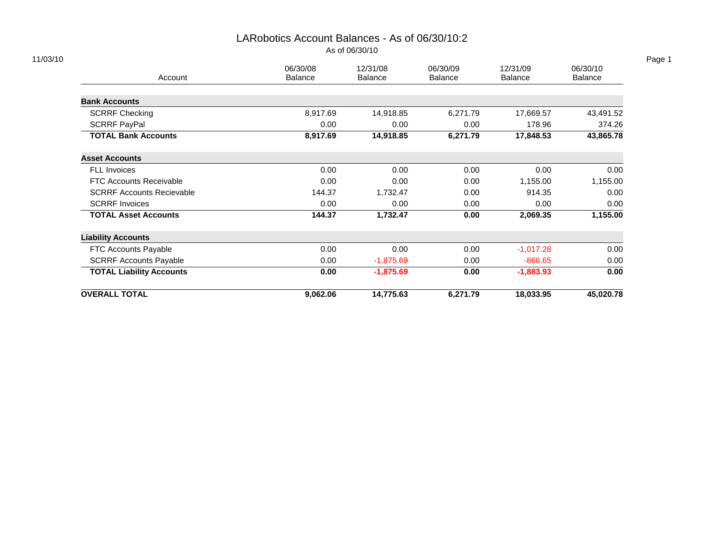# LARobotics Account Balances - As of 06/30/10:2

| As of 06/30/10 |  |  |  |
|----------------|--|--|--|
|----------------|--|--|--|

| Account                          | 06/30/08<br><b>Balance</b> | 12/31/08<br><b>Balance</b> | 06/30/09<br><b>Balance</b> | 12/31/09<br><b>Balance</b> | 06/30/10<br>Balance |
|----------------------------------|----------------------------|----------------------------|----------------------------|----------------------------|---------------------|
|                                  |                            |                            |                            |                            |                     |
| <b>Bank Accounts</b>             |                            |                            |                            |                            |                     |
| <b>SCRRF Checking</b>            | 8,917.69                   | 14,918.85                  | 6,271.79                   | 17,669.57                  | 43,491.52           |
| <b>SCRRF PayPal</b>              | 0.00                       | 0.00                       | 0.00                       | 178.96                     | 374.26              |
| <b>TOTAL Bank Accounts</b>       | 8,917.69                   | 14,918.85                  | 6,271.79                   | 17,848.53                  | 43,865.78           |
| <b>Asset Accounts</b>            |                            |                            |                            |                            |                     |
| FLL Invoices                     | 0.00                       | 0.00                       | 0.00                       | 0.00                       | 0.00                |
| <b>FTC Accounts Receivable</b>   | 0.00                       | 0.00                       | 0.00                       | 1,155.00                   | 1,155.00            |
| <b>SCRRF Accounts Recievable</b> | 144.37                     | 1,732.47                   | 0.00                       | 914.35                     | 0.00                |
| <b>SCRRF Invoices</b>            | 0.00                       | 0.00                       | 0.00                       | 0.00                       | 0.00                |
| <b>TOTAL Asset Accounts</b>      | 144.37                     | 1,732.47                   | 0.00                       | 2,069.35                   | 1,155.00            |
| <b>Liability Accounts</b>        |                            |                            |                            |                            |                     |
| FTC Accounts Payable             | 0.00                       | 0.00                       | 0.00                       | $-1,017.28$                | 0.00                |
| <b>SCRRF Accounts Payable</b>    | 0.00                       | $-1,875.69$                | 0.00                       | $-866.65$                  | 0.00                |
| <b>TOTAL Liability Accounts</b>  | 0.00                       | $-1,875.69$                | 0.00                       | $-1,883.93$                | 0.00                |
| <b>OVERALL TOTAL</b>             | 9,062.06                   | 14,775.63                  | 6,271.79                   | 18,033.95                  | 45,020.78           |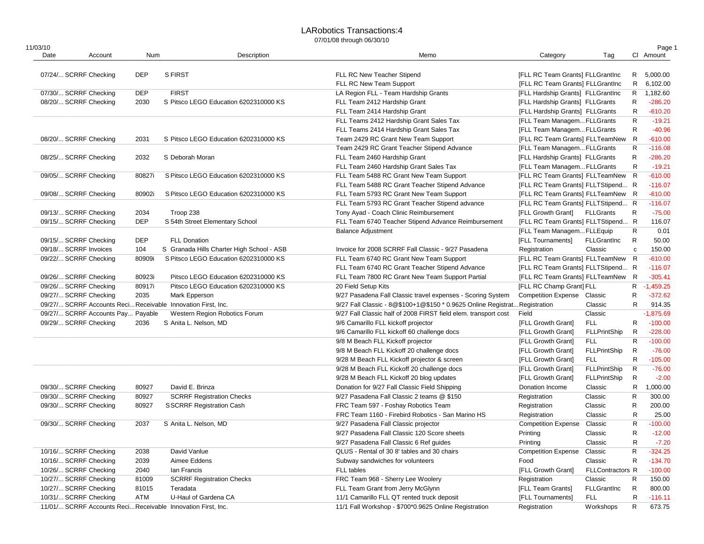## LARobotics Transactions:4

| 11/03/10 |                                   |            |                                                              |                                                                            |                                    |                     |              | Page 1      |
|----------|-----------------------------------|------------|--------------------------------------------------------------|----------------------------------------------------------------------------|------------------------------------|---------------------|--------------|-------------|
| Date     | Account                           | Num        | Description                                                  | Memo                                                                       | Category                           | Tag                 |              | CI Amount   |
|          | 07/24/ SCRRF Checking             | <b>DEP</b> | <b>S FIRST</b>                                               | FLL RC New Teacher Stipend                                                 | [FLL RC Team Grants] FLLGrantInc   |                     |              | R 5,000.00  |
|          |                                   |            |                                                              | FLL RC New Team Support                                                    | [FLL RC Team Grants] FLLGrantInc   |                     |              | R 6,102.00  |
|          | 07/30/ SCRRF Checking             | <b>DEP</b> | <b>FIRST</b>                                                 | LA Region FLL - Team Hardship Grants                                       | [FLL Hardship Grants] FLLGrantInc  |                     | R            | 1,182.60    |
|          | 08/20/ SCRRF Checking             | 2030       | S Pitsco LEGO Education 6202310000 KS                        | FLL Team 2412 Hardship Grant                                               | [FLL Hardship Grants] FLLGrants    |                     | R            | $-286.20$   |
|          |                                   |            |                                                              | FLL Team 2414 Hardship Grant                                               | [FLL Hardship Grants] FLLGrants    |                     | R            | $-610.20$   |
|          |                                   |            |                                                              | FLL Teams 2412 Hardship Grant Sales Tax                                    | [FLL Team ManagemFLLGrants         |                     | R            | $-19.21$    |
|          |                                   |            |                                                              | FLL Teams 2414 Hardship Grant Sales Tax                                    | [FLL Team ManagemFLLGrants         |                     | $\mathsf{R}$ | $-40.96$    |
|          | 08/20/ SCRRF Checking             | 2031       | S Pitsco LEGO Education 6202310000 KS                        | Team 2429 RC Grant New Team Support                                        | [FLL RC Team Grants] FLLTeamNew    |                     | R            | $-610.00$   |
|          |                                   |            |                                                              | Team 2429 RC Grant Teacher Stipend Advance                                 | [FLL Team ManagemFLLGrants         |                     | R            | $-116.08$   |
|          | 08/25/ SCRRF Checking             | 2032       | S Deborah Moran                                              | FLL Team 2460 Hardship Grant                                               | [FLL Hardship Grants] FLLGrants    |                     | $\mathsf{R}$ | $-286.20$   |
|          |                                   |            |                                                              |                                                                            |                                    |                     | $\mathsf{R}$ | $-19.21$    |
|          |                                   |            |                                                              | FLL Team 2460 Hardship Grant Sales Tax                                     | [FLL Team ManagemFLLGrants         |                     |              | $-610.00$   |
|          | 09/05/ SCRRF Checking             | 80827i     | S Pitsco LEGO Education 6202310000 KS                        | FLL Team 5488 RC Grant New Team Support                                    | [FLL RC Team Grants] FLLTeamNew R  |                     |              |             |
|          |                                   |            |                                                              | FLL Team 5488 RC Grant Teacher Stipend Advance                             | [FLL RC Team Grants] FLLTStipend R |                     |              | $-116.07$   |
|          | 09/08/ SCRRF Checking             | 80902i     | S Pitsco LEGO Education 6202310000 KS                        | FLL Team 5793 RC Grant New Team Support                                    | [FLL RC Team Grants] FLLTeamNew R  |                     |              | $-610.00$   |
|          |                                   |            |                                                              | FLL Team 5793 RC Grant Teacher Stipend advance                             | [FLL RC Team Grants] FLLTStipend R |                     |              | $-116.07$   |
|          | 09/13/ SCRRF Checking             | 2034       | Troop 238                                                    | Tony Ayad - Coach Clinic Reimbursement                                     | [FLL Growth Grant] FLLGrants       |                     | R            | $-75.00$    |
|          | 09/15/ SCRRF Checking             | <b>DEP</b> | S 54th Street Elementary School                              | FLL Team 6740 Teacher Stipend Advance Reimbursement                        | [FLL RC Team Grants] FLLTStipend R |                     |              | 116.07      |
|          |                                   |            |                                                              | <b>Balance Adjustment</b>                                                  | [FLL Team ManagemFLLEquip          |                     | R            | 0.01        |
|          | 09/15/ SCRRF Checking             | <b>DEP</b> | <b>FLL Donation</b>                                          |                                                                            | [FLL Tournaments]                  | <b>FLLGrantInc</b>  | $\mathsf{R}$ | 50.00       |
|          | 09/18/ SCRRF Invoices             | 104        | S Granada Hills Charter High School - ASB                    | Invoice for 2008 SCRRF Fall Classic - 9/27 Pasadena                        | Registration                       | Classic             | $\mathbf c$  | 150.00      |
|          | 09/22/ SCRRF Checking             | 80909i     | S Pitsco LEGO Education 6202310000 KS                        | FLL Team 6740 RC Grant New Team Support                                    | [FLL RC Team Grants] FLLTeamNew R  |                     |              | $-610.00$   |
|          |                                   |            |                                                              | FLL Team 6740 RC Grant Teacher Stipend Advance                             | [FLL RC Team Grants] FLLTStipend R |                     |              | $-116.07$   |
|          | 09/26/ SCRRF Checking             | 80923i     | Pitsco LEGO Education 6202310000 KS                          | FLL Team 7800 RC Grant New Team Support Partial                            | [FLL RC Team Grants] FLLTeamNew R  |                     |              | $-305.41$   |
|          | 09/26/ SCRRF Checking             | 80917i     | Pitsco LEGO Education 6202310000 KS                          | 20 Field Setup Kits                                                        | [FLL RC Champ Grant] FLL           |                     | R            | $-1,459.25$ |
|          | 09/27/ SCRRF Checking             | 2035       | Mark Epperson                                                | 9/27 Pasadena Fall Classic travel expenses - Scoring System                | <b>Competition Expense</b>         | Classic             | R            | $-372.62$   |
|          |                                   |            | 09/27/ SCRRF Accounts Reci Receivable Innovation First, Inc. | 9/27 Fall Classic - 8@\$100+1@\$150 * 0.9625 Online Registrat Registration |                                    | Classic             | R            | 914.35      |
|          | 09/27/ SCRRF Accounts Pay Payable |            | Western Region Robotics Forum                                | 9/27 Fall Classic half of 2008 FIRST field elem. transport cost            | Field                              | Classic             |              | $-1,875.69$ |
|          | 09/29/ SCRRF Checking             | 2036       | S Anita L. Nelson, MD                                        | 9/6 Camarillo FLL kickoff projector                                        | [FLL Growth Grant]                 | <b>FLL</b>          | R            | $-100.00$   |
|          |                                   |            |                                                              | 9/6 Camarillo FLL kickoff 60 challenge docs                                | [FLL Growth Grant]                 | <b>FLLPrintShip</b> | R            | $-228.00$   |
|          |                                   |            |                                                              | 9/8 M Beach FLL Kickoff projector                                          | [FLL Growth Grant]                 | <b>FLL</b>          | $\mathsf{R}$ | $-100.00$   |
|          |                                   |            |                                                              | 9/8 M Beach FLL Kickoff 20 challenge docs                                  | [FLL Growth Grant]                 | <b>FLLPrintShip</b> | $\mathsf{R}$ | $-76.00$    |
|          |                                   |            |                                                              | 9/28 M Beach FLL Kickoff projector & screen                                | [FLL Growth Grant]                 | <b>FLL</b>          | $\mathsf R$  | $-105.00$   |
|          |                                   |            |                                                              | 9/28 M Beach FLL Kickoff 20 challenge docs                                 | [FLL Growth Grant]                 | <b>FLLPrintShip</b> | $\mathsf{R}$ | $-76.00$    |
|          |                                   |            |                                                              | 9/28 M Beach FLL Kickoff 20 blog updates                                   | [FLL Growth Grant]                 | <b>FLLPrintShip</b> | $\mathsf{R}$ | $-2.00$     |
|          | 09/30/ SCRRF Checking             | 80927      | David E. Brinza                                              | Donation for 9/27 Fall Classic Field Shipping                              | Donation Income                    | Classic             | R            | 1,000.00    |
|          | 09/30/ SCRRF Checking             | 80927      | <b>SCRRF Registration Checks</b>                             | 9/27 Pasadena Fall Classic 2 teams @ \$150                                 | Registration                       | Classic             | R            | 300.00      |
|          | 09/30/ SCRRF Checking             | 80927      | <b>SSCRRF Registration Cash</b>                              | FRC Team 597 - Foshay Robotics Team                                        | Registration                       | Classic             | R            | 200.00      |
|          |                                   |            |                                                              | FRC Team 1160 - Firebird Robotics - San Marino HS                          | Registration                       | Classic             | R            | 25.00       |
|          | 09/30/ SCRRF Checking             | 2037       | S Anita L. Nelson, MD                                        | 9/27 Pasadena Fall Classic projector                                       | <b>Competition Expense</b>         | Classic             | R            | $-100.00$   |
|          |                                   |            |                                                              | 9/27 Pasadena Fall Classic 120 Score sheets                                | Printing                           | Classic             | R            | $-12.00$    |
|          |                                   |            |                                                              | 9/27 Pasadena Fall Classic 6 Ref guides                                    | Printing                           | Classic             | R            | $-7.20$     |
|          | 10/16/ SCRRF Checking             | 2038       | David Vanlue                                                 | QLUS - Rental of 30 8' tables and 30 chairs                                | <b>Competition Expense</b>         | Classic             | $\mathsf{R}$ | $-324.25$   |
|          | 10/16/ SCRRF Checking             | 2039       | Aimee Eddens                                                 |                                                                            | Food                               | Classic             | $\mathsf{R}$ | $-134.70$   |
|          |                                   |            |                                                              | Subway sandwiches for volunteers                                           |                                    |                     |              |             |
|          | 10/26/ SCRRF Checking             | 2040       | lan Francis                                                  | FLL tables                                                                 | [FLL Growth Grant]                 | FLLContractors R    |              | $-100.00$   |
|          | 10/27/ SCRRF Checking             | 81009      | <b>SCRRF Registration Checks</b>                             | FRC Team 968 - Sherry Lee Woolery                                          | Registration                       | Classic             | R            | 150.00      |
|          | 10/27/ SCRRF Checking             | 81015      | Teradata                                                     | FLL Team Grant from Jerry McGlynn                                          | [FLL Team Grants]                  | FLLGrantInc         | R            | 800.00      |
|          | 10/31/ SCRRF Checking             | ATM        | U-Haul of Gardena CA                                         | 11/1 Camarillo FLL QT rented truck deposit                                 | [FLL Tournaments]                  | <b>FLL</b>          | R            | $-116.11$   |
|          |                                   |            | 11/01/ SCRRF Accounts Reci Receivable Innovation First, Inc. | 11/1 Fall Workshop - \$700*0.9625 Online Registration                      | Registration                       | Workshops           | R            | 673.75      |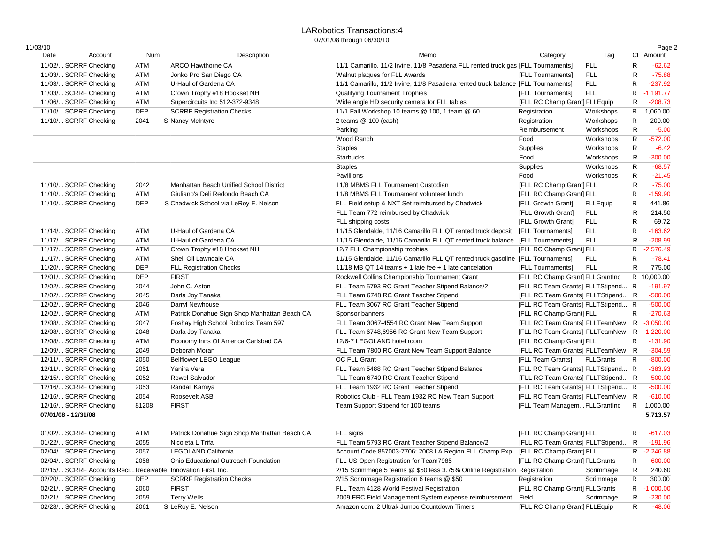#### LARobotics Transactions:4 07/01/08 through 06/30/10

| 11/03/10 |                                                |            |                                                              |                                                                                   |                                    |                  |              | Page 2      |
|----------|------------------------------------------------|------------|--------------------------------------------------------------|-----------------------------------------------------------------------------------|------------------------------------|------------------|--------------|-------------|
| Date     | Account                                        | Num        | Description                                                  | Memo                                                                              | Category                           | Tag              |              | CI Amount   |
|          | 11/02/ SCRRF Checking                          | ATM        | <b>ARCO Hawthorne CA</b>                                     | 11/1 Camarillo, 11/2 Irvine, 11/8 Pasadena FLL rented truck gas [FLL Tournaments] |                                    | <b>FLL</b>       | R            | $-62.62$    |
|          | 11/03/ SCRRF Checking                          | ATM        | Jonko Pro San Diego CA                                       | Walnut plaques for FLL Awards                                                     | [FLL Tournaments]                  | <b>FLL</b>       | R            | $-75.88$    |
|          | 11/03/ SCRRF Checking                          | ATM        | U-Haul of Gardena CA                                         | 11/1 Camarillo, 11/2 Irvine, 11/8 Pasadena rented truck balance [FLL Tournaments] |                                    | <b>FLL</b>       | R            | $-237.92$   |
|          | 11/03/ SCRRF Checking                          | ATM        | Crown Trophy #18 Hookset NH                                  | <b>Qualifying Tournament Trophies</b>                                             | [FLL Tournaments]                  | <b>FLL</b>       | R            | $-1,191.77$ |
|          | 11/06/ SCRRF Checking                          | ATM        | Supercircuits Inc 512-372-9348                               | Wide angle HD security camera for FLL tables                                      | [FLL RC Champ Grant] FLLEquip      |                  | R            | $-208.73$   |
|          | 11/10/ SCRRF Checking                          | DEP        | <b>SCRRF Registration Checks</b>                             | 11/1 Fall Workshop 10 teams @ 100, 1 team @ 60                                    | Registration                       | Workshops        | R            | 1,060.00    |
|          | 11/10/ SCRRF Checking                          | 2041       | S Nancy McIntyre                                             | 2 teams @ 100 (cash)                                                              | Registration                       | Workshops        | $\mathsf{R}$ | 200.00      |
|          |                                                |            |                                                              | Parking                                                                           | Reimbursement                      | Workshops        | $\mathsf{R}$ | $-5.00$     |
|          |                                                |            |                                                              | Wood Ranch                                                                        | Food                               | Workshops        | R            | $-572.00$   |
|          |                                                |            |                                                              | <b>Staples</b>                                                                    | Supplies                           | Workshops        | R            | $-6.42$     |
|          |                                                |            |                                                              | <b>Starbucks</b>                                                                  | Food                               | Workshops        | $\mathsf{R}$ | $-300.00$   |
|          |                                                |            |                                                              | <b>Staples</b>                                                                    | Supplies                           | Workshops        | R            | $-68.57$    |
|          |                                                |            |                                                              | Pavillions                                                                        | Food                               | Workshops        | R            | $-21.45$    |
|          | 11/10/ SCRRF Checking                          | 2042       | Manhattan Beach Unified School District                      | 11/8 MBMS FLL Tournament Custodian                                                | [FLL RC Champ Grant] FLL           |                  | R            | $-75.00$    |
|          | 11/10/ SCRRF Checking                          | ATM        | Giuliano's Deli Redondo Beach CA                             | 11/8 MBMS FLL Tournament volunteer lunch                                          | [FLL RC Champ Grant] FLL           |                  | $\mathsf{R}$ | $-159.90$   |
|          | 11/10/ SCRRF Checking                          | <b>DEP</b> | S Chadwick School via LeRoy E. Nelson                        | FLL Field setup & NXT Set reimbursed by Chadwick                                  | [FLL Growth Grant]                 | <b>FLLEquip</b>  | $\mathsf{R}$ | 441.86      |
|          |                                                |            |                                                              | FLL Team 772 reimbursed by Chadwick                                               |                                    | <b>FLL</b>       | R            | 214.50      |
|          |                                                |            |                                                              |                                                                                   | [FLL Growth Grant]                 |                  |              |             |
|          |                                                |            |                                                              | FLL shipping costs                                                                | [FLL Growth Grant]                 | <b>FLL</b>       | $\mathsf R$  | 69.72       |
|          | 11/14/ SCRRF Checking                          | ATM        | U-Haul of Gardena CA                                         | 11/15 Glendalde, 11/16 Camarillo FLL QT rented truck deposit                      | [FLL Tournaments]                  | <b>FLL</b>       | R            | $-163.62$   |
|          | 11/17/ SCRRF Checking                          | ATM        | U-Haul of Gardena CA                                         | 11/15 Glendalde, 11/16 Camarillo FLL QT rented truck balance [FLL Tournaments]    |                                    | <b>FLL</b>       | $\mathsf{R}$ | $-208.99$   |
|          | 11/17/ SCRRF Checking                          | ATM        | Crown Trophy #18 Hookset NH                                  | 12/7 FLL Championship trophies                                                    | [FLL RC Champ Grant] FLL           |                  | R.           | $-2,576.49$ |
|          | 11/17/ SCRRF Checking                          | ATM        | Shell Oil Lawndale CA                                        | 11/15 Glendalde, 11/16 Camarillo FLL QT rented truck gasoline [FLL Tournaments]   |                                    | <b>FLL</b>       | R            | $-78.41$    |
|          | 11/20/ SCRRF Checking                          | DEP        | <b>FLL Registration Checks</b>                               | 11/18 MB QT 14 teams + 1 late fee + 1 late cancelation                            | [FLL Tournaments]                  | <b>FLL</b>       | R            | 775.00      |
|          | 12/01/ SCRRF Checking                          | <b>DEP</b> | <b>FIRST</b>                                                 | Rockwell Collins Championship Tournament Grant                                    | [FLL RC Champ Grant] FLLGrantInc   |                  |              | R 10,000.00 |
|          | 12/02/ SCRRF Checking                          | 2044       | John C. Aston                                                | FLL Team 5793 RC Grant Teacher Stipend Balance/2                                  | [FLL RC Team Grants] FLLTStipend R |                  |              | $-191.97$   |
|          | 12/02/ SCRRF Checking                          | 2045       | Darla Joy Tanaka                                             | FLL Team 6748 RC Grant Teacher Stipend                                            | [FLL RC Team Grants] FLLTStipend R |                  |              | $-500.00$   |
|          | 12/02/ SCRRF Checking                          | 2046       | Darryl Newhouse                                              | FLL Team 3067 RC Grant Teacher Stipend                                            | [FLL RC Team Grants] FLLTStipend R |                  |              | $-500.00$   |
|          | 12/02/ SCRRF Checking                          | ATM        | Patrick Donahue Sign Shop Manhattan Beach CA                 | Sponsor banners                                                                   | [FLL RC Champ Grant] FLL           |                  | R            | $-270.63$   |
|          | 12/08/ SCRRF Checking                          | 2047       | Foshay High School Robotics Team 597                         | FLL Team 3067-4554 RC Grant New Team Support                                      | [FLL RC Team Grants] FLLTeamNew    |                  | R            | $-3,050.00$ |
|          | 12/08/ SCRRF Checking                          | 2048       | Darla Joy Tanaka                                             | FLL Team 6748,6956 RC Grant New Team Support                                      | [FLL RC Team Grants] FLLTeamNew    |                  | R.           | $-1,220.00$ |
|          | 12/08/ SCRRF Checking                          | ATM        | Economy Inns Of America Carlsbad CA                          | 12/6-7 LEGOLAND hotel room                                                        | [FLL RC Champ Grant] FLL           |                  | R            | $-131.90$   |
|          | 12/09/ SCRRF Checking                          | 2049       | Deborah Moran                                                | FLL Team 7800 RC Grant New Team Support Balance                                   | [FLL RC Team Grants] FLLTeamNew R  |                  |              | $-304.59$   |
|          | 12/11/ SCRRF Checking                          | 2050       | Bellflower LEGO League                                       | OC FLL Grant                                                                      | [FLL Team Grants]                  | <b>FLLGrants</b> | R            | $-800.00$   |
|          | 12/11/ SCRRF Checking                          | 2051       | Yanira Vera                                                  | FLL Team 5488 RC Grant Teacher Stipend Balance                                    | [FLL RC Team Grants] FLLTStipend R |                  |              | $-383.93$   |
|          | 12/15/ SCRRF Checking                          | 2052       | <b>Rowel Salvador</b>                                        | FLL Team 6740 RC Grant Teacher Stipend                                            | [FLL RC Team Grants] FLLTStipend R |                  |              | $-500.00$   |
|          | 12/16/ SCRRF Checking                          | 2053       | Randall Kamiya                                               | FLL Team 1932 RC Grant Teacher Stipend                                            | [FLL RC Team Grants] FLLTStipend R |                  |              | $-500.00$   |
|          | 12/16/ SCRRF Checking                          | 2054       | Roosevelt ASB                                                | Robotics Club - FLL Team 1932 RC New Team Support                                 | [FLL RC Team Grants] FLLTeamNew R  |                  |              | $-610.00$   |
|          | 12/16/ SCRRF Checking                          | 81208      | <b>FIRST</b>                                                 | Team Support Stipend for 100 teams                                                | [FLL Team ManagemFLLGrantInc       |                  | R            | 1,000.00    |
|          | 07/01/08 - 12/31/08                            |            |                                                              |                                                                                   |                                    |                  |              | 5,713.57    |
|          | 01/02/ SCRRF Checking                          | ATM        | Patrick Donahue Sign Shop Manhattan Beach CA                 | FLL signs                                                                         | [FLL RC Champ Grant] FLL           |                  | R            | $-617.03$   |
|          | 01/22/ SCRRF Checking                          | 2055       | Nicoleta L Trifa                                             | FLL Team 5793 RC Grant Teacher Stipend Balance/2                                  | [FLL RC Team Grants] FLLTStipend   |                  | R            | $-191.96$   |
|          |                                                |            | LEGOLAND California                                          | Account Code 857003-7706; 2008 LA Region FLL Champ Exp [FLL RC Champ Grant] FLL   |                                    |                  |              |             |
|          | 02/04/ SCRRF Checking<br>02/04/ SCRRF Checking | 2057       | Ohio Educational Outreach Foundation                         |                                                                                   | [FLL RC Champ Grant] FLLGrants     |                  |              | R -2,246.88 |
|          |                                                | 2058       |                                                              | FLL US Open Registration for Team7985                                             |                                    |                  | R            | $-600.00$   |
|          |                                                |            | 02/15/ SCRRF Accounts Reci Receivable Innovation First, Inc. | 2/15 Scrimmage 5 teams @ \$50 less 3.75% Online Registration Registration         |                                    | Scrimmage        | R            | 240.60      |
|          | 02/20/ SCRRF Checking                          | DEP        | <b>SCRRF Registration Checks</b>                             | 2/15 Scrimmage Registration 6 teams @ \$50                                        | Registration                       | Scrimmage        | R            | 300.00      |
|          | 02/21/ SCRRF Checking                          | 2060       | <b>FIRST</b>                                                 | FLL Team 4128 World Festival Registration                                         | [FLL RC Champ Grant] FLLGrants     |                  | R            | $-1,000.00$ |
|          | 02/21/ SCRRF Checking                          | 2059       | <b>Terry Wells</b>                                           | 2009 FRC Field Management System expense reimbursement                            | Field                              | Scrimmage        | R            | $-230.00$   |
|          | 02/28/ SCRRF Checking                          | 2061       | S LeRoy E. Nelson                                            | Amazon.com: 2 Ultrak Jumbo Countdown Timers                                       | [FLL RC Champ Grant] FLLEquip      |                  | R            | $-48.06$    |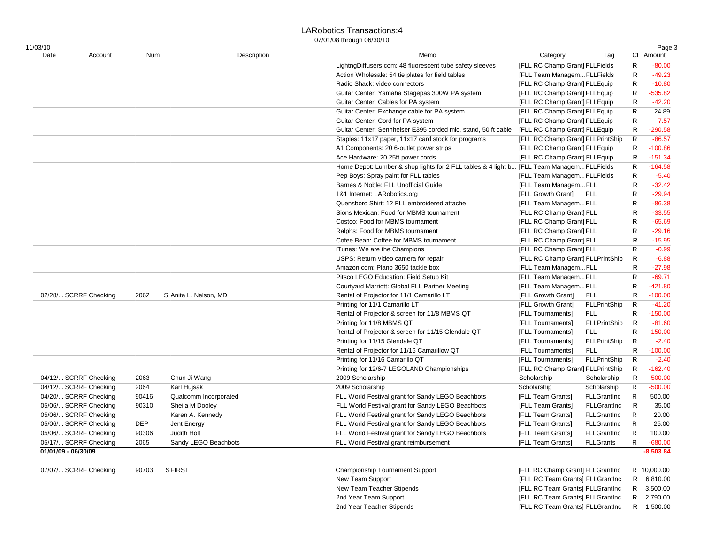#### LARobotics Transactions:4

| 11/03/10              |       |                       |             | Memo                                                                                     |                                   |                     |             | Page 3      |
|-----------------------|-------|-----------------------|-------------|------------------------------------------------------------------------------------------|-----------------------------------|---------------------|-------------|-------------|
| Date<br>Account       | Num   |                       | Description |                                                                                          | Category                          | Tag                 |             | CI Amount   |
|                       |       |                       |             | LightngDiffusers.com: 48 fluorescent tube safety sleeves                                 | [FLL RC Champ Grant] FLLFields    |                     | R           | $-80.00$    |
|                       |       |                       |             | Action Wholesale: 54 tie plates for field tables                                         | [FLL Team Managem FLLFields       |                     | R           | $-49.23$    |
|                       |       |                       |             | Radio Shack: video connectors                                                            | [FLL RC Champ Grant] FLLEquip     |                     | R           | $-10.80$    |
|                       |       |                       |             | Guitar Center: Yamaha Stagepas 300W PA system                                            | [FLL RC Champ Grant] FLLEquip     |                     | R           | $-535.82$   |
|                       |       |                       |             | Guitar Center: Cables for PA system                                                      | [FLL RC Champ Grant] FLLEquip     |                     | R           | $-42.20$    |
|                       |       |                       |             | Guitar Center: Exchange cable for PA system                                              | [FLL RC Champ Grant] FLLEquip     |                     | R           | 24.89       |
|                       |       |                       |             | Guitar Center: Cord for PA system                                                        | [FLL RC Champ Grant] FLLEquip     |                     | R           | $-7.57$     |
|                       |       |                       |             | Guitar Center: Sennheiser E395 corded mic, stand, 50 ft cable                            | [FLL RC Champ Grant] FLLEquip     |                     | R           | $-290.58$   |
|                       |       |                       |             | Staples: 11x17 paper, 11x17 card stock for programs                                      | [FLL RC Champ Grant] FLLPrintShip |                     | R           | $-86.57$    |
|                       |       |                       |             | A1 Components: 20 6-outlet power strips                                                  | [FLL RC Champ Grant] FLLEquip     |                     | R           | $-100.86$   |
|                       |       |                       |             | Ace Hardware: 20 25ft power cords                                                        | [FLL RC Champ Grant] FLLEquip     |                     | R           | $-151.34$   |
|                       |       |                       |             | Home Depot: Lumber & shop lights for 2 FLL tables & 4 light b [FLL Team ManagemFLLFields |                                   |                     | R           | $-164.58$   |
|                       |       |                       |             | Pep Boys: Spray paint for FLL tables                                                     | [FLL Team ManagemFLLFields        |                     | R           | $-5.40$     |
|                       |       |                       |             | Barnes & Noble: FLL Unofficial Guide                                                     | [FLL Team ManagemFLL              |                     | R           | $-32.42$    |
|                       |       |                       |             | 1&1 Internet: LARobotics.org                                                             | [FLL Growth Grant]                | FLL                 | $\mathsf R$ | $-29.94$    |
|                       |       |                       |             | Quensboro Shirt: 12 FLL embroidered attache                                              | [FLL Team ManagemFLL              |                     | R           | $-86.38$    |
|                       |       |                       |             | Sions Mexican: Food for MBMS tournament                                                  | [FLL RC Champ Grant] FLL          |                     | R           | $-33.55$    |
|                       |       |                       |             | Costco: Food for MBMS tournament                                                         | [FLL RC Champ Grant] FLL          |                     | $\mathsf R$ | $-65.69$    |
|                       |       |                       |             | Ralphs: Food for MBMS tournament                                                         | [FLL RC Champ Grant] FLL          |                     | R           | $-29.16$    |
|                       |       |                       |             | Cofee Bean: Coffee for MBMS tournament                                                   | [FLL RC Champ Grant] FLL          |                     | R           | $-15.95$    |
|                       |       |                       |             | iTunes: We are the Champions                                                             | [FLL RC Champ Grant] FLL          |                     | R           | $-0.99$     |
|                       |       |                       |             | USPS: Return video camera for repair                                                     | [FLL RC Champ Grant] FLLPrintShip |                     | R           | $-6.88$     |
|                       |       |                       |             | Amazon.com: Plano 3650 tackle box                                                        | [FLL Team ManagemFLL              |                     | R           | $-27.98$    |
|                       |       |                       |             | Pitsco LEGO Education: Field Setup Kit                                                   | [FLL Team ManagemFLL              |                     | $\mathsf R$ | $-69.71$    |
|                       |       |                       |             | Courtyard Marriott: Global FLL Partner Meeting                                           | [FLL Team ManagemFLL              |                     | R           | -421.80     |
| 02/28/ SCRRF Checking | 2062  | S Anita L. Nelson, MD |             | Rental of Projector for 11/1 Camarillo LT                                                | [FLL Growth Grant]                | <b>FLL</b>          | R           | $-100.00$   |
|                       |       |                       |             |                                                                                          |                                   |                     |             |             |
|                       |       |                       |             | Printing for 11/1 Camarillo LT                                                           | [FLL Growth Grant]                | <b>FLLPrintShip</b> | R           | $-41.20$    |
|                       |       |                       |             | Rental of Projector & screen for 11/8 MBMS QT                                            | [FLL Tournaments]                 | <b>FLL</b>          | R           | $-150.00$   |
|                       |       |                       |             | Printing for 11/8 MBMS QT                                                                | [FLL Tournaments]                 | FLLPrintShip        | R           | $-81.60$    |
|                       |       |                       |             | Rental of Projector & screen for 11/15 Glendale QT                                       | [FLL Tournaments]                 | <b>FLL</b>          | R           | $-150.00$   |
|                       |       |                       |             | Printing for 11/15 Glendale QT                                                           | [FLL Tournaments]                 | <b>FLLPrintShip</b> | R           | $-2.40$     |
|                       |       |                       |             | Rental of Projector for 11/16 Camarillow QT                                              | [FLL Tournaments]                 | <b>FLL</b>          | R           | $-100.00$   |
|                       |       |                       |             | Printing for 11/16 Camarillo QT                                                          | [FLL Tournaments]                 | <b>FLLPrintShip</b> | R           | $-2.40$     |
|                       |       |                       |             | Printing for 12/6-7 LEGOLAND Championships                                               | [FLL RC Champ Grant] FLLPrintShip |                     | R           | $-162.40$   |
| 04/12/ SCRRF Checking | 2063  | Chun Ji Wang          |             | 2009 Scholarship                                                                         | Scholarship                       | Scholarship         | R           | $-500.00$   |
| 04/12/ SCRRF Checking | 2064  | Karl Hujsak           |             | 2009 Scholarship                                                                         | Scholarship                       | Scholarship         | R           | $-500.00$   |
| 04/20/ SCRRF Checking | 90416 | Qualcomm Incorporated |             | FLL World Festival grant for Sandy LEGO Beachbots                                        | [FLL Team Grants]                 | <b>FLLGrantInc</b>  | R           | 500.00      |
| 05/06/ SCRRF Checking | 90310 | Sheila M Dooley       |             | FLL World Festival grant for Sandy LEGO Beachbots                                        | [FLL Team Grants]                 | FLLGrantInc         | R           | 35.00       |
| 05/06/ SCRRF Checking |       | Karen A. Kennedy      |             | FLL World Festival grant for Sandy LEGO Beachbots                                        | [FLL Team Grants]                 | <b>FLLGrantInc</b>  | R           | 20.00       |
| 05/06/ SCRRF Checking | DEP   | Jent Energy           |             | FLL World Festival grant for Sandy LEGO Beachbots                                        | [FLL Team Grants]                 | <b>FLLGrantInc</b>  | R           | 25.00       |
| 05/06/ SCRRF Checking | 90306 | Judith Holt           |             | FLL World Festival grant for Sandy LEGO Beachbots                                        | [FLL Team Grants]                 | <b>FLLGrantInc</b>  | R           | 100.00      |
| 05/17/ SCRRF Checking | 2065  | Sandy LEGO Beachbots  |             | FLL World Festival grant reimbursement                                                   | [FLL Team Grants]                 | <b>FLLGrants</b>    | R           | $-680.00$   |
| 01/01/09 - 06/30/09   |       |                       |             |                                                                                          |                                   |                     |             | $-8,503.84$ |
| 07/07/ SCRRF Checking | 90703 | <b>SFIRST</b>         |             | Championship Tournament Support                                                          | [FLL RC Champ Grant] FLLGrantInc  |                     |             | R 10,000.00 |
|                       |       |                       |             | New Team Support                                                                         | [FLL RC Team Grants] FLLGrantInc  |                     |             | R 6,810.00  |
|                       |       |                       |             | New Team Teacher Stipends                                                                | [FLL RC Team Grants] FLLGrantInc  |                     |             | R 3,500.00  |
|                       |       |                       |             | 2nd Year Team Support                                                                    | [FLL RC Team Grants] FLLGrantInc  |                     | R.          | 2,790.00    |
|                       |       |                       |             | 2nd Year Teacher Stipends                                                                | [FLL RC Team Grants] FLLGrantInc  |                     |             | R 1,500.00  |
|                       |       |                       |             |                                                                                          |                                   |                     |             |             |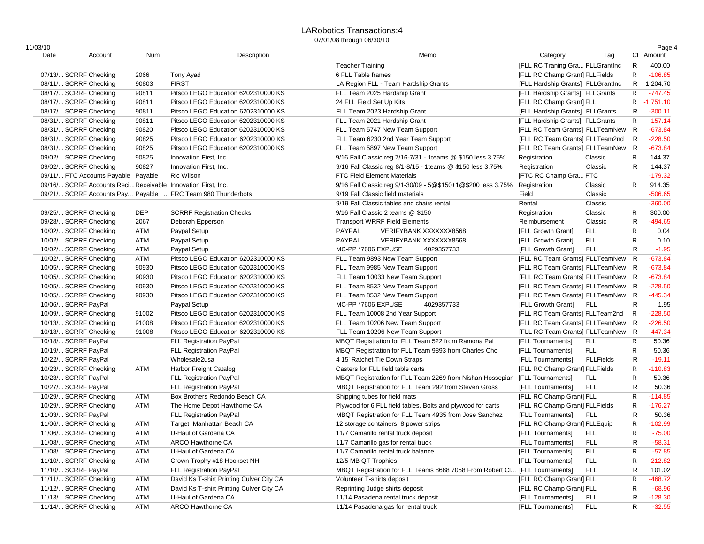#### LARobotics Transactions:4 07/01/08 through 06/30/10

| 11/03/10 |                                                              |            |                                                             |                                                                             |                                   |                  |              | Page 4      |
|----------|--------------------------------------------------------------|------------|-------------------------------------------------------------|-----------------------------------------------------------------------------|-----------------------------------|------------------|--------------|-------------|
| Date     | Account                                                      | Num        | Description                                                 | Memo                                                                        | Category                          | Tag              |              | CI Amount   |
|          |                                                              |            |                                                             | <b>Teacher Training</b>                                                     | [FLL RC Traning Gra FLLGrantInc   |                  | $\mathsf{R}$ | 400.00      |
|          | 07/13/ SCRRF Checking                                        | 2066       | <b>Tony Ayad</b>                                            | 6 FLL Table frames                                                          | [FLL RC Champ Grant] FLLFields    |                  | $\mathsf{R}$ | $-106.85$   |
|          | 08/11/ SCRRF Checking                                        | 90803      | <b>FIRST</b>                                                | LA Region FLL - Team Hardship Grants                                        | [FLL Hardship Grants] FLLGrantInc |                  | $\mathsf{R}$ | 1,204.70    |
|          | 08/17/ SCRRF Checking                                        | 90811      | Pitsco LEGO Education 6202310000 KS                         | FLL Team 2025 Hardship Grant                                                | [FLL Hardship Grants] FLLGrants   |                  | $\mathsf{R}$ | $-747.45$   |
|          | 08/17/ SCRRF Checking                                        | 90811      | Pitsco LEGO Education 6202310000 KS                         | 24 FLL Field Set Up Kits                                                    | [FLL RC Champ Grant] FLL          |                  | R            | $-1,751.10$ |
|          | 08/17/ SCRRF Checking                                        | 90811      | Pitsco LEGO Education 6202310000 KS                         | FLL Team 2023 Hardship Grant                                                | [FLL Hardship Grants] FLLGrants   |                  | R            | $-300.11$   |
|          | 08/31/ SCRRF Checking                                        | 90811      | Pitsco LEGO Education 6202310000 KS                         | FLL Team 2021 Hardship Grant                                                | [FLL Hardship Grants] FLLGrants   |                  | R            | $-157.14$   |
|          | 08/31/ SCRRF Checking                                        | 90820      | Pitsco LEGO Education 6202310000 KS                         | FLL Team 5747 New Team Support                                              | [FLL RC Team Grants] FLLTeamNew   |                  | R            | $-673.84$   |
|          | 08/31/ SCRRF Checking                                        | 90825      | Pitsco LEGO Education 6202310000 KS                         | FLL Team 6230 2nd Year Team Support                                         | [FLL RC Team Grants] FLLTeam2nd   |                  | $\mathsf{R}$ | $-228.50$   |
|          | 08/31/ SCRRF Checking                                        | 90825      | Pitsco LEGO Education 6202310000 KS                         | FLL Team 5897 New Team Support                                              | [FLL RC Team Grants] FLLTeamNew   |                  | $\mathsf{R}$ | $-673.84$   |
|          | 09/02/ SCRRF Checking                                        | 90825      | Innovation First, Inc.                                      | 9/16 Fall Classic reg 7/16-7/31 - 1teams @ \$150 less 3.75%                 | Registration                      | Classic          | R            | 144.37      |
|          | 09/02/ SCRRF Checking                                        | 90827      | Innovation First, Inc.                                      | 9/16 Fall Classic reg 8/1-8/15 - 1teams @ \$150 less 3.75%                  | Registration                      | Classic          | R            | 144.37      |
|          | 09/11/ FTC Accounts Payable Payable                          |            | <b>Ric Wilson</b>                                           | <b>FTC Field Element Materials</b>                                          | <b>IFTC RC Champ Gra FTC</b>      |                  |              | $-179.32$   |
|          | 09/16/ SCRRF Accounts Reci Receivable Innovation First, Inc. |            |                                                             | 9/16 Fall Classic reg 9/1-30/09 - 5@\$150+1@\$200 less 3.75%                | Registration                      | Classic          | R            | 914.35      |
|          |                                                              |            | 09/21/ SCRRF Accounts Pay Payable  FRC Team 980 Thunderbots | 9/19 Fall Classic field materials                                           | Field                             | Classic          |              | $-506.65$   |
|          |                                                              |            |                                                             | 9/19 Fall Classic tables and chairs rental                                  | Rental                            | Classic          |              | $-360.00$   |
|          | 09/25/ SCRRF Checking                                        | <b>DEP</b> | <b>SCRRF Registration Checks</b>                            | 9/16 Fall Classic 2 teams @ \$150                                           | Registration                      | Classic          | R            | 300.00      |
|          | 09/28/ SCRRF Checking                                        | 2067       | Deborah Epperson                                            | <b>Transport WRRF Field Elements</b>                                        | Reimbursement                     | Classic          | $\mathsf{R}$ | $-494.65$   |
|          | 10/02/ SCRRF Checking                                        | ATM        | Paypal Setup                                                | PAYPAL<br>VERIFYBANK XXXXXXX8568                                            | [FLL Growth Grant]                | <b>FLL</b>       | ${\sf R}$    | 0.04        |
|          | 10/02/ SCRRF Checking                                        | ATM        | Paypal Setup                                                | <b>PAYPAL</b><br>VERIFYBANK XXXXXXX8568                                     | [FLL Growth Grant]                | <b>FLL</b>       | $\mathsf{R}$ | 0.10        |
|          | 10/02/ SCRRF Checking                                        | ATM        | Paypal Setup                                                | MC-PP *7606 EXPUSE<br>4029357733                                            | [FLL Growth Grant]                | <b>FLL</b>       | $\mathsf{R}$ | $-1.95$     |
|          | 10/02/ SCRRF Checking                                        | ATM        | Pitsco LEGO Education 6202310000 KS                         | FLL Team 9893 New Team Support                                              | [FLL RC Team Grants] FLLTeamNew   |                  | $\mathsf{R}$ | $-673.84$   |
|          | 10/05/ SCRRF Checking                                        | 90930      | Pitsco LEGO Education 6202310000 KS                         | FLL Team 9985 New Team Support                                              | [FLL RC Team Grants] FLLTeamNew   |                  | R            | $-673.84$   |
|          | 10/05/ SCRRF Checking                                        | 90930      | Pitsco LEGO Education 6202310000 KS                         | FLL Team 10033 New Team Support                                             | [FLL RC Team Grants] FLLTeamNew   |                  | R            | $-673.84$   |
|          | 10/05/ SCRRF Checking                                        | 90930      | Pitsco LEGO Education 6202310000 KS                         | FLL Team 8532 New Team Support                                              | [FLL RC Team Grants] FLLTeamNew   |                  | R            | $-228.50$   |
|          | 10/05/ SCRRF Checking                                        | 90930      | Pitsco LEGO Education 6202310000 KS                         | FLL Team 8532 New Team Support                                              | [FLL RC Team Grants] FLLTeamNew   |                  | R            | $-445.34$   |
|          | 10/06/ SCRRF PayPal                                          |            | <b>Paypal Setup</b>                                         | MC-PP *7606 EXPUSE<br>4029357733                                            | [FLL Growth Grant]                | <b>FLL</b>       | R            | 1.95        |
|          | 10/09/ SCRRF Checking                                        | 91002      | Pitsco LEGO Education 6202310000 KS                         | FLL Team 10008 2nd Year Support                                             | [FLL RC Team Grants] FLLTeam2nd   |                  | $\mathsf{R}$ | $-228.50$   |
|          | 10/13/ SCRRF Checking                                        | 91008      | Pitsco LEGO Education 6202310000 KS                         | FLL Team 10206 New Team Support                                             | [FLL RC Team Grants] FLLTeamNew   |                  | R            | $-226.50$   |
|          | 10/13/ SCRRF Checking                                        | 91008      | Pitsco LEGO Education 6202310000 KS                         | FLL Team 10206 New Team Support                                             | [FLL RC Team Grants] FLLTeamNew   |                  | R            | $-447.34$   |
|          | 10/18/ SCRRF PayPal                                          |            | <b>FLL Registration PayPal</b>                              | MBQT Registration for FLL Team 522 from Ramona Pal                          | [FLL Tournaments]                 | <b>FLL</b>       | $\mathsf{R}$ | 50.36       |
|          | 10/19/ SCRRF PayPal                                          |            | <b>FLL Registration PayPal</b>                              | MBQT Registration for FLL Team 9893 from Charles Cho                        | [FLL Tournaments]                 | <b>FLL</b>       | $\mathsf{R}$ | 50.36       |
|          | 10/22/ SCRRF PayPal                                          |            | Wholesale2usa                                               | 4 15' Ratchet Tie Down Straps                                               | [FLL Tournaments]                 | <b>FLLFields</b> | $\mathsf{R}$ | $-19.11$    |
|          | 10/23/ SCRRF Checking                                        | ATM        | Harbor Freight Catalog                                      | Casters for FLL field table carts                                           | [FLL RC Champ Grant] FLLFields    |                  | $\mathsf{R}$ | $-110.83$   |
|          | 10/23/ SCRRF PayPal                                          |            | <b>FLL Registration PayPal</b>                              | MBQT Registration for FLL Team 2269 from Nishan Hossepian [FLL Tournaments] |                                   | <b>FLL</b>       | R            | 50.36       |
|          | 10/27/ SCRRF PayPal                                          |            | FLL Registration PayPal                                     | MBQT Registration for FLL Team 292 from Steven Gross                        | [FLL Tournaments]                 | <b>FLL</b>       | R            | 50.36       |
|          | 10/29/ SCRRF Checking                                        | ATM        | Box Brothers Redondo Beach CA                               | Shipping tubes for field mats                                               | [FLL RC Champ Grant] FLL          |                  | $\mathsf{R}$ | $-114.85$   |
|          | 10/29/ SCRRF Checking                                        | ATM        | The Home Depot Hawthorne CA                                 | Plywood for 6 FLL field tables, Bolts and plywood for carts                 | [FLL RC Champ Grant] FLLFields    |                  | $\mathsf{R}$ | $-176.27$   |
|          | 11/03/ SCRRF PayPal                                          |            | FLL Registration PayPal                                     | MBQT Registration for FLL Team 4935 from Jose Sanchez                       | [FLL Tournaments]                 | <b>FLL</b>       | R            | 50.36       |
|          | 11/06/ SCRRF Checking                                        | ATM        | Target Manhattan Beach CA                                   | 12 storage containers, 8 power strips                                       | [FLL RC Champ Grant] FLLEquip     |                  | $\mathsf{R}$ | $-102.99$   |
|          | 11/06/ SCRRF Checking                                        | ATM        | U-Haul of Gardena CA                                        | 11/7 Camarillo rental truck deposit                                         | [FLL Tournaments]                 | <b>FLL</b>       | $\mathsf{R}$ | $-75.00$    |
|          |                                                              | <b>ATM</b> |                                                             |                                                                             |                                   | <b>FLL</b>       | R            | $-58.31$    |
|          | 11/08/ SCRRF Checking                                        |            | <b>ARCO Hawthorne CA</b>                                    | 11/7 Camarillo gas for rental truck                                         | [FLL Tournaments]                 |                  | $\mathsf{R}$ | $-57.85$    |
|          | 11/08/ SCRRF Checking                                        | ATM        | U-Haul of Gardena CA                                        | 11/7 Camarillo rental truck balance                                         | [FLL Tournaments]                 | <b>FLL</b>       |              |             |
|          | 11/10/ SCRRF Checking                                        | ATM        | Crown Trophy #18 Hookset NH                                 | 12/5 MB QT Trophies                                                         | [FLL Tournaments]                 | <b>FLL</b>       | $\mathsf{R}$ | $-212.82$   |
|          | 11/10/ SCRRF PayPal                                          |            | <b>FLL Registration PayPal</b>                              | MBQT Registration for FLL Teams 8688 7058 From Robert Cl [FLL Tournaments]  |                                   | <b>FLL</b>       | $\mathsf{R}$ | 101.02      |
|          | 11/11/ SCRRF Checking                                        | ATM        | David Ks T-shirt Printing Culver City CA                    | Volunteer T-shirts deposit                                                  | [FLL RC Champ Grant] FLL          |                  | $\mathsf{R}$ | $-468.72$   |
|          | 11/12/ SCRRF Checking                                        | ATM        | David Ks T-shirt Printing Culver City CA                    | Reprinting Judge shirts deposit                                             | [FLL RC Champ Grant] FLL          |                  | $\mathsf{R}$ | $-68.96$    |
|          | 11/13/ SCRRF Checking                                        | ATM        | U-Haul of Gardena CA                                        | 11/14 Pasadena rental truck deposit                                         | [FLL Tournaments]                 | <b>FLL</b>       | $\mathsf{R}$ | $-128.30$   |
|          | 11/14/ SCRRF Checking                                        | <b>ATM</b> | <b>ARCO Hawthorne CA</b>                                    | 11/14 Pasadena gas for rental truck                                         | [FLL Tournaments]                 | <b>FLL</b>       | $\mathsf{R}$ | $-32.55$    |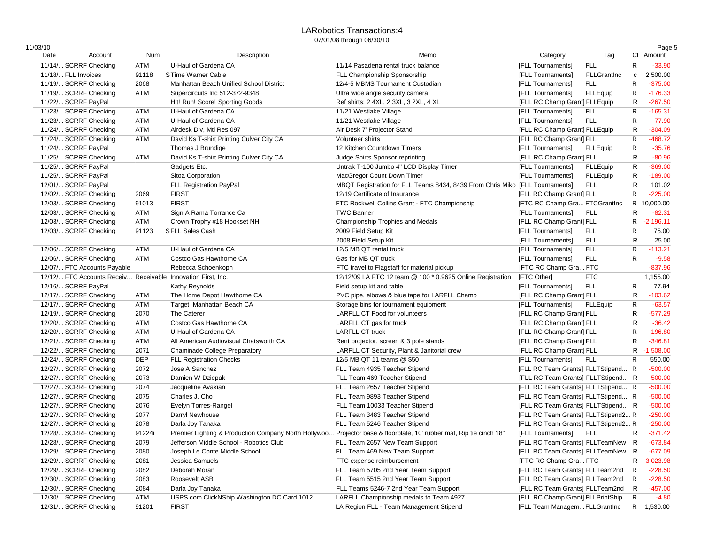#### LARobotics Transactions:4 07/01/08 through 06/30/10

| 11/03/10 |                                                              |            |                                             |                                                                                                                     |                                      |                 |              | Page 5      |
|----------|--------------------------------------------------------------|------------|---------------------------------------------|---------------------------------------------------------------------------------------------------------------------|--------------------------------------|-----------------|--------------|-------------|
| Date     | Account                                                      | Num        | Description                                 | Memo                                                                                                                | Category                             | Tag             |              | CI Amount   |
|          | 11/14/ SCRRF Checking                                        | ATM        | U-Haul of Gardena CA                        | 11/14 Pasadena rental truck balance                                                                                 | [FLL Tournaments]                    | <b>FLL</b>      | R            | $-33.90$    |
|          | 11/18/ FLL Invoices                                          | 91118      | STime Warner Cable                          | FLL Championship Sponsorship                                                                                        | [FLL Tournaments]                    | FLLGrantInc     | $\mathtt{C}$ | 2,500.00    |
|          | 11/19/ SCRRF Checking                                        | 2068       | Manhattan Beach Unified School District     | 12/4-5 MBMS Tournament Custodian                                                                                    | [FLL Tournaments]                    | <b>FLL</b>      | R            | $-375.00$   |
|          | 11/19/ SCRRF Checking                                        | ATM        | Supercircuits Inc 512-372-9348              | Ultra wide angle security camera                                                                                    | [FLL Tournaments]                    | <b>FLLEquip</b> | R            | $-176.33$   |
|          | 11/22/ SCRRF PayPal                                          |            | Hit! Run! Score! Sporting Goods             | Ref shirts: 2 4XL, 2 3XL, 3 2XL, 4 XL                                                                               | [FLL RC Champ Grant] FLLEquip        |                 | R            | $-267.50$   |
|          | 11/23/ SCRRF Checking                                        | ATM        | U-Haul of Gardena CA                        | 11/21 Westlake Village                                                                                              | [FLL Tournaments]                    | FLL             | $\mathsf{R}$ | $-165.31$   |
|          | 11/23/ SCRRF Checking                                        | ATM        | U-Haul of Gardena CA                        | 11/21 Westlake Village                                                                                              | [FLL Tournaments]                    | <b>FLL</b>      | R            | $-77.90$    |
|          | 11/24/ SCRRF Checking                                        | ATM        | Airdesk Div, Mti Res 097                    | Air Desk 7' Projector Stand                                                                                         | [FLL RC Champ Grant] FLLEquip        |                 | R            | $-304.09$   |
|          | 11/24/ SCRRF Checking                                        | ATM        | David Ks T-shirt Printing Culver City CA    | Volunteer shirts                                                                                                    | [FLL RC Champ Grant] FLL             |                 | $\mathsf{R}$ | $-468.72$   |
|          | 11/24/ SCRRF PayPal                                          |            | Thomas J Brundige                           | 12 Kitchen Countdown Timers                                                                                         | [FLL Tournaments]                    | FLLEquip        | R            | $-35.76$    |
|          | 11/25/ SCRRF Checking                                        | ATM        | David Ks T-shirt Printing Culver City CA    | Judge Shirts Sponsor reprinting                                                                                     | [FLL RC Champ Grant] FLL             |                 | R            | $-80.96$    |
|          | 11/25/ SCRRF PayPal                                          |            | Gadgets Etc.                                | Untrak T-100 Jumbo 4" LCD Display Timer                                                                             | [FLL Tournaments]                    | <b>FLLEquip</b> | R            | $-369.00$   |
|          | 11/25/ SCRRF PayPal                                          |            | Sitoa Corporation                           | MacGregor Count Down Timer                                                                                          | [FLL Tournaments]                    | <b>FLLEquip</b> | R            | $-189.00$   |
|          | 12/01/ SCRRF PayPal                                          |            | <b>FLL Registration PayPal</b>              | MBQT Registration for FLL Teams 8434, 8439 From Chris Miko [FLL Tournaments]                                        |                                      | FLL             | R            | 101.02      |
|          | 12/02/ SCRRF Checking                                        | 2069       | <b>FIRST</b>                                | 12/19 Certificate of Insurance                                                                                      | [FLL RC Champ Grant] FLL             |                 | $\mathsf{R}$ | $-225.00$   |
|          | 12/03/ SCRRF Checking                                        | 91013      | <b>FIRST</b>                                | FTC Rockwell Collins Grant - FTC Championship                                                                       | <b>[FTC RC Champ Gra FTCGrantInc</b> |                 |              | R 10,000.00 |
|          | 12/03/ SCRRF Checking                                        | ATM        | Sign A Rama Torrance Ca                     | <b>TWC Banner</b>                                                                                                   | [FLL Tournaments]                    | <b>FLL</b>      | R            | $-82.31$    |
|          | 12/03/ SCRRF Checking                                        | ATM        | Crown Trophy #18 Hookset NH                 | Championship Trophies and Medals                                                                                    | [FLL RC Champ Grant] FLL             |                 |              | R -2,196.11 |
|          | 12/03/ SCRRF Checking                                        | 91123      | <b>SFLL Sales Cash</b>                      | 2009 Field Setup Kit                                                                                                | [FLL Tournaments]                    | <b>FLL</b>      | R            | 75.00       |
|          |                                                              |            |                                             |                                                                                                                     |                                      |                 |              |             |
|          |                                                              |            |                                             | 2008 Field Setup Kit                                                                                                | [FLL Tournaments]                    | <b>FLL</b>      | R            | 25.00       |
|          | 12/06/ SCRRF Checking                                        | ATM        | U-Haul of Gardena CA                        | 12/5 MB QT rental truck                                                                                             | [FLL Tournaments]                    | <b>FLL</b>      | $\mathsf{R}$ | $-113.21$   |
|          | 12/06/ SCRRF Checking                                        | ATM        | Costco Gas Hawthorne CA                     | Gas for MB QT truck                                                                                                 | [FLL Tournaments]                    | <b>FLL</b>      | $\mathsf{R}$ | $-9.58$     |
|          | 12/07/ FTC Accounts Payable                                  |            | Rebecca Schoenkoph                          | FTC travel to Flagstaff for material pickup                                                                         | <b>IFTC RC Champ Gra FTC</b>         |                 |              | $-837.96$   |
|          | 12/12/ FTC Accounts Receiv Receivable Innovation First, Inc. |            |                                             | 12/12/09 LA FTC 12 team @ 100 * 0.9625 Online Registration                                                          | [FTC Other]                          | <b>FTC</b>      |              | 1,155.00    |
|          | 12/16/ SCRRF PayPal                                          |            | Kathy Reynolds                              | Field setup kit and table                                                                                           | [FLL Tournaments]                    | <b>FLL</b>      | R            | 77.94       |
|          | 12/17/ SCRRF Checking                                        | ATM        | The Home Depot Hawthorne CA                 | PVC pipe, elbows & blue tape for LARFLL Champ                                                                       | [FLL RC Champ Grant] FLL             |                 | R            | $-103.62$   |
|          | 12/17/ SCRRF Checking                                        | ATM        | Target Manhattan Beach CA                   | Storage bins for tournament equipment                                                                               | [FLL Tournaments]                    | <b>FLLEquip</b> | $\mathsf{R}$ | $-63.57$    |
|          | 12/19/ SCRRF Checking                                        | 2070       | The Caterer                                 | <b>LARFLL CT Food for volunteers</b>                                                                                | [FLL RC Champ Grant] FLL             |                 | R            | $-577.29$   |
|          | 12/20/ SCRRF Checking                                        | ATM        | Costco Gas Hawthorne CA                     | LARFLL CT gas for truck                                                                                             | [FLL RC Champ Grant] FLL             |                 | R            | $-36.42$    |
|          | 12/20/ SCRRF Checking                                        | ATM        | U-Haul of Gardena CA                        | <b>LARFLL CT truck</b>                                                                                              | [FLL RC Champ Grant] FLL             |                 | $\mathsf{R}$ | $-196.80$   |
|          | 12/21/ SCRRF Checking                                        | ATM        | All American Audiovisual Chatsworth CA      | Rent projector, screen & 3 pole stands                                                                              | [FLL RC Champ Grant] FLL             |                 | R            | $-346.81$   |
|          | 12/22/ SCRRF Checking                                        | 2071       | Chaminade College Preparatory               | LARFLL CT Security, Plant & Janitorial crew                                                                         | [FLL RC Champ Grant] FLL             |                 | R            | $-1,508.00$ |
|          | 12/24/ SCRRF Checking                                        | <b>DEP</b> | <b>FLL Registration Checks</b>              | 12/5 MB QT 11 teams @ \$50                                                                                          | [FLL Tournaments]                    | FLL             | R            | 550.00      |
|          | 12/27/ SCRRF Checking                                        | 2072       | Jose A Sanchez                              | FLL Team 4935 Teacher Stipend                                                                                       | [FLL RC Team Grants] FLLTStipend R   |                 |              | $-500.00$   |
|          | 12/27/ SCRRF Checking                                        | 2073       | Damien W Dziepak                            | FLL Team 469 Teacher Stipend                                                                                        | [FLL RC Team Grants] FLLTStipend R   |                 |              | $-500.00$   |
|          | 12/27/ SCRRF Checking                                        | 2074       | Jacqueline Avakian                          | FLL Team 2657 Teacher Stipend                                                                                       | [FLL RC Team Grants] FLLTStipend R   |                 |              | $-500.00$   |
|          | 12/27/ SCRRF Checking                                        | 2075       | Charles J. Cho                              | FLL Team 9893 Teacher Stipend                                                                                       | [FLL RC Team Grants] FLLTStipend R   |                 |              | $-500.00$   |
|          | 12/27/ SCRRF Checking                                        | 2076       | Evelyn Torres-Rangel                        | FLL Team 10033 Teacher Stipend                                                                                      | [FLL RC Team Grants] FLLTStipend R   |                 |              | $-500.00$   |
|          | 12/27/ SCRRF Checking                                        | 2077       | Darryl Newhouse                             | FLL Team 3483 Teacher Stipend                                                                                       | [FLL RC Team Grants] FLLTStipend2 R  |                 |              | $-250.00$   |
|          | 12/27/ SCRRF Checking                                        | 2078       | Darla Joy Tanaka                            | FLL Team 5246 Teacher Stipend                                                                                       | [FLL RC Team Grants] FLLTStipend2 R  |                 |              | $-250.00$   |
|          | 12/28/ SCRRF Checking                                        | 91224i     |                                             | Premier Lighting & Production Company North Hollywoo Projector base & floorplate, 10' rubber mat, Rip tie cinch 18" | [FLL Tournaments]                    | <b>FLL</b>      | R            | $-371.42$   |
|          | 12/28/ SCRRF Checking                                        | 2079       | Jefferson Middle School - Robotics Club     | FLL Team 2657 New Team Support                                                                                      | [FLL RC Team Grants] FLLTeamNew R    |                 |              | $-673.84$   |
|          | 12/29/ SCRRF Checking                                        | 2080       | Joseph Le Conte Middle School               | FLL Team 469 New Team Support                                                                                       | [FLL RC Team Grants] FLLTeamNew R    |                 |              | $-677.09$   |
|          | 12/29/ SCRRF Checking                                        | 2081       | Jessica Samuels                             | FTC expense reimbursement                                                                                           | [FTC RC Champ Gra FTC                |                 | R            | $-3,023.98$ |
|          | 12/29/ SCRRF Checking                                        | 2082       | Deborah Moran                               | FLL Team 5705 2nd Year Team Support                                                                                 | [FLL RC Team Grants] FLLTeam2nd      |                 | R            | $-228.50$   |
|          | 12/30/ SCRRF Checking                                        | 2083       | Roosevelt ASB                               | FLL Team 5515 2nd Year Team Support                                                                                 | [FLL RC Team Grants] FLLTeam2nd      |                 | R            | $-228.50$   |
|          | 12/30/ SCRRF Checking                                        | 2084       | Darla Joy Tanaka                            | FLL Teams 5246-7 2nd Year Team Support                                                                              | [FLL RC Team Grants] FLLTeam2nd      |                 | R            | $-457.00$   |
|          | 12/30/ SCRRF Checking                                        | ATM        | USPS.com ClickNShip Washington DC Card 1012 | LARFLL Championship medals to Team 4927                                                                             | [FLL RC Champ Grant] FLLPrintShip    |                 | R            | $-4.80$     |
|          | 12/31/ SCRRF Checking                                        | 91201      | <b>FIRST</b>                                | LA Region FLL - Team Management Stipend                                                                             | [FLL Team ManagemFLLGrantInc         |                 |              | R 1,530.00  |
|          |                                                              |            |                                             |                                                                                                                     |                                      |                 |              |             |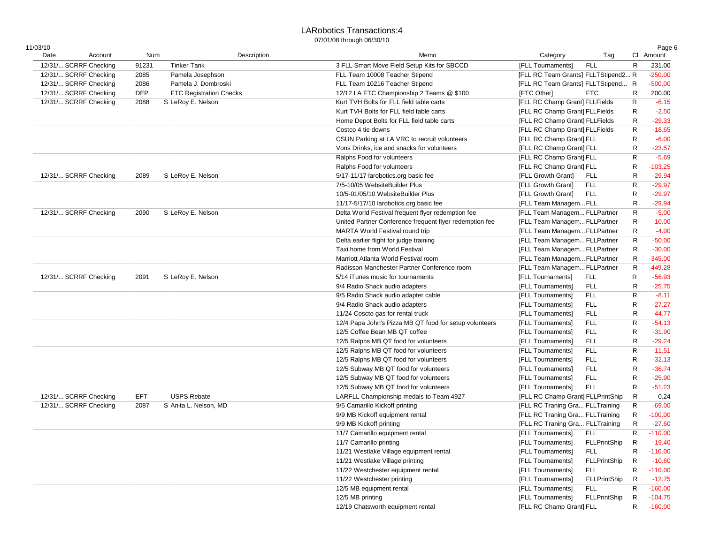## LARobotics Transactions:4

| 11/03/10<br>Date | Account               | Num   |                                | Description<br>Category<br>Memo<br>Tag                                                    |              | Page 6<br>CI Amount |
|------------------|-----------------------|-------|--------------------------------|-------------------------------------------------------------------------------------------|--------------|---------------------|
|                  | 12/31/ SCRRF Checking | 91231 | <b>Tinker Tank</b>             | 3 FLL Smart Move Field Setup Kits for SBCCD<br>[FLL Tournaments]<br><b>FLL</b>            | R            | 231.00              |
|                  | 12/31/ SCRRF Checking | 2085  | Pamela Josephson               | [FLL RC Team Grants] FLLTStipend2 R<br>FLL Team 10008 Teacher Stipend                     |              | $-250.00$           |
|                  |                       |       |                                | FLL Team 10216 Teacher Stipend                                                            |              | $-500.00$           |
|                  | 12/31/ SCRRF Checking | 2086  | Pamela J. Dombroski            | [FLL RC Team Grants] FLLTStipend R<br><b>FTC</b>                                          |              |                     |
|                  | 12/31/ SCRRF Checking | DEP   | <b>FTC Registration Checks</b> | 12/12 LA FTC Championship 2 Teams @ \$100<br>[FTC Other]                                  | R            | 200.00              |
|                  | 12/31/ SCRRF Checking | 2088  | S LeRoy E. Nelson              | [FLL RC Champ Grant] FLLFields<br>Kurt TVH Bolts for FLL field table carts                | R            | $-6.15$             |
|                  |                       |       |                                | Kurt TVH Bolts for FLL field table carts<br>[FLL RC Champ Grant] FLLFields                | R            | $-2.50$             |
|                  |                       |       |                                | [FLL RC Champ Grant] FLLFields<br>Home Depot Bolts for FLL field table carts              | R            | $-29.33$            |
|                  |                       |       |                                | [FLL RC Champ Grant] FLLFields<br>Costco 4 tie downs                                      | $\mathsf{R}$ | $-18.65$            |
|                  |                       |       |                                | CSUN Parking at LA VRC to recruit volunteers<br>[FLL RC Champ Grant] FLL                  | R            | $-6.00$             |
|                  |                       |       |                                | [FLL RC Champ Grant] FLL<br>Vons Drinks, ice and snacks for volunteers                    | R            | $-23.57$            |
|                  |                       |       |                                | [FLL RC Champ Grant] FLL<br>Ralphs Food for volunteers                                    | $\mathsf R$  | $-5.69$             |
|                  |                       |       |                                | [FLL RC Champ Grant] FLL<br>Ralphs Food for volunteers                                    | R            | $-103.25$           |
|                  | 12/31/ SCRRF Checking | 2089  | S LeRoy E. Nelson              | [FLL Growth Grant]<br>5/17-11/17 larobotics.org basic fee<br><b>FLL</b>                   | R            | $-29.94$            |
|                  |                       |       |                                | 7/5-10/05 WebsiteBuilder Plus<br>[FLL Growth Grant]<br><b>FLL</b>                         | R            | $-29.97$            |
|                  |                       |       |                                | [FLL Growth Grant]<br><b>FLL</b><br>10/5-01/05/10 WebsiteBuilder Plus                     | R            | $-29.97$            |
|                  |                       |       |                                | [FLL Team ManagemFLL<br>11/17-5/17/10 larobotics.org basic fee                            | R            | $-29.94$            |
|                  | 12/31/ SCRRF Checking | 2090  | S LeRoy E. Nelson              | [FLL Team Managem FLLPartner<br>Delta World Festival frequent flyer redemption fee        | R            | $-5.00$             |
|                  |                       |       |                                | [FLL Team Managem FLLPartner<br>United Partner Conference frequent flyer redemption fee   | $\mathsf R$  | $-10.00$            |
|                  |                       |       |                                | MARTA World Festival round trip<br>[FLL Team Managem FLLPartner                           | $\mathsf R$  | $-4.00$             |
|                  |                       |       |                                | [FLL Team Managem FLLPartner<br>Delta earlier flight for judge training                   | $\mathsf R$  | $-50.00$            |
|                  |                       |       |                                | Taxi home from World Festival<br>[FLL Team Managem FLLPartner                             | R            | $-30.00$            |
|                  |                       |       |                                | Marriott Atlanta World Festival room<br>[FLL Team ManagemFLLPartner                       | R            | $-345.00$           |
|                  |                       |       |                                | Radisson Manchester Partner Conference room<br>[FLL Team Managem FLLPartner               | R            | $-449.28$           |
|                  | 12/31/ SCRRF Checking | 2091  | S LeRoy E. Nelson              | 5/14 iTunes music for tournaments<br>[FLL Tournaments]<br><b>FLL</b>                      | $\mathsf{R}$ | $-56.93$            |
|                  |                       |       |                                | <b>FLL</b><br>9/4 Radio Shack audio adapters<br>[FLL Tournaments]                         | R            | $-25.75$            |
|                  |                       |       |                                | <b>FLL</b><br>9/5 Radio Shack audio adapter cable<br>[FLL Tournaments]                    | $\mathsf R$  | $-8.11$             |
|                  |                       |       |                                | 9/4 Radio Shack audio adapters<br><b>FLL</b><br>[FLL Tournaments]                         | $\mathsf R$  | $-27.27$            |
|                  |                       |       |                                | <b>FLL</b><br>11/24 Coscto gas for rental truck<br>[FLL Tournaments]                      | R            | $-44.77$            |
|                  |                       |       |                                | <b>FLL</b><br>12/4 Papa John's Pizza MB QT food for setup volunteers<br>[FLL Tournaments] | $\mathsf R$  | $-54.13$            |
|                  |                       |       |                                | 12/5 Coffee Bean MB QT coffee                                                             |              | $-31.90$            |
|                  |                       |       |                                | [FLL Tournaments]<br><b>FLL</b>                                                           | R            |                     |
|                  |                       |       |                                | 12/5 Ralphs MB QT food for volunteers<br>[FLL Tournaments]<br><b>FLL</b>                  | R            | $-29.24$            |
|                  |                       |       |                                | <b>FLL</b><br>12/5 Ralphs MB QT food for volunteers<br>[FLL Tournaments]                  | R            | $-11.51$            |
|                  |                       |       |                                | 12/5 Ralphs MB QT food for volunteers<br><b>FLL</b><br>[FLL Tournaments]                  | R            | $-32.13$            |
|                  |                       |       |                                | <b>FLL</b><br>12/5 Subway MB QT food for volunteers<br>[FLL Tournaments]                  | R            | $-36.74$            |
|                  |                       |       |                                | <b>FLL</b><br>12/5 Subway MB QT food for volunteers<br>[FLL Tournaments]                  | $\mathsf R$  | $-25.90$            |
|                  |                       |       |                                | <b>FLL</b><br>12/5 Subway MB QT food for volunteers<br>[FLL Tournaments]                  | R            | $-51.23$            |
|                  | 12/31/ SCRRF Checking | EFT   | <b>USPS Rebate</b>             | [FLL RC Champ Grant] FLLPrintShip<br>LARFLL Championship medals to Team 4927              | R            | 0.24                |
|                  | 12/31/ SCRRF Checking | 2087  | S Anita L. Nelson, MD          | [FLL RC Traning Gra FLLTraining<br>9/5 Camarillo Kickoff printing                         | $\mathsf{R}$ | $-69.00$            |
|                  |                       |       |                                | [FLL RC Traning Gra FLLTraining<br>9/9 MB Kickoff equipment rental                        | R            | $-100.00$           |
|                  |                       |       |                                | [FLL RC Traning Gra FLLTraining<br>9/9 MB Kickoff printing                                | $\mathsf{R}$ | $-27.60$            |
|                  |                       |       |                                | [FLL Tournaments]<br><b>FLL</b><br>11/7 Camarillo equipment rental                        | R            | $-110.00$           |
|                  |                       |       |                                | [FLL Tournaments]<br>FLLPrintShip<br>11/7 Camarillo printing                              | R            | $-19.40$            |
|                  |                       |       |                                | 11/21 Westlake Village equipment rental<br>[FLL Tournaments]<br>FLL                       | R            | $-110.00$           |
|                  |                       |       |                                | 11/21 Westlake Village printing<br>[FLL Tournaments]<br><b>FLLPrintShip</b>               | R            | $-10.60$            |
|                  |                       |       |                                | <b>FLL</b><br>11/22 Westchester equipment rental<br>[FLL Tournaments]                     | R            | $-110.00$           |
|                  |                       |       |                                | <b>FLLPrintShip</b><br>11/22 Westchester printing<br>[FLL Tournaments]                    | R            | $-12.75$            |
|                  |                       |       |                                | 12/5 MB equipment rental<br><b>FLL</b><br>[FLL Tournaments]                               | R            | $-160.00$           |
|                  |                       |       |                                | 12/5 MB printing<br>[FLL Tournaments]<br>FLLPrintShip                                     | R            | $-104.75$           |
|                  |                       |       |                                | 12/19 Chatsworth equipment rental<br>[FLL RC Champ Grant] FLL                             | R            | $-160.00$           |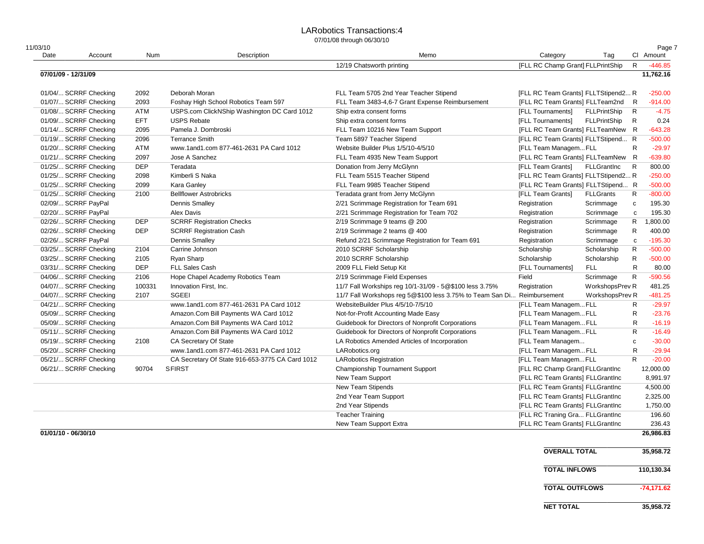#### LARobotics Transactions:4

| 11/03/10            |                       |            |                                                 |                                                           |                                     |                     |              | Page 7    |
|---------------------|-----------------------|------------|-------------------------------------------------|-----------------------------------------------------------|-------------------------------------|---------------------|--------------|-----------|
| Date                | Account               | Num        | Description                                     | Memo                                                      | Category                            | Tag                 |              | CI Amount |
|                     |                       |            |                                                 | 12/19 Chatsworth printing                                 | [FLL RC Champ Grant] FLLPrintShip   |                     | $\mathsf{R}$ | $-446.85$ |
| 07/01/09 - 12/31/09 |                       |            |                                                 |                                                           |                                     |                     |              | 11,762.16 |
|                     | 01/04/ SCRRF Checking | 2092       | Deborah Moran                                   | FLL Team 5705 2nd Year Teacher Stipend                    | [FLL RC Team Grants] FLLTStipend2 R |                     |              | $-250.00$ |
|                     | 01/07/ SCRRF Checking | 2093       | Foshay High School Robotics Team 597            | FLL Team 3483-4,6-7 Grant Expense Reimbursement           | [FLL RC Team Grants] FLLTeam2nd     |                     | R            | $-914.00$ |
|                     | 01/08/ SCRRF Checking | ATM        | USPS.com ClickNShip Washington DC Card 1012     | Ship extra consent forms                                  | [FLL Tournaments]                   | <b>FLLPrintShip</b> | R            | $-4.75$   |
|                     | 01/09/ SCRRF Checking | EFT        | <b>USPS Rebate</b>                              | Ship extra consent forms                                  | [FLL Tournaments]                   | FLLPrintShip        | R            | 0.24      |
|                     | 01/14/ SCRRF Checking | 2095       | Pamela J. Dombroski                             | FLL Team 10216 New Team Support                           | [FLL RC Team Grants] FLLTeamNew R   |                     |              | $-643.28$ |
|                     | 01/19/ SCRRF Checking | 2096       | <b>Terrance Smith</b>                           | Team 5897 Teacher Stipend                                 | [FLL RC Team Grants] FLLTStipend R  |                     |              | $-500.00$ |
|                     | 01/20/ SCRRF Checking | ATM        | www.1and1.com 877-461-2631 PA Card 1012         | Website Builder Plus 1/5/10-4/5/10                        | [FLL Team ManagemFLL                |                     | R            | $-29.97$  |
|                     | 01/21/ SCRRF Checking | 2097       | Jose A Sanchez                                  | FLL Team 4935 New Team Support                            | [FLL RC Team Grants] FLLTeamNew     |                     | R            | $-639.80$ |
|                     | 01/25/ SCRRF Checking | <b>DEP</b> | Teradata                                        | Donation from Jerry McGlynn                               | [FLL Team Grants]                   | <b>FLLGrantInc</b>  | R            | 800.00    |
|                     | 01/25/ SCRRF Checking | 2098       | Kimberli S Naka                                 | FLL Team 5515 Teacher Stipend                             | [FLL RC Team Grants] FLLTStipend2 R |                     |              | $-250.00$ |
|                     | 01/25/ SCRRF Checking | 2099       | Kara Ganley                                     | FLL Team 9985 Teacher Stipend                             | [FLL RC Team Grants] FLLTStipend R  |                     |              | $-500.00$ |
|                     | 01/25/ SCRRF Checking | 2100       | <b>Bellflower Astrobricks</b>                   | Teradata grant from Jerry McGlynn                         | [FLL Team Grants]                   | <b>FLLGrants</b>    | R            | $-800.00$ |
|                     | 02/09/ SCRRF PayPal   |            | <b>Dennis Smalley</b>                           | 2/21 Scrimmage Registration for Team 691                  | Registration                        | Scrimmage           | C            | 195.30    |
|                     | 02/20/ SCRRF PayPal   |            | Alex Davis                                      | 2/21 Scrimmage Registration for Team 702                  | Registration                        | Scrimmage           | $\mathtt{C}$ | 195.30    |
|                     | 02/26/ SCRRF Checking | <b>DEP</b> | <b>SCRRF Registration Checks</b>                | 2/19 Scrimmage 9 teams @ 200                              | Registration                        | Scrimmage           | R            | 1,800.00  |
|                     | 02/26/ SCRRF Checking | <b>DEP</b> | <b>SCRRF Registration Cash</b>                  | 2/19 Scrimmage 2 teams @ 400                              | Registration                        | Scrimmage           | R            | 400.00    |
|                     | 02/26/ SCRRF PayPal   |            | <b>Dennis Smalley</b>                           | Refund 2/21 Scrimmage Registration for Team 691           | Registration                        | Scrimmage           | $\mathbf c$  | $-195.30$ |
|                     | 03/25/ SCRRF Checking | 2104       | Carrine Johnson                                 | 2010 SCRRF Scholarship                                    | Scholarship                         | Scholarship         | R            | $-500.00$ |
|                     | 03/25/ SCRRF Checking | 2105       | <b>Ryan Sharp</b>                               | 2010 SCRRF Scholarship                                    | Scholarship                         | Scholarship         | R            | $-500.00$ |
|                     | 03/31/ SCRRF Checking | <b>DEP</b> | <b>FLL Sales Cash</b>                           | 2009 FLL Field Setup Kit                                  | [FLL Tournaments]                   | <b>FLL</b>          | R            | 80.00     |
|                     | 04/06/ SCRRF Checking | 2106       | Hope Chapel Academy Robotics Team               | 2/19 Scrimmage Field Expenses                             | Field                               | Scrimmage           | R            | $-590.56$ |
|                     | 04/07/ SCRRF Checking | 100331     | Innovation First, Inc.                          | 11/7 Fall Workships reg 10/1-31/09 - 5@\$100 less 3.75%   | Registration                        | WorkshopsPrev R     |              | 481.25    |
|                     | 04/07/ SCRRF Checking | 2107       | <b>SGEEI</b>                                    | 11/7 Fall Workshops reg 5@\$100 less 3.75% to Team San Di | Reimbursement                       | WorkshopsPrev R     |              | $-481.25$ |
|                     | 04/21/ SCRRF Checking |            | www.1and1.com 877-461-2631 PA Card 1012         | WebsiteBuilder Plus 4/5/10-7/5/10                         | [FLL Team ManagemFLL                |                     | $\mathsf{R}$ | $-29.97$  |
|                     | 05/09/ SCRRF Checking |            | Amazon.Com Bill Payments WA Card 1012           | Not-for-Profit Accounting Made Easy                       | [FLL Team ManagemFLL                |                     | R            | $-23.76$  |
|                     | 05/09/ SCRRF Checking |            | Amazon.Com Bill Payments WA Card 1012           | Guidebook for Directors of Nonprofit Corporations         | [FLL Team ManagemFLL                |                     | $\mathsf{R}$ | $-16.19$  |
|                     | 05/11/ SCRRF Checking |            | Amazon.Com Bill Payments WA Card 1012           | Guidebook for Directors of Nonprofit Corporations         | [FLL Team ManagemFLL                |                     | $\mathsf{R}$ | $-16.49$  |
|                     | 05/19/ SCRRF Checking | 2108       | CA Secretary Of State                           | LA Robotics Amended Articles of Incorporation             | [FLL Team Managem                   |                     | $\mathtt{C}$ | $-30.00$  |
|                     | 05/20/ SCRRF Checking |            | www.1and1.com 877-461-2631 PA Card 1012         | LARobotics.org                                            | [FLL Team ManagemFLL                |                     | R            | $-29.94$  |
|                     | 05/21/ SCRRF Checking |            | CA Secretary Of State 916-653-3775 CA Card 1012 | <b>LARobotics Registration</b>                            | [FLL Team ManagemFLL                |                     | $\mathsf{R}$ | $-20.00$  |
|                     | 06/21/ SCRRF Checking | 90704      | <b>SFIRST</b>                                   | <b>Championship Tournament Support</b>                    | [FLL RC Champ Grant] FLLGrantInc    |                     |              | 12,000.00 |
|                     |                       |            |                                                 | New Team Support                                          | [FLL RC Team Grants] FLLGrantInc    |                     |              | 8,991.97  |
|                     |                       |            |                                                 | <b>New Team Stipends</b>                                  | [FLL RC Team Grants] FLLGrantInc    |                     |              | 4,500.00  |
|                     |                       |            |                                                 | 2nd Year Team Support                                     | [FLL RC Team Grants] FLLGrantInc    |                     |              | 2,325.00  |
|                     |                       |            |                                                 | 2nd Year Stipends                                         | [FLL RC Team Grants] FLLGrantInc    |                     |              | 1,750.00  |
|                     |                       |            |                                                 | <b>Teacher Training</b>                                   | [FLL RC Traning Gra FLLGrantInc     |                     |              | 196.60    |
|                     |                       |            |                                                 | New Team Support Extra                                    | [FLL RC Team Grants] FLLGrantInc    |                     |              | 236.43    |
| 01/01/10 - 06/30/10 |                       |            |                                                 |                                                           |                                     |                     |              | 26,986.83 |

| <b>OVERALL TOTAL</b>  | 35,958.72    |
|-----------------------|--------------|
| <b>TOTAL INFLOWS</b>  | 110.130.34   |
| <b>TOTAL OUTFLOWS</b> | $-74.171.62$ |
| <b>NET TOTAL</b>      | 35,958.72    |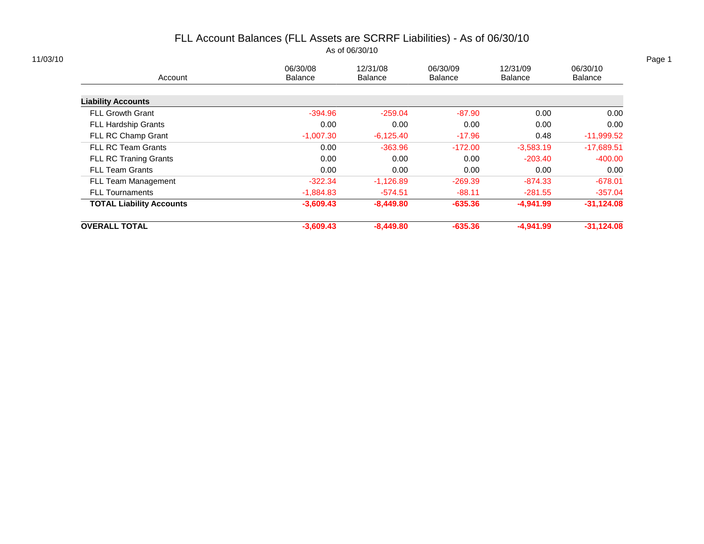# FLL Account Balances (FLL Assets are SCRRF Liabilities) - As of 06/30/10

As of 06/30/10

|                                 | 06/30/08       | 12/31/08       | 06/30/09       | 12/31/09       | 06/30/10       |
|---------------------------------|----------------|----------------|----------------|----------------|----------------|
| Account                         | <b>Balance</b> | <b>Balance</b> | <b>Balance</b> | <b>Balance</b> | <b>Balance</b> |
| <b>Liability Accounts</b>       |                |                |                |                |                |
| <b>FLL Growth Grant</b>         | $-394.96$      | $-259.04$      | $-87.90$       | 0.00           | 0.00           |
| <b>FLL Hardship Grants</b>      | 0.00           | 0.00           | 0.00           | 0.00           | 0.00           |
| FLL RC Champ Grant              | $-1,007.30$    | $-6,125.40$    | $-17.96$       | 0.48           | $-11,999.52$   |
| <b>FLL RC Team Grants</b>       | 0.00           | $-363.96$      | $-172.00$      | $-3,583.19$    | $-17,689.51$   |
| <b>FLL RC Traning Grants</b>    | 0.00           | 0.00           | 0.00           | $-203.40$      | $-400.00$      |
| <b>FLL Team Grants</b>          | 0.00           | 0.00           | 0.00           | 0.00           | 0.00           |
| FLL Team Management             | $-322.34$      | $-1,126.89$    | $-269.39$      | $-874.33$      | $-678.01$      |
| <b>FLL Tournaments</b>          | $-1,884.83$    | $-574.51$      | $-88.11$       | $-281.55$      | $-357.04$      |
| <b>TOTAL Liability Accounts</b> | $-3,609.43$    | $-8,449.80$    | $-635.36$      | $-4,941.99$    | $-31,124.08$   |
| <b>OVERALL TOTAL</b>            | $-3,609.43$    | $-8,449.80$    | $-635.36$      | $-4,941.99$    | $-31.124.08$   |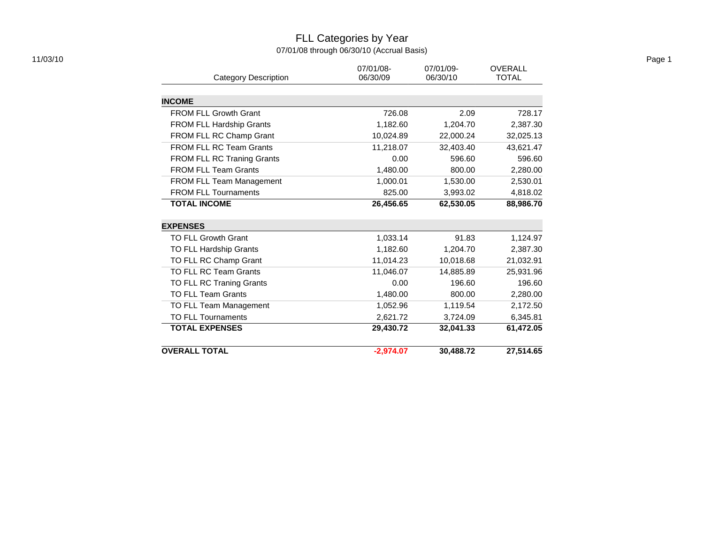### FLL Categories by Year 07/01/08 through 06/30/10 (Accrual Basis)

|           |                                                                                   | <b>OVERALL</b>                                                               |
|-----------|-----------------------------------------------------------------------------------|------------------------------------------------------------------------------|
| 06/30/09  | 06/30/10                                                                          | <b>TOTAL</b>                                                                 |
|           |                                                                                   |                                                                              |
|           |                                                                                   |                                                                              |
|           |                                                                                   | 728.17                                                                       |
|           |                                                                                   | 2,387.30                                                                     |
|           |                                                                                   | 32,025.13                                                                    |
|           |                                                                                   | 43,621.47                                                                    |
| 0.00      | 596.60                                                                            | 596.60                                                                       |
|           | 800.00                                                                            | 2,280.00                                                                     |
| 1,000.01  | 1,530.00                                                                          | 2,530.01                                                                     |
| 825.00    | 3,993.02                                                                          | 4,818.02                                                                     |
| 26,456.65 | 62,530.05                                                                         | 88,986.70                                                                    |
|           |                                                                                   |                                                                              |
|           |                                                                                   |                                                                              |
|           |                                                                                   | 1,124.97                                                                     |
| 1,182.60  |                                                                                   | 2,387.30                                                                     |
| 11,014.23 | 10,018.68                                                                         | 21,032.91                                                                    |
| 11,046.07 | 14,885.89                                                                         | 25,931.96                                                                    |
| 0.00      | 196.60                                                                            | 196.60                                                                       |
| 1,480.00  | 800.00                                                                            | 2,280.00                                                                     |
| 1,052.96  | 1,119.54                                                                          | 2,172.50                                                                     |
| 2,621.72  | 3,724.09                                                                          | 6,345.81                                                                     |
| 29,430.72 | 32,041.33                                                                         | 61,472.05                                                                    |
|           |                                                                                   |                                                                              |
|           | 07/01/08-<br>726.08<br>1,182.60<br>10,024.89<br>11,218.07<br>1,480.00<br>1,033.14 | 07/01/09-<br>2.09<br>1,204.70<br>22,000.24<br>32,403.40<br>91.83<br>1,204.70 |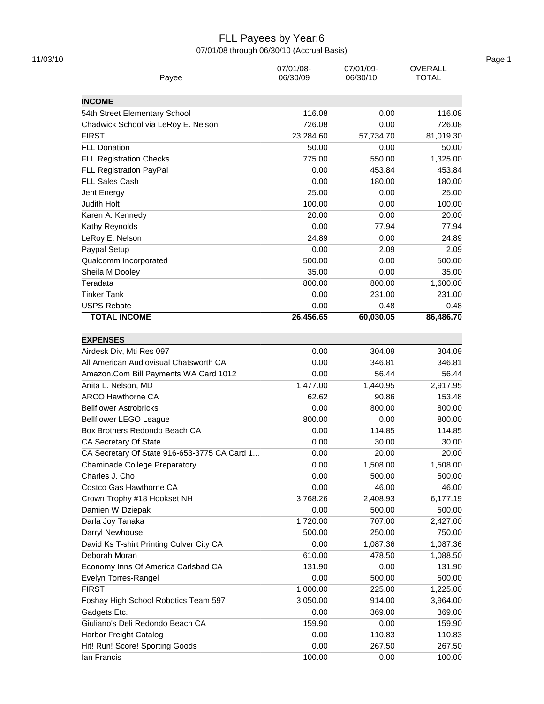### FLL Payees by Year:6

07/01/08 through 06/30/10 (Accrual Basis)

| Payee                                        | 07/01/08-<br>06/30/09 | 07/01/09-<br>06/30/10 | <b>OVERALL</b><br><b>TOTAL</b> |
|----------------------------------------------|-----------------------|-----------------------|--------------------------------|
| <b>INCOME</b>                                |                       |                       |                                |
| 54th Street Elementary School                | 116.08                | 0.00                  | 116.08                         |
| Chadwick School via LeRoy E. Nelson          | 726.08                | 0.00                  | 726.08                         |
| <b>FIRST</b>                                 | 23,284.60             | 57,734.70             | 81,019.30                      |
| <b>FLL Donation</b>                          | 50.00                 | 0.00                  | 50.00                          |
| <b>FLL Registration Checks</b>               | 775.00                | 550.00                | 1,325.00                       |
| <b>FLL Registration PayPal</b>               | 0.00                  | 453.84                | 453.84                         |
| <b>FLL Sales Cash</b>                        | 0.00                  | 180.00                | 180.00                         |
|                                              |                       |                       |                                |
| Jent Energy<br>Judith Holt                   | 25.00<br>100.00       | 0.00<br>0.00          | 25.00<br>100.00                |
|                                              |                       |                       |                                |
| Karen A. Kennedy                             | 20.00                 | 0.00                  | 20.00                          |
| Kathy Reynolds                               | 0.00                  | 77.94                 | 77.94                          |
| LeRoy E. Nelson                              | 24.89                 | 0.00                  | 24.89                          |
| Paypal Setup                                 | 0.00                  | 2.09                  | 2.09                           |
| Qualcomm Incorporated                        | 500.00                | 0.00                  | 500.00                         |
| Sheila M Dooley                              | 35.00                 | 0.00                  | 35.00                          |
| Teradata                                     | 800.00                | 800.00                | 1,600.00                       |
| <b>Tinker Tank</b>                           | 0.00                  | 231.00                | 231.00                         |
| <b>USPS Rebate</b>                           | 0.00                  | 0.48                  | 0.48                           |
| <b>TOTAL INCOME</b>                          | 26,456.65             | 60,030.05             | 86,486.70                      |
| <b>EXPENSES</b>                              |                       |                       |                                |
| Airdesk Div, Mti Res 097                     | 0.00                  | 304.09                | 304.09                         |
| All American Audiovisual Chatsworth CA       | 0.00                  | 346.81                | 346.81                         |
| Amazon.Com Bill Payments WA Card 1012        | 0.00                  | 56.44                 | 56.44                          |
| Anita L. Nelson, MD                          | 1,477.00              | 1,440.95              | 2,917.95                       |
| <b>ARCO Hawthorne CA</b>                     | 62.62                 | 90.86                 | 153.48                         |
| <b>Bellflower Astrobricks</b>                | 0.00                  | 800.00                | 800.00                         |
| <b>Bellflower LEGO League</b>                | 800.00                | 0.00                  | 800.00                         |
| Box Brothers Redondo Beach CA                | 0.00                  | 114.85                | 114.85                         |
| CA Secretary Of State                        | 0.00                  | 30.00                 | 30.00                          |
| CA Secretary Of State 916-653-3775 CA Card 1 | 0.00                  | 20.00                 | 20.00                          |
| <b>Chaminade College Preparatory</b>         | 0.00                  | 1,508.00              | 1,508.00                       |
| Charles J. Cho                               | 0.00                  | 500.00                | 500.00                         |
| Costco Gas Hawthorne CA                      | 0.00                  | 46.00                 | 46.00                          |
| Crown Trophy #18 Hookset NH                  | 3,768.26              | 2,408.93              | 6,177.19                       |
| Damien W Dziepak                             | 0.00                  | 500.00                | 500.00                         |
| Darla Joy Tanaka                             | 1,720.00              | 707.00                | 2,427.00                       |
| Darryl Newhouse                              | 500.00                | 250.00                | 750.00                         |
| David Ks T-shirt Printing Culver City CA     | 0.00                  | 1,087.36              | 1,087.36                       |
| Deborah Moran                                | 610.00                | 478.50                | 1,088.50                       |
| Economy Inns Of America Carlsbad CA          | 131.90                | 0.00                  | 131.90                         |
| Evelyn Torres-Rangel                         | 0.00                  | 500.00                | 500.00                         |
| <b>FIRST</b>                                 | 1,000.00              | 225.00                | 1,225.00                       |
| Foshay High School Robotics Team 597         | 3,050.00              | 914.00                | 3,964.00                       |
| Gadgets Etc.                                 | 0.00                  | 369.00                | 369.00                         |
| Giuliano's Deli Redondo Beach CA             | 159.90                | 0.00                  | 159.90                         |
| Harbor Freight Catalog                       | 0.00                  | 110.83                | 110.83                         |
| Hit! Run! Score! Sporting Goods              | 0.00                  | 267.50                | 267.50                         |
| lan Francis                                  | 100.00                | 0.00                  | 100.00                         |
|                                              |                       |                       |                                |

11/03/10 Page 1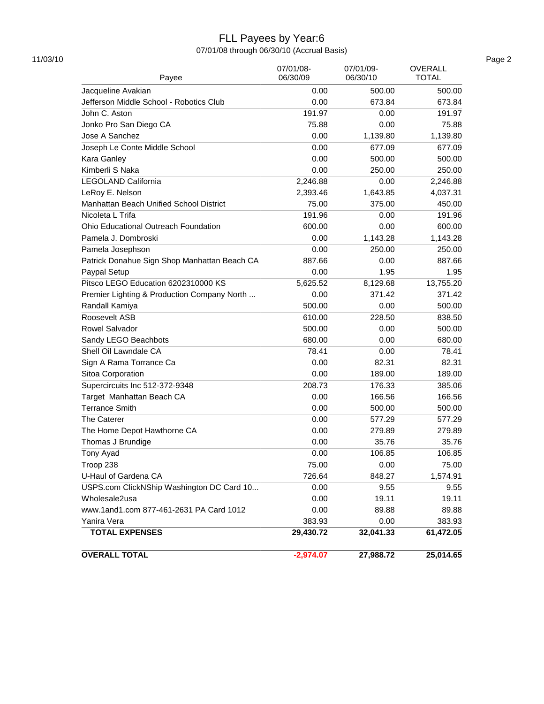## FLL Payees by Year:6

07/01/08 through 06/30/10 (Accrual Basis)

| Payee                                        | 07/01/08-<br>06/30/09 | 07/01/09-<br>06/30/10 | <b>OVERALL</b><br><b>TOTAL</b> |
|----------------------------------------------|-----------------------|-----------------------|--------------------------------|
| Jacqueline Avakian                           | 0.00                  | 500.00                | 500.00                         |
| Jefferson Middle School - Robotics Club      | 0.00                  | 673.84                | 673.84                         |
| John C. Aston                                | 191.97                | 0.00                  | 191.97                         |
| Jonko Pro San Diego CA                       | 75.88                 | 0.00                  | 75.88                          |
| Jose A Sanchez                               | 0.00                  | 1,139.80              | 1,139.80                       |
| Joseph Le Conte Middle School                | 0.00                  | 677.09                | 677.09                         |
|                                              | 0.00                  | 500.00                | 500.00                         |
| Kara Ganley                                  |                       |                       |                                |
| Kimberli S Naka                              | 0.00                  | 250.00                | 250.00<br>2,246.88             |
| LEGOLAND California                          | 2,246.88              | 0.00                  |                                |
| LeRoy E. Nelson                              | 2,393.46              | 1,643.85              | 4,037.31                       |
| Manhattan Beach Unified School District      | 75.00                 | 375.00                | 450.00                         |
| Nicoleta L Trifa                             | 191.96                | 0.00                  | 191.96                         |
| Ohio Educational Outreach Foundation         | 600.00                | 0.00                  | 600.00                         |
| Pamela J. Dombroski                          | 0.00                  | 1,143.28              | 1,143.28                       |
| Pamela Josephson                             | 0.00                  | 250.00                | 250.00                         |
| Patrick Donahue Sign Shop Manhattan Beach CA | 887.66                | 0.00                  | 887.66                         |
| Paypal Setup                                 | 0.00                  | 1.95                  | 1.95                           |
| Pitsco LEGO Education 6202310000 KS          | 5,625.52              | 8,129.68              | 13,755.20                      |
| Premier Lighting & Production Company North  | 0.00                  | 371.42                | 371.42                         |
| Randall Kamiya                               | 500.00                | 0.00                  | 500.00                         |
| Roosevelt ASB                                | 610.00                | 228.50                | 838.50                         |
| Rowel Salvador                               | 500.00                | 0.00                  | 500.00                         |
| Sandy LEGO Beachbots                         | 680.00                | 0.00                  | 680.00                         |
| Shell Oil Lawndale CA                        | 78.41                 | 0.00                  | 78.41                          |
| Sign A Rama Torrance Ca                      | 0.00                  | 82.31                 | 82.31                          |
| Sitoa Corporation                            | 0.00                  | 189.00                | 189.00                         |
| Supercircuits Inc 512-372-9348               | 208.73                | 176.33                | 385.06                         |
| Target Manhattan Beach CA                    | 0.00                  | 166.56                | 166.56                         |
| <b>Terrance Smith</b>                        | 0.00                  | 500.00                | 500.00                         |
| The Caterer                                  | 0.00                  | 577.29                | 577.29                         |
| The Home Depot Hawthorne CA                  | 0.00                  | 279.89                | 279.89                         |
| Thomas J Brundige                            | 0.00                  | 35.76                 | 35.76                          |
| Tony Ayad                                    | 0.00                  | 106.85                | 106.85                         |
| Troop 238                                    | 75.00                 | 0.00                  | 75.00                          |
| U-Haul of Gardena CA                         | 726.64                | 848.27                | 1,574.91                       |
| USPS.com ClickNShip Washington DC Card 10    | 0.00                  | 9.55                  | 9.55                           |
| Wholesale2usa                                | 0.00                  | 19.11                 | 19.11                          |
| www.1and1.com 877-461-2631 PA Card 1012      | 0.00                  | 89.88                 | 89.88                          |
| Yanira Vera                                  | 383.93                | 0.00                  | 383.93                         |
| <b>TOTAL EXPENSES</b>                        | 29,430.72             | 32,041.33             | 61,472.05                      |
| <b>OVERALL TOTAL</b>                         | $-2,974.07$           | 27,988.72             | 25,014.65                      |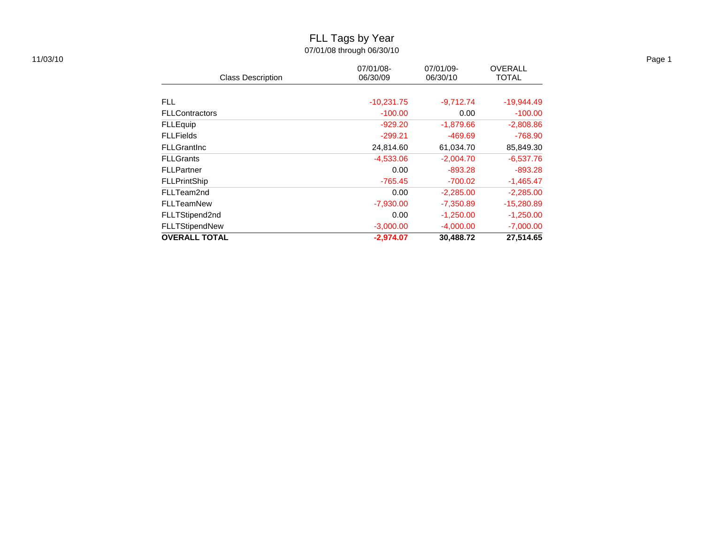# FLL Tags by Year

07/01/08 through 06/30/10

| 11/03/10 |                          |                       |                       |                                |
|----------|--------------------------|-----------------------|-----------------------|--------------------------------|
|          | <b>Class Description</b> | 07/01/08-<br>06/30/09 | 07/01/09-<br>06/30/10 | <b>OVERALL</b><br><b>TOTAL</b> |
|          |                          |                       |                       |                                |
|          | <b>FLL</b>               | $-10,231.75$          | $-9,712.74$           | $-19,944.49$                   |
|          | <b>FLLContractors</b>    | $-100.00$             | 0.00                  | $-100.00$                      |
|          | <b>FLLEquip</b>          | $-929.20$             | $-1,879.66$           | $-2,808.86$                    |
|          | <b>FLLFields</b>         | $-299.21$             | -469.69               | $-768.90$                      |
|          | <b>FLLGrantInc</b>       | 24,814.60             | 61,034.70             | 85,849.30                      |
|          | <b>FLLGrants</b>         | $-4,533.06$           | $-2,004.70$           | $-6,537.76$                    |
|          | <b>FLLPartner</b>        | 0.00                  | $-893.28$             | $-893.28$                      |
|          | <b>FLLPrintShip</b>      | -765.45               | $-700.02$             | $-1,465.47$                    |
|          | FLLTeam2nd               | 0.00                  | $-2,285.00$           | $-2,285.00$                    |
|          | <b>FLLTeamNew</b>        | $-7,930.00$           | $-7,350.89$           | $-15,280.89$                   |
|          | FLLTStipend2nd           | 0.00                  | $-1,250.00$           | $-1,250.00$                    |
|          | FLLTStipendNew           | $-3,000.00$           | $-4,000.00$           | $-7,000.00$                    |
|          | <b>OVERALL TOTAL</b>     | $-2,974.07$           | 30,488.72             | 27,514.65                      |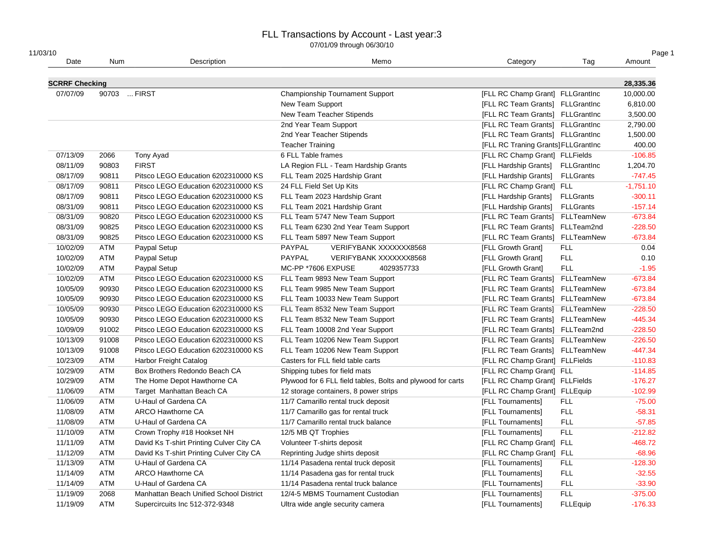| 11/03/10              |            |                                          |                                                             |                                     |                  | Page 1      |
|-----------------------|------------|------------------------------------------|-------------------------------------------------------------|-------------------------------------|------------------|-------------|
| Date                  | <b>Num</b> | Description                              | Memo                                                        | Category                            | Tag              | Amount      |
| <b>SCRRF Checking</b> |            |                                          |                                                             |                                     |                  | 28,335.36   |
| 07/07/09              |            | 90703  FIRST                             | <b>Championship Tournament Support</b>                      | [FLL RC Champ Grant] FLLGrantInc    |                  | 10,000.00   |
|                       |            |                                          | New Team Support                                            | [FLL RC Team Grants] FLLGrantInc    |                  | 6,810.00    |
|                       |            |                                          | New Team Teacher Stipends                                   | [FLL RC Team Grants] FLLGrantInc    |                  | 3,500.00    |
|                       |            |                                          | 2nd Year Team Support                                       | [FLL RC Team Grants] FLLGrantInc    |                  | 2,790.00    |
|                       |            |                                          | 2nd Year Teacher Stipends                                   | [FLL RC Team Grants] FLLGrantInc    |                  | 1,500.00    |
|                       |            |                                          | <b>Teacher Training</b>                                     | [FLL RC Traning Grants] FLLGrantInc |                  | 400.00      |
| 07/13/09              | 2066       | Tony Ayad                                | 6 FLL Table frames                                          | [FLL RC Champ Grant] FLLFields      |                  | $-106.85$   |
| 08/11/09              | 90803      | <b>FIRST</b>                             | LA Region FLL - Team Hardship Grants                        | [FLL Hardship Grants]               | FLLGrantInc      | 1,204.70    |
| 08/17/09              | 90811      | Pitsco LEGO Education 6202310000 KS      | FLL Team 2025 Hardship Grant                                | [FLL Hardship Grants]               | <b>FLLGrants</b> | $-747.45$   |
| 08/17/09              | 90811      | Pitsco LEGO Education 6202310000 KS      | 24 FLL Field Set Up Kits                                    | [FLL RC Champ Grant] FLL            |                  | $-1,751.10$ |
| 08/17/09              | 90811      | Pitsco LEGO Education 6202310000 KS      | FLL Team 2023 Hardship Grant                                | [FLL Hardship Grants]               | <b>FLLGrants</b> | $-300.11$   |
| 08/31/09              | 90811      | Pitsco LEGO Education 6202310000 KS      | FLL Team 2021 Hardship Grant                                | [FLL Hardship Grants]               | <b>FLLGrants</b> | $-157.14$   |
| 08/31/09              | 90820      | Pitsco LEGO Education 6202310000 KS      | FLL Team 5747 New Team Support                              | [FLL RC Team Grants] FLLTeamNew     |                  | $-673.84$   |
| 08/31/09              | 90825      | Pitsco LEGO Education 6202310000 KS      | FLL Team 6230 2nd Year Team Support                         | [FLL RC Team Grants] FLLTeam2nd     |                  | $-228.50$   |
| 08/31/09              | 90825      | Pitsco LEGO Education 6202310000 KS      | FLL Team 5897 New Team Support                              | [FLL RC Team Grants] FLLTeamNew     |                  | $-673.84$   |
| 10/02/09              | <b>ATM</b> | Paypal Setup                             | PAYPAL<br>VERIFYBANK XXXXXXX8568                            | [FLL Growth Grant]                  | <b>FLL</b>       | 0.04        |
| 10/02/09              | <b>ATM</b> | Paypal Setup                             | PAYPAL<br>VERIFYBANK XXXXXXX8568                            | [FLL Growth Grant]                  | <b>FLL</b>       | 0.10        |
| 10/02/09              | ATM        | Paypal Setup                             | MC-PP *7606 EXPUSE<br>4029357733                            | [FLL Growth Grant]                  | <b>FLL</b>       | $-1.95$     |
| 10/02/09              | <b>ATM</b> | Pitsco LEGO Education 6202310000 KS      | FLL Team 9893 New Team Support                              | [FLL RC Team Grants] FLLTeamNew     |                  | $-673.84$   |
| 10/05/09              | 90930      | Pitsco LEGO Education 6202310000 KS      | FLL Team 9985 New Team Support                              | [FLL RC Team Grants] FLLTeamNew     |                  | $-673.84$   |
| 10/05/09              | 90930      | Pitsco LEGO Education 6202310000 KS      | FLL Team 10033 New Team Support                             | [FLL RC Team Grants] FLLTeamNew     |                  | $-673.84$   |
| 10/05/09              | 90930      | Pitsco LEGO Education 6202310000 KS      | FLL Team 8532 New Team Support                              | [FLL RC Team Grants] FLLTeamNew     |                  | $-228.50$   |
| 10/05/09              | 90930      | Pitsco LEGO Education 6202310000 KS      | FLL Team 8532 New Team Support                              | [FLL RC Team Grants] FLLTeamNew     |                  | $-445.34$   |
| 10/09/09              | 91002      | Pitsco LEGO Education 6202310000 KS      | FLL Team 10008 2nd Year Support                             | [FLL RC Team Grants] FLLTeam2nd     |                  | $-228.50$   |
| 10/13/09              | 91008      | Pitsco LEGO Education 6202310000 KS      | FLL Team 10206 New Team Support                             | [FLL RC Team Grants] FLLTeamNew     |                  | $-226.50$   |
| 10/13/09              | 91008      | Pitsco LEGO Education 6202310000 KS      | FLL Team 10206 New Team Support                             | [FLL RC Team Grants] FLLTeamNew     |                  | $-447.34$   |
| 10/23/09              | <b>ATM</b> | Harbor Freight Catalog                   | Casters for FLL field table carts                           | [FLL RC Champ Grant] FLLFields      |                  | $-110.83$   |
| 10/29/09              | <b>ATM</b> | Box Brothers Redondo Beach CA            | Shipping tubes for field mats                               | [FLL RC Champ Grant] FLL            |                  | $-114.85$   |
| 10/29/09              | <b>ATM</b> | The Home Depot Hawthorne CA              | Plywood for 6 FLL field tables, Bolts and plywood for carts | [FLL RC Champ Grant] FLLFields      |                  | $-176.27$   |
| 11/06/09              | <b>ATM</b> | Target Manhattan Beach CA                | 12 storage containers, 8 power strips                       | [FLL RC Champ Grant] FLLEquip       |                  | $-102.99$   |
| 11/06/09              | <b>ATM</b> | U-Haul of Gardena CA                     | 11/7 Camarillo rental truck deposit                         | [FLL Tournaments]                   | <b>FLL</b>       | $-75.00$    |
| 11/08/09              | <b>ATM</b> | <b>ARCO Hawthorne CA</b>                 | 11/7 Camarillo gas for rental truck                         | [FLL Tournaments]                   | <b>FLL</b>       | $-58.31$    |
| 11/08/09              | <b>ATM</b> | U-Haul of Gardena CA                     | 11/7 Camarillo rental truck balance                         | [FLL Tournaments]                   | <b>FLL</b>       | $-57.85$    |
| 11/10/09              | <b>ATM</b> | Crown Trophy #18 Hookset NH              | 12/5 MB QT Trophies                                         | [FLL Tournaments]                   | <b>FLL</b>       | $-212.82$   |
| 11/11/09              | <b>ATM</b> | David Ks T-shirt Printing Culver City CA | Volunteer T-shirts deposit                                  | [FLL RC Champ Grant] FLL            |                  | $-468.72$   |
| 11/12/09              | <b>ATM</b> | David Ks T-shirt Printing Culver City CA | Reprinting Judge shirts deposit                             | [FLL RC Champ Grant] FLL            |                  | $-68.96$    |
| 11/13/09              | <b>ATM</b> | U-Haul of Gardena CA                     | 11/14 Pasadena rental truck deposit                         | [FLL Tournaments]                   | <b>FLL</b>       | $-128.30$   |
| 11/14/09              | <b>ATM</b> | ARCO Hawthorne CA                        | 11/14 Pasadena gas for rental truck                         | [FLL Tournaments]                   | <b>FLL</b>       | $-32.55$    |
| 11/14/09              | ATM        | U-Haul of Gardena CA                     | 11/14 Pasadena rental truck balance                         | [FLL Tournaments]                   | <b>FLL</b>       | $-33.90$    |
| 11/19/09              | 2068       | Manhattan Beach Unified School District  | 12/4-5 MBMS Tournament Custodian                            | [FLL Tournaments]                   | <b>FLL</b>       | $-375.00$   |
| 11/19/09              | <b>ATM</b> | Supercircuits Inc 512-372-9348           | Ultra wide angle security camera                            | [FLL Tournaments]                   | <b>FLLEquip</b>  | $-176.33$   |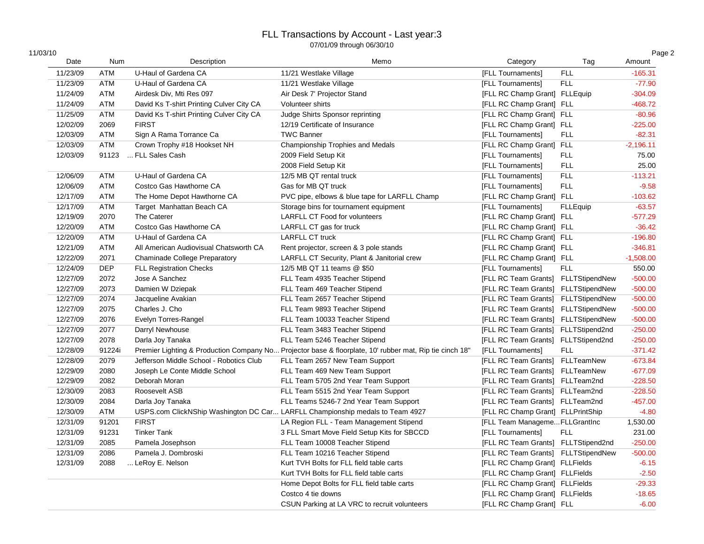| 1/03/10 |  |  |
|---------|--|--|

| 11/03/10 |            |                                          |                                                                                                         |                                     |                 | Page 2      |
|----------|------------|------------------------------------------|---------------------------------------------------------------------------------------------------------|-------------------------------------|-----------------|-------------|
| Date     | Num        | Description                              | Memo                                                                                                    | Category                            | Tag             | Amount      |
| 11/23/09 | <b>ATM</b> | U-Haul of Gardena CA                     | 11/21 Westlake Village                                                                                  | [FLL Tournaments]                   | <b>FLL</b>      | $-165.31$   |
| 11/23/09 | <b>ATM</b> | U-Haul of Gardena CA                     | 11/21 Westlake Village                                                                                  | [FLL Tournaments]                   | <b>FLL</b>      | $-77.90$    |
| 11/24/09 | <b>ATM</b> | Airdesk Div, Mti Res 097                 | Air Desk 7' Projector Stand                                                                             | [FLL RC Champ Grant] FLLEquip       |                 | $-304.09$   |
| 11/24/09 | <b>ATM</b> | David Ks T-shirt Printing Culver City CA | Volunteer shirts                                                                                        | [FLL RC Champ Grant] FLL            |                 | $-468.72$   |
| 11/25/09 | <b>ATM</b> | David Ks T-shirt Printing Culver City CA | Judge Shirts Sponsor reprinting                                                                         | [FLL RC Champ Grant] FLL            |                 | $-80.96$    |
| 12/02/09 | 2069       | <b>FIRST</b>                             | 12/19 Certificate of Insurance                                                                          | [FLL RC Champ Grant] FLL            |                 | $-225.00$   |
| 12/03/09 | <b>ATM</b> | Sign A Rama Torrance Ca                  | <b>TWC Banner</b>                                                                                       | [FLL Tournaments]                   | <b>FLL</b>      | $-82.31$    |
| 12/03/09 | <b>ATM</b> | Crown Trophy #18 Hookset NH              | Championship Trophies and Medals                                                                        | [FLL RC Champ Grant] FLL            |                 | $-2,196.11$ |
| 12/03/09 | 91123      | FLL Sales Cash                           | 2009 Field Setup Kit                                                                                    | [FLL Tournaments]                   | <b>FLL</b>      | 75.00       |
|          |            |                                          | 2008 Field Setup Kit                                                                                    | [FLL Tournaments]                   | <b>FLL</b>      | 25.00       |
| 12/06/09 | <b>ATM</b> | U-Haul of Gardena CA                     | 12/5 MB QT rental truck                                                                                 | [FLL Tournaments]                   | <b>FLL</b>      | $-113.21$   |
| 12/06/09 | <b>ATM</b> | Costco Gas Hawthorne CA                  | Gas for MB QT truck                                                                                     | [FLL Tournaments]                   | <b>FLL</b>      | $-9.58$     |
| 12/17/09 | <b>ATM</b> | The Home Depot Hawthorne CA              | PVC pipe, elbows & blue tape for LARFLL Champ                                                           | [FLL RC Champ Grant] FLL            |                 | $-103.62$   |
| 12/17/09 | <b>ATM</b> | Target Manhattan Beach CA                | Storage bins for tournament equipment                                                                   | [FLL Tournaments]                   | <b>FLLEquip</b> | $-63.57$    |
| 12/19/09 | 2070       | The Caterer                              | <b>LARFLL CT Food for volunteers</b>                                                                    | [FLL RC Champ Grant] FLL            |                 | $-577.29$   |
| 12/20/09 | <b>ATM</b> | Costco Gas Hawthorne CA                  | LARFLL CT gas for truck                                                                                 | [FLL RC Champ Grant] FLL            |                 | $-36.42$    |
| 12/20/09 | <b>ATM</b> | U-Haul of Gardena CA                     | <b>LARFLL CT truck</b>                                                                                  | [FLL RC Champ Grant] FLL            |                 | $-196.80$   |
| 12/21/09 | ATM        | All American Audiovisual Chatsworth CA   | Rent projector, screen & 3 pole stands                                                                  | [FLL RC Champ Grant] FLL            |                 | $-346.81$   |
| 12/22/09 | 2071       | <b>Chaminade College Preparatory</b>     | LARFLL CT Security, Plant & Janitorial crew                                                             | [FLL RC Champ Grant] FLL            |                 | $-1,508.00$ |
| 12/24/09 | <b>DEP</b> | <b>FLL Registration Checks</b>           | 12/5 MB QT 11 teams @ \$50                                                                              | [FLL Tournaments]                   | <b>FLL</b>      | 550.00      |
| 12/27/09 | 2072       | Jose A Sanchez                           | FLL Team 4935 Teacher Stipend                                                                           | [FLL RC Team Grants] FLLTStipendNew |                 | $-500.00$   |
| 12/27/09 | 2073       | Damien W Dziepak                         | FLL Team 469 Teacher Stipend                                                                            | [FLL RC Team Grants] FLLTStipendNew |                 | $-500.00$   |
| 12/27/09 | 2074       | Jacqueline Avakian                       | FLL Team 2657 Teacher Stipend                                                                           | [FLL RC Team Grants] FLLTStipendNew |                 | $-500.00$   |
| 12/27/09 | 2075       | Charles J. Cho                           | FLL Team 9893 Teacher Stipend                                                                           | [FLL RC Team Grants] FLLTStipendNew |                 | $-500.00$   |
| 12/27/09 | 2076       | Evelyn Torres-Rangel                     | FLL Team 10033 Teacher Stipend                                                                          | [FLL RC Team Grants] FLLTStipendNew |                 | $-500.00$   |
| 12/27/09 | 2077       | Darryl Newhouse                          | FLL Team 3483 Teacher Stipend                                                                           | [FLL RC Team Grants] FLLTStipend2nd |                 | $-250.00$   |
| 12/27/09 | 2078       | Darla Joy Tanaka                         | FLL Team 5246 Teacher Stipend                                                                           | [FLL RC Team Grants] FLLTStipend2nd |                 | $-250.00$   |
| 12/28/09 | 91224i     |                                          | Premier Lighting & Production Company No Projector base & floorplate, 10' rubber mat, Rip tie cinch 18' | [FLL Tournaments]                   | <b>FLL</b>      | $-371.42$   |
| 12/28/09 | 2079       | Jefferson Middle School - Robotics Club  | FLL Team 2657 New Team Support                                                                          | [FLL RC Team Grants] FLLTeamNew     |                 | $-673.84$   |
| 12/29/09 | 2080       | Joseph Le Conte Middle School            | FLL Team 469 New Team Support                                                                           | [FLL RC Team Grants] FLLTeamNew     |                 | $-677.09$   |
| 12/29/09 | 2082       | Deborah Moran                            | FLL Team 5705 2nd Year Team Support                                                                     | [FLL RC Team Grants] FLLTeam2nd     |                 | $-228.50$   |
| 12/30/09 | 2083       | Roosevelt ASB                            | FLL Team 5515 2nd Year Team Support                                                                     | [FLL RC Team Grants] FLLTeam2nd     |                 | $-228.50$   |
| 12/30/09 | 2084       | Darla Joy Tanaka                         | FLL Teams 5246-7 2nd Year Team Support                                                                  | [FLL RC Team Grants] FLLTeam2nd     |                 | $-457.00$   |
| 12/30/09 | <b>ATM</b> |                                          | USPS.com ClickNShip Washington DC Car LARFLL Championship medals to Team 4927                           | [FLL RC Champ Grant] FLLPrintShip   |                 | $-4.80$     |
| 12/31/09 | 91201      | <b>FIRST</b>                             | LA Region FLL - Team Management Stipend                                                                 | [FLL Team ManagemeFLLGrantInc       |                 | 1,530.00    |
| 12/31/09 | 91231      | <b>Tinker Tank</b>                       | 3 FLL Smart Move Field Setup Kits for SBCCD                                                             | [FLL Tournaments]                   | <b>FLL</b>      | 231.00      |
| 12/31/09 | 2085       | Pamela Josephson                         | FLL Team 10008 Teacher Stipend                                                                          | [FLL RC Team Grants] FLLTStipend2nd |                 | $-250.00$   |
| 12/31/09 | 2086       | Pamela J. Dombroski                      | FLL Team 10216 Teacher Stipend                                                                          | [FLL RC Team Grants] FLLTStipendNew |                 | $-500.00$   |
| 12/31/09 | 2088       | LeRoy E. Nelson                          | Kurt TVH Bolts for FLL field table carts                                                                | [FLL RC Champ Grant] FLLFields      |                 | $-6.15$     |
|          |            |                                          | Kurt TVH Bolts for FLL field table carts                                                                | [FLL RC Champ Grant] FLLFields      |                 | $-2.50$     |
|          |            |                                          | Home Depot Bolts for FLL field table carts                                                              | [FLL RC Champ Grant] FLLFields      |                 | $-29.33$    |
|          |            |                                          | Costco 4 tie downs                                                                                      | [FLL RC Champ Grant] FLLFields      |                 | $-18.65$    |
|          |            |                                          | CSUN Parking at LA VRC to recruit volunteers                                                            | [FLL RC Champ Grant] FLL            |                 | $-6.00$     |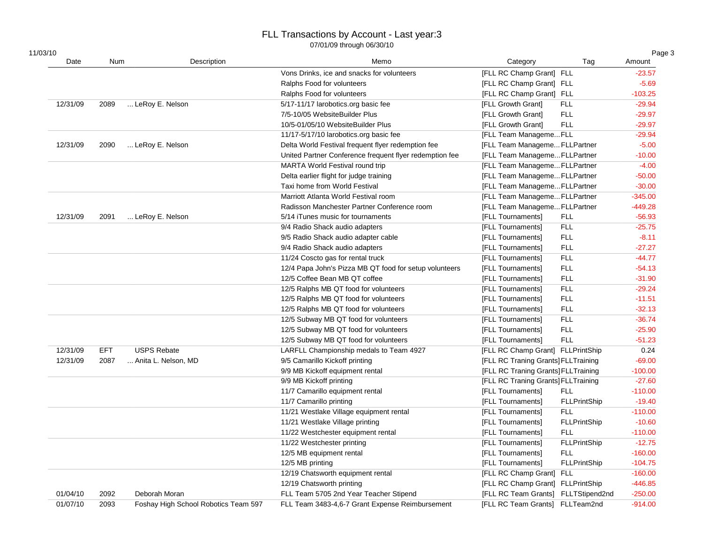| 11/03/10 |            |                                      |                                                         |                                     |                     | Page 3    |
|----------|------------|--------------------------------------|---------------------------------------------------------|-------------------------------------|---------------------|-----------|
| Date     | Num        | Description                          | Memo                                                    | Category                            | Tag                 | Amount    |
|          |            |                                      | Vons Drinks, ice and snacks for volunteers              | [FLL RC Champ Grant] FLL            |                     | $-23.57$  |
|          |            |                                      | Ralphs Food for volunteers                              | [FLL RC Champ Grant] FLL            |                     | $-5.69$   |
|          |            |                                      | Ralphs Food for volunteers                              | [FLL RC Champ Grant] FLL            |                     | $-103.25$ |
| 12/31/09 | 2089       | LeRoy E. Nelson                      | 5/17-11/17 larobotics.org basic fee                     | [FLL Growth Grant]                  | <b>FLL</b>          | $-29.94$  |
|          |            |                                      | 7/5-10/05 WebsiteBuilder Plus                           | [FLL Growth Grant]                  | <b>FLL</b>          | $-29.97$  |
|          |            |                                      | 10/5-01/05/10 WebsiteBuilder Plus                       | [FLL Growth Grant]                  | <b>FLL</b>          | $-29.97$  |
|          |            |                                      | 11/17-5/17/10 larobotics.org basic fee                  | [FLL Team ManagemeFLL               |                     | $-29.94$  |
| 12/31/09 | 2090       | LeRoy E. Nelson                      | Delta World Festival frequent flyer redemption fee      | [FLL Team Manageme FLLPartner       |                     | $-5.00$   |
|          |            |                                      | United Partner Conference frequent flyer redemption fee | [FLL Team ManagemeFLLPartner        |                     | $-10.00$  |
|          |            |                                      | MARTA World Festival round trip                         | [FLL Team Manageme FLLPartner       |                     | $-4.00$   |
|          |            |                                      | Delta earlier flight for judge training                 | [FLL Team Manageme FLLPartner       |                     | $-50.00$  |
|          |            |                                      | Taxi home from World Festival                           | [FLL Team ManagemeFLLPartner        |                     | $-30.00$  |
|          |            |                                      | Marriott Atlanta World Festival room                    | [FLL Team Manageme FLLPartner       |                     | $-345.00$ |
|          |            |                                      | Radisson Manchester Partner Conference room             | [FLL Team Manageme FLLPartner       |                     | $-449.28$ |
| 12/31/09 | 2091       | LeRoy E. Nelson                      | 5/14 iTunes music for tournaments                       | [FLL Tournaments]                   | <b>FLL</b>          | $-56.93$  |
|          |            |                                      | 9/4 Radio Shack audio adapters                          | [FLL Tournaments]                   | <b>FLL</b>          | $-25.75$  |
|          |            |                                      | 9/5 Radio Shack audio adapter cable                     | [FLL Tournaments]                   | <b>FLL</b>          | $-8.11$   |
|          |            |                                      | 9/4 Radio Shack audio adapters                          | [FLL Tournaments]                   | <b>FLL</b>          | $-27.27$  |
|          |            |                                      | 11/24 Coscto gas for rental truck                       | [FLL Tournaments]                   | <b>FLL</b>          | $-44.77$  |
|          |            |                                      | 12/4 Papa John's Pizza MB QT food for setup volunteers  | [FLL Tournaments]                   | <b>FLL</b>          | $-54.13$  |
|          |            |                                      | 12/5 Coffee Bean MB QT coffee                           | [FLL Tournaments]                   | <b>FLL</b>          | $-31.90$  |
|          |            |                                      | 12/5 Ralphs MB QT food for volunteers                   | [FLL Tournaments]                   | <b>FLL</b>          | $-29.24$  |
|          |            |                                      | 12/5 Ralphs MB QT food for volunteers                   | [FLL Tournaments]                   | <b>FLL</b>          | $-11.51$  |
|          |            |                                      | 12/5 Ralphs MB QT food for volunteers                   | [FLL Tournaments]                   | <b>FLL</b>          | $-32.13$  |
|          |            |                                      | 12/5 Subway MB QT food for volunteers                   | [FLL Tournaments]                   | <b>FLL</b>          | $-36.74$  |
|          |            |                                      | 12/5 Subway MB QT food for volunteers                   | [FLL Tournaments]                   | <b>FLL</b>          | $-25.90$  |
|          |            |                                      | 12/5 Subway MB QT food for volunteers                   | [FLL Tournaments]                   | <b>FLL</b>          | $-51.23$  |
| 12/31/09 | <b>EFT</b> | <b>USPS Rebate</b>                   | LARFLL Championship medals to Team 4927                 | [FLL RC Champ Grant] FLLPrintShip   |                     | 0.24      |
| 12/31/09 | 2087       | Anita L. Nelson, MD                  | 9/5 Camarillo Kickoff printing                          | [FLL RC Traning Grants] FLLTraining |                     | $-69.00$  |
|          |            |                                      | 9/9 MB Kickoff equipment rental                         | [FLL RC Traning Grants] FLLTraining |                     | $-100.00$ |
|          |            |                                      | 9/9 MB Kickoff printing                                 | [FLL RC Traning Grants] FLLTraining |                     | $-27.60$  |
|          |            |                                      | 11/7 Camarillo equipment rental                         | [FLL Tournaments]                   | <b>FLL</b>          | $-110.00$ |
|          |            |                                      | 11/7 Camarillo printing                                 | [FLL Tournaments]                   | <b>FLLPrintShip</b> | $-19.40$  |
|          |            |                                      | 11/21 Westlake Village equipment rental                 | [FLL Tournaments]                   | FLL                 | $-110.00$ |
|          |            |                                      | 11/21 Westlake Village printing                         | [FLL Tournaments]                   | <b>FLLPrintShip</b> | $-10.60$  |
|          |            |                                      | 11/22 Westchester equipment rental                      | [FLL Tournaments]                   | <b>FLL</b>          | $-110.00$ |
|          |            |                                      | 11/22 Westchester printing                              | [FLL Tournaments]                   | <b>FLLPrintShip</b> | $-12.75$  |
|          |            |                                      | 12/5 MB equipment rental                                | [FLL Tournaments]                   | <b>FLL</b>          | $-160.00$ |
|          |            |                                      | 12/5 MB printing                                        | [FLL Tournaments]                   | <b>FLLPrintShip</b> | $-104.75$ |
|          |            |                                      | 12/19 Chatsworth equipment rental                       | [FLL RC Champ Grant] FLL            |                     | $-160.00$ |
|          |            |                                      | 12/19 Chatsworth printing                               | [FLL RC Champ Grant] FLLPrintShip   |                     | $-446.85$ |
| 01/04/10 | 2092       | Deborah Moran                        | FLL Team 5705 2nd Year Teacher Stipend                  | [FLL RC Team Grants] FLLTStipend2nd |                     | $-250.00$ |
| 01/07/10 | 2093       | Foshay High School Robotics Team 597 | FLL Team 3483-4,6-7 Grant Expense Reimbursement         | [FLL RC Team Grants] FLLTeam2nd     |                     | $-914.00$ |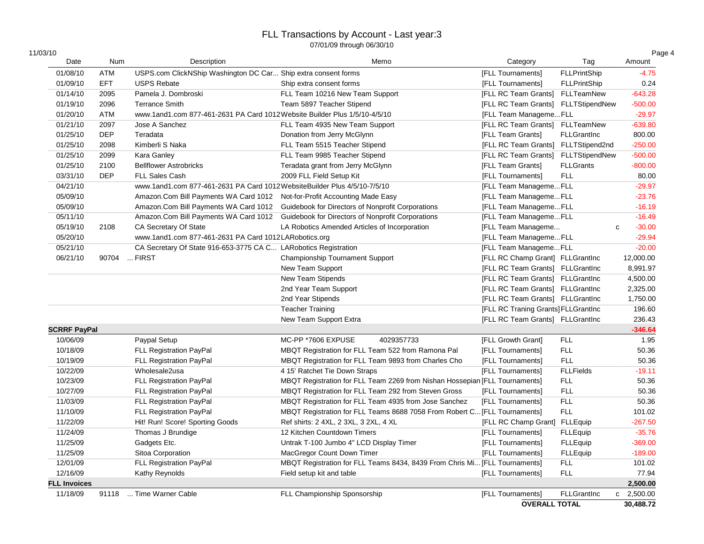| 11/03/10            |              |                                                                           |                                                                             |                                     |                     | Page 4       |
|---------------------|--------------|---------------------------------------------------------------------------|-----------------------------------------------------------------------------|-------------------------------------|---------------------|--------------|
| Date                | <b>Num</b>   | Description                                                               | Memo                                                                        | Category                            | Tag                 | Amount       |
| 01/08/10            | <b>ATM</b>   | USPS.com ClickNShip Washington DC Car Ship extra consent forms            |                                                                             | [FLL Tournaments]                   | <b>FLLPrintShip</b> | $-4.75$      |
| 01/09/10            | <b>EFT</b>   | <b>USPS Rebate</b>                                                        | Ship extra consent forms                                                    | [FLL Tournaments]                   | <b>FLLPrintShip</b> | 0.24         |
| 01/14/10            | 2095         | Pamela J. Dombroski                                                       | FLL Team 10216 New Team Support                                             | [FLL RC Team Grants]                | FLLTeamNew          | $-643.28$    |
| 01/19/10            | 2096         | <b>Terrance Smith</b>                                                     | Team 5897 Teacher Stipend                                                   | [FLL RC Team Grants] FLLTStipendNew |                     | $-500.00$    |
| 01/20/10            | ATM          | www.1and1.com 877-461-2631 PA Card 1012Website Builder Plus 1/5/10-4/5/10 |                                                                             | [FLL Team ManagemeFLL               |                     | $-29.97$     |
| 01/21/10            | 2097         | Jose A Sanchez                                                            | FLL Team 4935 New Team Support                                              | [FLL RC Team Grants] FLLTeamNew     |                     | $-639.80$    |
| 01/25/10            | <b>DEP</b>   | Teradata                                                                  | Donation from Jerry McGlynn                                                 | [FLL Team Grants]                   | <b>FLLGrantInc</b>  | 800.00       |
| 01/25/10            | 2098         | Kimberli S Naka                                                           | FLL Team 5515 Teacher Stipend                                               | [FLL RC Team Grants] FLLTStipend2nd |                     | $-250.00$    |
| 01/25/10            | 2099         | Kara Ganley                                                               | FLL Team 9985 Teacher Stipend                                               | [FLL RC Team Grants] FLLTStipendNew |                     | $-500.00$    |
| 01/25/10            | 2100         | <b>Bellflower Astrobricks</b>                                             | Teradata grant from Jerry McGlynn                                           | [FLL Team Grants]                   | <b>FLLGrants</b>    | $-800.00$    |
| 03/31/10            | <b>DEP</b>   | <b>FLL Sales Cash</b>                                                     | 2009 FLL Field Setup Kit                                                    | [FLL Tournaments]                   | <b>FLL</b>          | 80.00        |
| 04/21/10            |              | www.1and1.com 877-461-2631 PA Card 1012WebsiteBuilder Plus 4/5/10-7/5/10  |                                                                             | [FLL Team ManagemeFLL               |                     | $-29.97$     |
| 05/09/10            |              | Amazon.Com Bill Payments WA Card 1012                                     | Not-for-Profit Accounting Made Easy                                         | [FLL Team ManagemeFLL               |                     | $-23.76$     |
| 05/09/10            |              | Amazon.Com Bill Payments WA Card 1012                                     | Guidebook for Directors of Nonprofit Corporations                           | [FLL Team ManagemeFLL               |                     | $-16.19$     |
| 05/11/10            |              | Amazon.Com Bill Payments WA Card 1012                                     | Guidebook for Directors of Nonprofit Corporations                           | [FLL Team ManagemeFLL               |                     | $-16.49$     |
| 05/19/10            | 2108         | CA Secretary Of State                                                     | LA Robotics Amended Articles of Incorporation                               | [FLL Team Manageme                  | $\mathbf{C}$        | $-30.00$     |
| 05/20/10            |              | www.1and1.com 877-461-2631 PA Card 1012LARobotics.org                     |                                                                             | [FLL Team ManagemeFLL               |                     | $-29.94$     |
| 05/21/10            |              | CA Secretary Of State 916-653-3775 CA C LARobotics Registration           |                                                                             | [FLL Team ManagemeFLL               |                     | $-20.00$     |
| 06/21/10            | 90704  FIRST |                                                                           | <b>Championship Tournament Support</b>                                      | [FLL RC Champ Grant] FLLGrantInc    |                     | 12,000.00    |
|                     |              |                                                                           | New Team Support                                                            | [FLL RC Team Grants] FLLGrantInc    |                     | 8,991.97     |
|                     |              |                                                                           | New Team Stipends                                                           | [FLL RC Team Grants] FLLGrantInc    |                     | 4,500.00     |
|                     |              |                                                                           | 2nd Year Team Support                                                       | [FLL RC Team Grants] FLLGrantInc    |                     | 2,325.00     |
|                     |              |                                                                           | 2nd Year Stipends                                                           | [FLL RC Team Grants] FLLGrantInc    |                     | 1,750.00     |
|                     |              |                                                                           | <b>Teacher Training</b>                                                     | [FLL RC Traning Grants] FLLGrantInc |                     | 196.60       |
|                     |              |                                                                           | New Team Support Extra                                                      | [FLL RC Team Grants] FLLGrantInc    |                     | 236.43       |
| <b>SCRRF PayPal</b> |              |                                                                           |                                                                             |                                     |                     | $-346.64$    |
| 10/06/09            |              | Paypal Setup                                                              | MC-PP *7606 EXPUSE<br>4029357733                                            | [FLL Growth Grant]                  | <b>FLL</b>          | 1.95         |
| 10/18/09            |              | FLL Registration PayPal                                                   | MBQT Registration for FLL Team 522 from Ramona Pal                          | [FLL Tournaments]                   | <b>FLL</b>          | 50.36        |
| 10/19/09            |              | FLL Registration PayPal                                                   | MBQT Registration for FLL Team 9893 from Charles Cho                        | [FLL Tournaments]                   | <b>FLL</b>          | 50.36        |
| 10/22/09            |              | Wholesale2usa                                                             | 4 15' Ratchet Tie Down Straps                                               | [FLL Tournaments]                   | <b>FLLFields</b>    | $-19.11$     |
| 10/23/09            |              | FLL Registration PayPal                                                   | MBQT Registration for FLL Team 2269 from Nishan Hossepian [FLL Tournaments] |                                     | <b>FLL</b>          | 50.36        |
| 10/27/09            |              | <b>FLL Registration PayPal</b>                                            | MBQT Registration for FLL Team 292 from Steven Gross                        | [FLL Tournaments]                   | <b>FLL</b>          | 50.36        |
| 11/03/09            |              | FLL Registration PayPal                                                   | MBQT Registration for FLL Team 4935 from Jose Sanchez                       | [FLL Tournaments]                   | <b>FLL</b>          | 50.36        |
| 11/10/09            |              | FLL Registration PayPal                                                   | MBQT Registration for FLL Teams 8688 7058 From Robert C [FLL Tournaments]   |                                     | <b>FLL</b>          | 101.02       |
| 11/22/09            |              | Hit! Run! Score! Sporting Goods                                           | Ref shirts: 2 4XL, 2 3XL, 3 2XL, 4 XL                                       | [FLL RC Champ Grant] FLLEquip       |                     | $-267.50$    |
| 11/24/09            |              | Thomas J Brundige                                                         | 12 Kitchen Countdown Timers                                                 | [FLL Tournaments]                   | FLLEquip            | $-35.76$     |
| 11/25/09            |              | Gadgets Etc.                                                              | Untrak T-100 Jumbo 4" LCD Display Timer                                     | [FLL Tournaments]                   | <b>FLLEquip</b>     | $-369.00$    |
| 11/25/09            |              | Sitoa Corporation                                                         | MacGregor Count Down Timer                                                  | [FLL Tournaments]                   | FLLEquip            | $-189.00$    |
| 12/01/09            |              | FLL Registration PayPal                                                   | MBQT Registration for FLL Teams 8434, 8439 From Chris Mi [FLL Tournaments]  |                                     | <b>FLL</b>          | 101.02       |
| 12/16/09            |              | Kathy Reynolds                                                            | Field setup kit and table                                                   | [FLL Tournaments]                   | <b>FLL</b>          | 77.94        |
| <b>FLL Invoices</b> |              |                                                                           |                                                                             |                                     |                     | 2,500.00     |
| 11/18/09            | 91118        | Time Warner Cable                                                         | FLL Championship Sponsorship                                                | [FLL Tournaments]                   | FLLGrantInc         | c $2,500.00$ |
|                     |              |                                                                           |                                                                             | <b>OVERALL TOTAL</b>                |                     | 30,488.72    |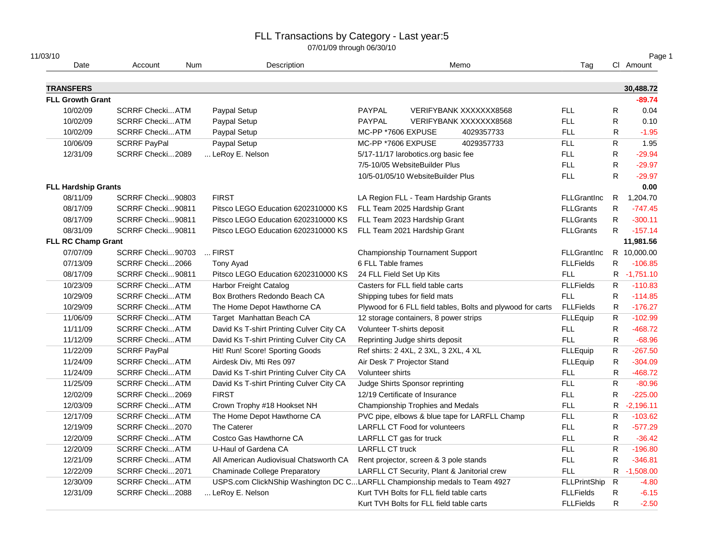| 11/03/10<br>Date                            | Account                 | Num | Description                                                                |                          |                                          | Memo                                                        | Tag                 |              | Page 1<br>CI Amount   |
|---------------------------------------------|-------------------------|-----|----------------------------------------------------------------------------|--------------------------|------------------------------------------|-------------------------------------------------------------|---------------------|--------------|-----------------------|
|                                             |                         |     |                                                                            |                          |                                          |                                                             |                     |              |                       |
| <b>TRANSFERS</b><br><b>FLL Growth Grant</b> |                         |     |                                                                            |                          |                                          |                                                             |                     |              | 30,488.72<br>$-89.74$ |
|                                             |                         |     |                                                                            |                          |                                          |                                                             |                     |              |                       |
| 10/02/09                                    | <b>SCRRF Checki ATM</b> |     | Paypal Setup                                                               | PAYPAL                   |                                          | VERIFYBANK XXXXXXX8568                                      | FLL.                | ${\sf R}$    | 0.04                  |
| 10/02/09                                    | <b>SCRRF Checki ATM</b> |     | Paypal Setup                                                               | PAYPAL                   |                                          | VERIFYBANK XXXXXXX8568                                      | <b>FLL</b>          | R            | 0.10                  |
| 10/02/09                                    | <b>SCRRF Checki ATM</b> |     | Paypal Setup                                                               | MC-PP *7606 EXPUSE       |                                          | 4029357733                                                  | <b>FLL</b>          | R            | $-1.95$               |
| 10/06/09                                    | <b>SCRRF PayPal</b>     |     | Paypal Setup                                                               | MC-PP *7606 EXPUSE       |                                          | 4029357733                                                  | <b>FLL</b>          | $\mathsf{R}$ | 1.95                  |
| 12/31/09                                    | SCRRF Checki2089        |     | LeRoy E. Nelson                                                            |                          | 5/17-11/17 larobotics.org basic fee      |                                                             | <b>FLL</b>          | $\mathsf{R}$ | $-29.94$              |
|                                             |                         |     |                                                                            |                          | 7/5-10/05 WebsiteBuilder Plus            |                                                             | <b>FLL</b>          | $\mathsf{R}$ | $-29.97$              |
|                                             |                         |     |                                                                            |                          | 10/5-01/05/10 WebsiteBuilder Plus        |                                                             | <b>FLL</b>          | ${\sf R}$    | $-29.97$              |
| <b>FLL Hardship Grants</b>                  |                         |     |                                                                            |                          |                                          |                                                             |                     |              | 0.00                  |
| 08/11/09                                    | SCRRF Checki90803       |     | <b>FIRST</b>                                                               |                          | LA Region FLL - Team Hardship Grants     |                                                             | <b>FLLGrantInc</b>  |              | R 1,204.70            |
| 08/17/09                                    | SCRRF Checki90811       |     | Pitsco LEGO Education 6202310000 KS                                        |                          | FLL Team 2025 Hardship Grant             |                                                             | <b>FLLGrants</b>    | $\mathsf{R}$ | $-747.45$             |
| 08/17/09                                    | SCRRF Checki90811       |     | Pitsco LEGO Education 6202310000 KS                                        |                          | FLL Team 2023 Hardship Grant             |                                                             | <b>FLLGrants</b>    | R.           | $-300.11$             |
| 08/31/09                                    | SCRRF Checki90811       |     | Pitsco LEGO Education 6202310000 KS                                        |                          | FLL Team 2021 Hardship Grant             |                                                             | <b>FLLGrants</b>    | $\mathsf{R}$ | $-157.14$             |
| <b>FLL RC Champ Grant</b>                   |                         |     |                                                                            |                          |                                          |                                                             |                     |              | 11,981.56             |
| 07/07/09                                    | SCRRF Checki90703       |     | $$ FIRST                                                                   |                          | <b>Championship Tournament Support</b>   |                                                             | <b>FLLGrantInc</b>  |              | R 10,000.00           |
| 07/13/09                                    | SCRRF Checki2066        |     | Tony Ayad                                                                  | 6 FLL Table frames       |                                          |                                                             | <b>FLLFields</b>    | R            | $-106.85$             |
| 08/17/09                                    | SCRRF Checki90811       |     | Pitsco LEGO Education 6202310000 KS                                        | 24 FLL Field Set Up Kits |                                          |                                                             | <b>FLL</b>          |              | R -1,751.10           |
| 10/23/09                                    | <b>SCRRF Checki ATM</b> |     | Harbor Freight Catalog                                                     |                          | Casters for FLL field table carts        |                                                             | <b>FLLFields</b>    | R            | $-110.83$             |
| 10/29/09                                    | <b>SCRRF Checki ATM</b> |     | Box Brothers Redondo Beach CA                                              |                          | Shipping tubes for field mats            |                                                             | <b>FLL</b>          | R            | $-114.85$             |
| 10/29/09                                    | <b>SCRRF Checki ATM</b> |     | The Home Depot Hawthorne CA                                                |                          |                                          | Plywood for 6 FLL field tables, Bolts and plywood for carts | <b>FLLFields</b>    | R            | $-176.27$             |
| 11/06/09                                    | <b>SCRRF Checki ATM</b> |     | Target Manhattan Beach CA                                                  |                          | 12 storage containers, 8 power strips    |                                                             | FLLEquip            | $\mathsf{R}$ | $-102.99$             |
| 11/11/09                                    | <b>SCRRF Checki ATM</b> |     | David Ks T-shirt Printing Culver City CA                                   |                          | Volunteer T-shirts deposit               |                                                             | <b>FLL</b>          | R            | $-468.72$             |
| 11/12/09                                    | <b>SCRRF Checki ATM</b> |     | David Ks T-shirt Printing Culver City CA                                   |                          | Reprinting Judge shirts deposit          |                                                             | <b>FLL</b>          | ${\sf R}$    | $-68.96$              |
| 11/22/09                                    | <b>SCRRF PayPal</b>     |     | Hit! Run! Score! Sporting Goods                                            |                          | Ref shirts: 2 4XL, 2 3XL, 3 2XL, 4 XL    |                                                             | <b>FLLEquip</b>     | $\mathsf{R}$ | $-267.50$             |
| 11/24/09                                    | <b>SCRRF Checki ATM</b> |     | Airdesk Div, Mti Res 097                                                   |                          | Air Desk 7' Projector Stand              |                                                             | FLLEquip            | $\mathsf{R}$ | $-304.09$             |
| 11/24/09                                    | <b>SCRRF Checki ATM</b> |     | David Ks T-shirt Printing Culver City CA                                   | Volunteer shirts         |                                          |                                                             | <b>FLL</b>          | $\mathsf R$  | $-468.72$             |
| 11/25/09                                    | <b>SCRRF Checki ATM</b> |     | David Ks T-shirt Printing Culver City CA                                   |                          | Judge Shirts Sponsor reprinting          |                                                             | FLL.                | $\mathsf{R}$ | $-80.96$              |
| 12/02/09                                    | SCRRF Checki2069        |     | <b>FIRST</b>                                                               |                          | 12/19 Certificate of Insurance           |                                                             | FLL.                | R            | $-225.00$             |
| 12/03/09                                    | <b>SCRRF Checki ATM</b> |     | Crown Trophy #18 Hookset NH                                                |                          | Championship Trophies and Medals         |                                                             | <b>FLL</b>          | R            | $-2,196.11$           |
| 12/17/09                                    | <b>SCRRF Checki ATM</b> |     | The Home Depot Hawthorne CA                                                |                          |                                          | PVC pipe, elbows & blue tape for LARFLL Champ               | <b>FLL</b>          | ${\sf R}$    | $-103.62$             |
| 12/19/09                                    | SCRRF Checki2070        |     | The Caterer                                                                |                          | <b>LARFLL CT Food for volunteers</b>     |                                                             | <b>FLL</b>          | $\mathsf R$  | $-577.29$             |
| 12/20/09                                    | <b>SCRRF Checki ATM</b> |     | Costco Gas Hawthorne CA                                                    | LARFLL CT gas for truck  |                                          |                                                             | <b>FLL</b>          | R            | $-36.42$              |
| 12/20/09                                    | <b>SCRRF Checki ATM</b> |     | U-Haul of Gardena CA                                                       | <b>LARFLL CT truck</b>   |                                          |                                                             | <b>FLL</b>          | $\mathsf{R}$ | $-196.80$             |
| 12/21/09                                    | <b>SCRRF Checki ATM</b> |     | All American Audiovisual Chatsworth CA                                     |                          | Rent projector, screen & 3 pole stands   |                                                             | <b>FLL</b>          | R            | $-346.81$             |
| 12/22/09                                    | SCRRF Checki2071        |     | <b>Chaminade College Preparatory</b>                                       |                          |                                          | LARFLL CT Security, Plant & Janitorial crew                 | <b>FLL</b>          |              | R -1,508.00           |
| 12/30/09                                    | <b>SCRRF Checki ATM</b> |     | USPS.com ClickNShip Washington DC CLARFLL Championship medals to Team 4927 |                          |                                          |                                                             | <b>FLLPrintShip</b> | $\mathsf{R}$ | $-4.80$               |
| 12/31/09                                    | SCRRF Checki2088        |     | LeRoy E. Nelson                                                            |                          | Kurt TVH Bolts for FLL field table carts |                                                             | <b>FLLFields</b>    | R            | $-6.15$               |
|                                             |                         |     |                                                                            |                          | Kurt TVH Bolts for FLL field table carts |                                                             | <b>FLLFields</b>    | R            | $-2.50$               |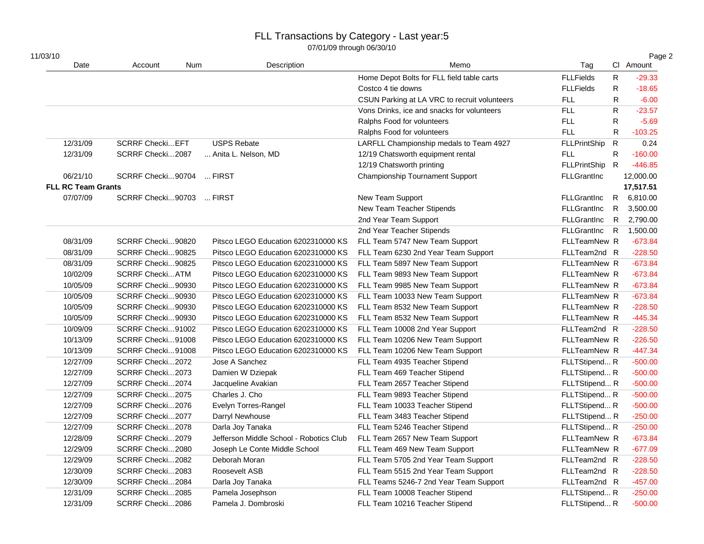| 11/03/10                  |                          |     |                                         |                                              |                     |              | Page 2    |
|---------------------------|--------------------------|-----|-----------------------------------------|----------------------------------------------|---------------------|--------------|-----------|
| Date                      | Account                  | Num | Description                             | Memo                                         | Tag                 |              | Cl Amount |
|                           |                          |     |                                         | Home Depot Bolts for FLL field table carts   | <b>FLLFields</b>    | R            | $-29.33$  |
|                           |                          |     |                                         | Costco 4 tie downs                           | <b>FLLFields</b>    | $\mathsf R$  | $-18.65$  |
|                           |                          |     |                                         | CSUN Parking at LA VRC to recruit volunteers | <b>FLL</b>          | $\mathsf{R}$ | $-6.00$   |
|                           |                          |     |                                         | Vons Drinks, ice and snacks for volunteers   | <b>FLL</b>          | R            | $-23.57$  |
|                           |                          |     |                                         | Ralphs Food for volunteers                   | <b>FLL</b>          | $\mathsf{R}$ | $-5.69$   |
|                           |                          |     |                                         | Ralphs Food for volunteers                   | <b>FLL</b>          | ${\sf R}$    | $-103.25$ |
| 12/31/09                  | <b>SCRRF Checki EFT</b>  |     | <b>USPS Rebate</b>                      | LARFLL Championship medals to Team 4927      | FLLPrintShip R      |              | 0.24      |
| 12/31/09                  | SCRRF Checki2087         |     | Anita L. Nelson, MD                     | 12/19 Chatsworth equipment rental            | <b>FLL</b>          | ${\sf R}$    | $-160.00$ |
|                           |                          |     |                                         | 12/19 Chatsworth printing                    | FLLPrintShip R      |              | $-446.85$ |
| 06/21/10                  | SCRRF Checki90704  FIRST |     |                                         | <b>Championship Tournament Support</b>       | <b>FLLGrantInc</b>  |              | 12,000.00 |
| <b>FLL RC Team Grants</b> |                          |     |                                         |                                              |                     |              | 17,517.51 |
| 07/07/09                  | SCRRF Checki90703  FIRST |     |                                         | New Team Support                             | <b>FLLGrantInc</b>  | R            | 6,810.00  |
|                           |                          |     |                                         | New Team Teacher Stipends                    | <b>FLLGrantInc</b>  | ${\sf R}$    | 3,500.00  |
|                           |                          |     | 2nd Year Team Support                   | FLLGrantInc                                  | - R                 | 2,790.00     |           |
|                           |                          |     |                                         | 2nd Year Teacher Stipends                    | FLLGrantInc R       |              | 1,500.00  |
| 08/31/09                  | SCRRF Checki90820        |     | Pitsco LEGO Education 6202310000 KS     | FLL Team 5747 New Team Support               | FLLTeamNew R        |              | $-673.84$ |
| 08/31/09                  | SCRRF Checki90825        |     | Pitsco LEGO Education 6202310000 KS     | FLL Team 6230 2nd Year Team Support          | FLLTeam2nd R        |              | $-228.50$ |
| 08/31/09                  | SCRRF Checki90825        |     | Pitsco LEGO Education 6202310000 KS     | FLL Team 5897 New Team Support               | <b>FLLTeamNew R</b> |              | $-673.84$ |
| 10/02/09                  | <b>SCRRF CheckiATM</b>   |     | Pitsco LEGO Education 6202310000 KS     | FLL Team 9893 New Team Support               | FLLTeamNew R        |              | $-673.84$ |
| 10/05/09                  | SCRRF Checki90930        |     | Pitsco LEGO Education 6202310000 KS     | FLL Team 9985 New Team Support               | FLLTeamNew R        |              | $-673.84$ |
| 10/05/09                  | SCRRF Checki90930        |     | Pitsco LEGO Education 6202310000 KS     | FLL Team 10033 New Team Support              | FLLTeamNew R        |              | $-673.84$ |
| 10/05/09                  | SCRRF Checki90930        |     | Pitsco LEGO Education 6202310000 KS     | FLL Team 8532 New Team Support               | <b>FLLTeamNew R</b> |              | $-228.50$ |
| 10/05/09                  | SCRRF Checki90930        |     | Pitsco LEGO Education 6202310000 KS     | FLL Team 8532 New Team Support               | <b>FLLTeamNew R</b> |              | $-445.34$ |
| 10/09/09                  | SCRRF Checki91002        |     | Pitsco LEGO Education 6202310000 KS     | FLL Team 10008 2nd Year Support              | FLLTeam2nd R        |              | $-228.50$ |
| 10/13/09                  | SCRRF Checki91008        |     | Pitsco LEGO Education 6202310000 KS     | FLL Team 10206 New Team Support              | <b>FLLTeamNew R</b> |              | $-226.50$ |
| 10/13/09                  | SCRRF Checki91008        |     | Pitsco LEGO Education 6202310000 KS     | FLL Team 10206 New Team Support              | <b>FLLTeamNew R</b> |              | $-447.34$ |
| 12/27/09                  | SCRRF Checki2072         |     | Jose A Sanchez                          | FLL Team 4935 Teacher Stipend                | FLLTStipend R       |              | $-500.00$ |
| 12/27/09                  | SCRRF Checki2073         |     | Damien W Dziepak                        | FLL Team 469 Teacher Stipend                 | FLLTStipend R       |              | $-500.00$ |
| 12/27/09                  | SCRRF Checki2074         |     | Jacqueline Avakian                      | FLL Team 2657 Teacher Stipend                | FLLTStipend R       |              | $-500.00$ |
| 12/27/09                  | SCRRF Checki2075         |     | Charles J. Cho                          | FLL Team 9893 Teacher Stipend                | FLLTStipend R       |              | $-500.00$ |
| 12/27/09                  | SCRRF Checki2076         |     | Evelyn Torres-Rangel                    | FLL Team 10033 Teacher Stipend               | FLLTStipend R       |              | $-500.00$ |
| 12/27/09                  | SCRRF Checki2077         |     | Darryl Newhouse                         | FLL Team 3483 Teacher Stipend                | FLLTStipend R       |              | $-250.00$ |
| 12/27/09                  | SCRRF Checki2078         |     | Darla Joy Tanaka                        | FLL Team 5246 Teacher Stipend                | FLLTStipend R       |              | $-250.00$ |
| 12/28/09                  | SCRRF Checki2079         |     | Jefferson Middle School - Robotics Club | FLL Team 2657 New Team Support               | FLLTeamNew R        |              | $-673.84$ |
| 12/29/09                  | SCRRF Checki2080         |     | Joseph Le Conte Middle School           | FLL Team 469 New Team Support                | <b>FLLTeamNew R</b> |              | $-677.09$ |
| 12/29/09                  | SCRRF Checki2082         |     | Deborah Moran                           | FLL Team 5705 2nd Year Team Support          | FLLTeam2nd R        |              | $-228.50$ |
| 12/30/09                  | SCRRF Checki2083         |     | Roosevelt ASB                           | FLL Team 5515 2nd Year Team Support          | FLLTeam2nd R        |              | $-228.50$ |
| 12/30/09                  | SCRRF Checki2084         |     | Darla Joy Tanaka                        | FLL Teams 5246-7 2nd Year Team Support       | FLLTeam2nd R        |              | $-457.00$ |
| 12/31/09                  | SCRRF Checki2085         |     | Pamela Josephson                        | FLL Team 10008 Teacher Stipend               | FLLTStipend R       |              | $-250.00$ |
| 12/31/09                  | SCRRF Checki2086         |     | Pamela J. Dombroski                     | FLL Team 10216 Teacher Stipend               | FLLTStipend R       |              | $-500.00$ |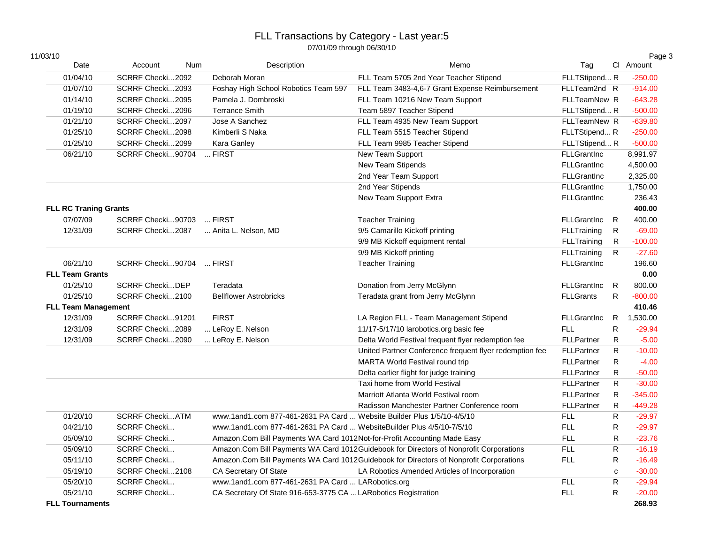| 11/03/10                     |                         |                                                                          |                                                                                        |                    |              | Page 3    |
|------------------------------|-------------------------|--------------------------------------------------------------------------|----------------------------------------------------------------------------------------|--------------------|--------------|-----------|
| Date                         | Account                 | Description<br>Num                                                       | Memo                                                                                   | Tag                |              | Cl Amount |
| 01/04/10                     | SCRRF Checki2092        | Deborah Moran                                                            | FLL Team 5705 2nd Year Teacher Stipend                                                 | FLLTStipend R      |              | $-250.00$ |
| 01/07/10                     | SCRRF Checki2093        | Foshay High School Robotics Team 597                                     | FLL Team 3483-4,6-7 Grant Expense Reimbursement                                        | FLLTeam2nd R       |              | $-914.00$ |
| 01/14/10                     | SCRRF Checki2095        | Pamela J. Dombroski                                                      | FLL Team 10216 New Team Support                                                        | FLLTeamNew R       |              | $-643.28$ |
| 01/19/10                     | SCRRF Checki2096        | <b>Terrance Smith</b>                                                    | Team 5897 Teacher Stipend                                                              | FLLTStipend R      |              | $-500.00$ |
| 01/21/10                     | SCRRF Checki2097        | Jose A Sanchez                                                           | FLL Team 4935 New Team Support                                                         | FLLTeamNew R       |              | $-639.80$ |
| 01/25/10                     | SCRRF Checki2098        | Kimberli S Naka                                                          | FLL Team 5515 Teacher Stipend                                                          | FLLTStipend R      |              | $-250.00$ |
| 01/25/10                     | SCRRF Checki2099        | Kara Ganley                                                              | FLL Team 9985 Teacher Stipend                                                          | FLLTStipend R      |              | $-500.00$ |
| 06/21/10                     | SCRRF Checki90704       | $$ FIRST                                                                 | New Team Support                                                                       | <b>FLLGrantInc</b> |              | 8,991.97  |
|                              |                         |                                                                          | New Team Stipends                                                                      | <b>FLLGrantInc</b> |              | 4,500.00  |
|                              |                         |                                                                          | 2nd Year Team Support                                                                  | <b>FLLGrantInc</b> |              | 2,325.00  |
|                              |                         |                                                                          | 2nd Year Stipends                                                                      | <b>FLLGrantInc</b> |              | 1,750.00  |
|                              |                         |                                                                          | New Team Support Extra                                                                 | <b>FLLGrantInc</b> |              | 236.43    |
| <b>FLL RC Traning Grants</b> |                         |                                                                          |                                                                                        |                    |              | 400.00    |
| 07/07/09                     | SCRRF Checki90703       | $$ FIRST                                                                 | <b>Teacher Training</b>                                                                | <b>FLLGrantInc</b> | R            | 400.00    |
| 12/31/09                     | SCRRF Checki2087        | Anita L. Nelson, MD                                                      | 9/5 Camarillo Kickoff printing                                                         | <b>FLLTraining</b> | $\mathsf{R}$ | $-69.00$  |
|                              |                         |                                                                          | 9/9 MB Kickoff equipment rental                                                        | <b>FLLTraining</b> | R            | $-100.00$ |
|                              |                         |                                                                          | 9/9 MB Kickoff printing                                                                | FLLTraining        | R.           | $-27.60$  |
| 06/21/10                     | SCRRF Checki90704       | $$ FIRST                                                                 | <b>Teacher Training</b>                                                                | <b>FLLGrantInc</b> |              | 196.60    |
| <b>FLL Team Grants</b>       |                         |                                                                          |                                                                                        |                    |              | 0.00      |
| 01/25/10                     | <b>SCRRF CheckiDEP</b>  | Teradata                                                                 | Donation from Jerry McGlynn                                                            | <b>FLLGrantInc</b> | R            | 800.00    |
| 01/25/10                     | SCRRF Checki2100        | <b>Bellflower Astrobricks</b>                                            | Teradata grant from Jerry McGlynn                                                      | <b>FLLGrants</b>   | R            | $-800.00$ |
| <b>FLL Team Management</b>   |                         |                                                                          |                                                                                        |                    |              | 410.46    |
| 12/31/09                     | SCRRF Checki91201       | <b>FIRST</b>                                                             | LA Region FLL - Team Management Stipend                                                | <b>FLLGrantInc</b> | R            | 1,530.00  |
| 12/31/09                     | SCRRF Checki2089        | LeRoy E. Nelson                                                          | 11/17-5/17/10 larobotics.org basic fee                                                 | <b>FLL</b>         | R            | $-29.94$  |
| 12/31/09                     | SCRRF Checki2090        | LeRoy E. Nelson                                                          | Delta World Festival frequent flyer redemption fee                                     | <b>FLLPartner</b>  | ${\sf R}$    | $-5.00$   |
|                              |                         |                                                                          | United Partner Conference frequent flyer redemption fee                                | <b>FLLPartner</b>  | $\mathsf{R}$ | $-10.00$  |
|                              |                         |                                                                          | MARTA World Festival round trip                                                        | FLLPartner         | $\mathsf{R}$ | $-4.00$   |
|                              |                         |                                                                          | Delta earlier flight for judge training                                                | <b>FLLPartner</b>  | $\mathsf{R}$ | $-50.00$  |
|                              |                         |                                                                          | Taxi home from World Festival                                                          | <b>FLLPartner</b>  | $\mathsf{R}$ | $-30.00$  |
|                              |                         |                                                                          | Marriott Atlanta World Festival room                                                   | <b>FLLPartner</b>  | R            | $-345.00$ |
|                              |                         |                                                                          | Radisson Manchester Partner Conference room                                            | <b>FLLPartner</b>  | $\mathsf{R}$ | $-449.28$ |
| 01/20/10                     | <b>SCRRF Checki ATM</b> | www.1and1.com 877-461-2631 PA Card  Website Builder Plus 1/5/10-4/5/10   |                                                                                        | <b>FLL</b>         | ${\sf R}$    | $-29.97$  |
| 04/21/10                     | <b>SCRRF Checki</b>     | www.1and1.com 877-461-2631 PA Card  WebsiteBuilder Plus 4/5/10-7/5/10    |                                                                                        | <b>FLL</b>         | ${\sf R}$    | $-29.97$  |
| 05/09/10                     | <b>SCRRF Checki</b>     | Amazon.Com Bill Payments WA Card 1012Not-for-Profit Accounting Made Easy |                                                                                        | <b>FLL</b>         | R            | $-23.76$  |
| 05/09/10                     | <b>SCRRF Checki</b>     |                                                                          | Amazon.Com Bill Payments WA Card 1012Guidebook for Directors of Nonprofit Corporations | <b>FLL</b>         | R            | $-16.19$  |
| 05/11/10                     | <b>SCRRF Checki</b>     |                                                                          | Amazon.Com Bill Payments WA Card 1012Guidebook for Directors of Nonprofit Corporations | <b>FLL</b>         | R            | $-16.49$  |
| 05/19/10                     | SCRRF Checki2108        | <b>CA Secretary Of State</b>                                             | LA Robotics Amended Articles of Incorporation                                          |                    | $\mathbf c$  | $-30.00$  |
| 05/20/10                     | <b>SCRRF Checki</b>     | www.1and1.com 877-461-2631 PA Card  LARobotics.org                       |                                                                                        | <b>FLL</b>         | ${\sf R}$    | $-29.94$  |
| 05/21/10                     | <b>SCRRF Checki</b>     | CA Secretary Of State 916-653-3775 CA  LARobotics Registration           |                                                                                        | <b>FLL</b>         | R            | $-20.00$  |
| <b>FLL Tournaments</b>       |                         |                                                                          |                                                                                        |                    |              | 268.93    |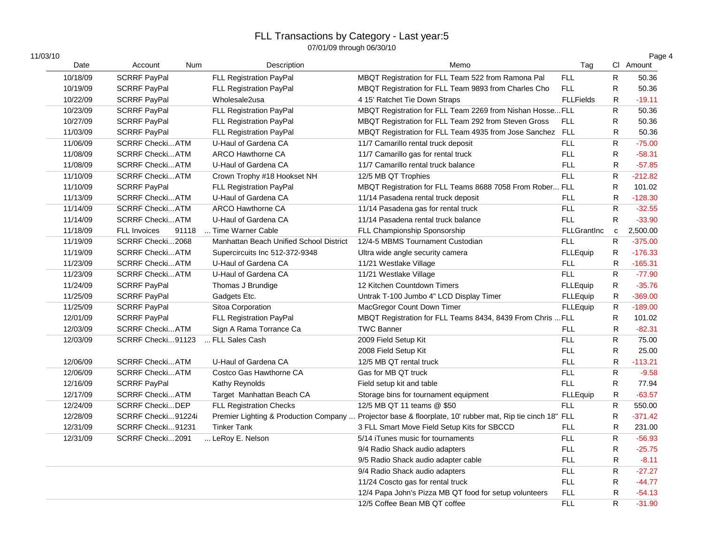| 11/03/10 |                              |     |                                         |                                                                                                           |                    |                         | Page 4    |
|----------|------------------------------|-----|-----------------------------------------|-----------------------------------------------------------------------------------------------------------|--------------------|-------------------------|-----------|
| Date     | Account                      | Num | Description                             | Memo                                                                                                      | Tag                |                         | Cl Amount |
| 10/18/09 | <b>SCRRF PayPal</b>          |     | FLL Registration PayPal                 | MBQT Registration for FLL Team 522 from Ramona Pal                                                        | <b>FLL</b>         | R                       | 50.36     |
| 10/19/09 | <b>SCRRF PayPal</b>          |     | FLL Registration PayPal                 | MBQT Registration for FLL Team 9893 from Charles Cho                                                      | <b>FLL</b>         | R                       | 50.36     |
| 10/22/09 | <b>SCRRF PayPal</b>          |     | Wholesale2usa                           | 4 15' Ratchet Tie Down Straps                                                                             | <b>FLLFields</b>   | R                       | $-19.11$  |
| 10/23/09 | <b>SCRRF PayPal</b>          |     | FLL Registration PayPal                 | MBQT Registration for FLL Team 2269 from Nishan Hosse FLL                                                 |                    | R                       | 50.36     |
| 10/27/09 | <b>SCRRF PayPal</b>          |     | FLL Registration PayPal                 | MBQT Registration for FLL Team 292 from Steven Gross                                                      | <b>FLL</b>         | $\mathsf{R}$            | 50.36     |
| 11/03/09 | <b>SCRRF PayPal</b>          |     | FLL Registration PayPal                 | MBQT Registration for FLL Team 4935 from Jose Sanchez FLL                                                 |                    | R                       | 50.36     |
| 11/06/09 | <b>SCRRF Checki ATM</b>      |     | U-Haul of Gardena CA                    | 11/7 Camarillo rental truck deposit                                                                       | <b>FLL</b>         | ${\sf R}$               | $-75.00$  |
| 11/08/09 | <b>SCRRF Checki ATM</b>      |     | <b>ARCO Hawthorne CA</b>                | 11/7 Camarillo gas for rental truck                                                                       | <b>FLL</b>         | $\mathsf R$             | $-58.31$  |
| 11/08/09 | <b>SCRRF Checki ATM</b>      |     | U-Haul of Gardena CA                    | 11/7 Camarillo rental truck balance                                                                       | FLL.               | $\mathsf{R}$            | $-57.85$  |
| 11/10/09 | <b>SCRRF Checki ATM</b>      |     | Crown Trophy #18 Hookset NH             | 12/5 MB QT Trophies                                                                                       | <b>FLL</b>         | ${\sf R}$               | $-212.82$ |
| 11/10/09 | <b>SCRRF PayPal</b>          |     | <b>FLL Registration PayPal</b>          | MBQT Registration for FLL Teams 8688 7058 From Rober FLL                                                  |                    | R                       | 101.02    |
| 11/13/09 | <b>SCRRF Checki ATM</b>      |     | U-Haul of Gardena CA                    | 11/14 Pasadena rental truck deposit                                                                       | <b>FLL</b>         | $\mathsf{R}$            | $-128.30$ |
| 11/14/09 | <b>SCRRF Checki ATM</b>      |     | <b>ARCO Hawthorne CA</b>                | 11/14 Pasadena gas for rental truck                                                                       | <b>FLL</b>         | $\overline{\mathsf{R}}$ | $-32.55$  |
| 11/14/09 | <b>SCRRF Checki ATM</b>      |     | U-Haul of Gardena CA                    | 11/14 Pasadena rental truck balance                                                                       | <b>FLL</b>         | R                       | $-33.90$  |
| 11/18/09 | <b>FLL Invoices</b><br>91118 |     | Time Warner Cable                       | FLL Championship Sponsorship                                                                              | <b>FLLGrantInc</b> | $\mathbf c$             | 2,500.00  |
| 11/19/09 | SCRRF Checki2068             |     | Manhattan Beach Unified School District | 12/4-5 MBMS Tournament Custodian                                                                          | <b>FLL</b>         | R                       | $-375.00$ |
| 11/19/09 | <b>SCRRF Checki ATM</b>      |     | Supercircuits Inc 512-372-9348          | Ultra wide angle security camera                                                                          | FLLEquip           | $\mathsf{R}$            | $-176.33$ |
| 11/23/09 | <b>SCRRF Checki ATM</b>      |     | U-Haul of Gardena CA                    | 11/21 Westlake Village                                                                                    | <b>FLL</b>         | R                       | $-165.31$ |
| 11/23/09 | <b>SCRRF Checki ATM</b>      |     | U-Haul of Gardena CA                    | 11/21 Westlake Village                                                                                    | FLL.               | R                       | $-77.90$  |
| 11/24/09 | <b>SCRRF PayPal</b>          |     | Thomas J Brundige                       | 12 Kitchen Countdown Timers                                                                               | <b>FLLEquip</b>    | ${\sf R}$               | $-35.76$  |
| 11/25/09 | <b>SCRRF PayPal</b>          |     | Gadgets Etc.                            | Untrak T-100 Jumbo 4" LCD Display Timer                                                                   | <b>FLLEquip</b>    | ${\sf R}$               | $-369.00$ |
| 11/25/09 | <b>SCRRF PayPal</b>          |     | Sitoa Corporation                       | MacGregor Count Down Timer                                                                                | FLLEquip           | ${\sf R}$               | $-189.00$ |
| 12/01/09 | <b>SCRRF PayPal</b>          |     | <b>FLL Registration PayPal</b>          | MBQT Registration for FLL Teams 8434, 8439 From Chris                                                     | <b>FLL</b>         | R                       | 101.02    |
| 12/03/09 | <b>SCRRF Checki ATM</b>      |     | Sign A Rama Torrance Ca                 | <b>TWC Banner</b>                                                                                         | <b>FLL</b>         | R                       | $-82.31$  |
| 12/03/09 | SCRRF Checki91123            |     | FLL Sales Cash                          | 2009 Field Setup Kit                                                                                      | <b>FLL</b>         | $\mathsf{R}$            | 75.00     |
|          |                              |     |                                         | 2008 Field Setup Kit                                                                                      | <b>FLL</b>         | $\mathsf{R}$            | 25.00     |
| 12/06/09 | <b>SCRRF Checki ATM</b>      |     | U-Haul of Gardena CA                    | 12/5 MB QT rental truck                                                                                   | <b>FLL</b>         | $\mathsf{R}$            | $-113.21$ |
| 12/06/09 | <b>SCRRF Checki ATM</b>      |     | Costco Gas Hawthorne CA                 | Gas for MB QT truck                                                                                       | <b>FLL</b>         | $\mathsf{R}$            | $-9.58$   |
| 12/16/09 | <b>SCRRF PayPal</b>          |     | Kathy Reynolds                          | Field setup kit and table                                                                                 | <b>FLL</b>         | R                       | 77.94     |
| 12/17/09 | <b>SCRRF Checki ATM</b>      |     | Target Manhattan Beach CA               | Storage bins for tournament equipment                                                                     | FLLEquip           | ${\sf R}$               | $-63.57$  |
| 12/24/09 | <b>SCRRF CheckiDEP</b>       |     | <b>FLL Registration Checks</b>          | 12/5 MB QT 11 teams @ \$50                                                                                | <b>FLL</b>         | ${\sf R}$               | 550.00    |
| 12/28/09 | SCRRF Checki91224i           |     |                                         | Premier Lighting & Production Company  Projector base & floorplate, 10' rubber mat, Rip tie cinch 18" FLL |                    | ${\sf R}$               | $-371.42$ |
| 12/31/09 | SCRRF Checki91231            |     | <b>Tinker Tank</b>                      | 3 FLL Smart Move Field Setup Kits for SBCCD                                                               | FLL.               | $\mathsf{R}$            | 231.00    |
| 12/31/09 | SCRRF Checki2091             |     | LeRoy E. Nelson                         | 5/14 iTunes music for tournaments                                                                         | <b>FLL</b>         | R                       | $-56.93$  |
|          |                              |     |                                         | 9/4 Radio Shack audio adapters                                                                            | <b>FLL</b>         | R                       | $-25.75$  |
|          |                              |     |                                         | 9/5 Radio Shack audio adapter cable                                                                       | <b>FLL</b>         | ${\sf R}$               | $-8.11$   |
|          |                              |     |                                         | 9/4 Radio Shack audio adapters                                                                            | <b>FLL</b>         | ${\sf R}$               | $-27.27$  |
|          |                              |     |                                         | 11/24 Coscto gas for rental truck                                                                         | <b>FLL</b>         | $\mathsf{R}$            | $-44.77$  |
|          |                              |     |                                         | 12/4 Papa John's Pizza MB QT food for setup volunteers                                                    | <b>FLL</b>         | $\mathsf R$             | $-54.13$  |
|          |                              |     |                                         | 12/5 Coffee Bean MB QT coffee                                                                             | <b>FLL</b>         | R                       | $-31.90$  |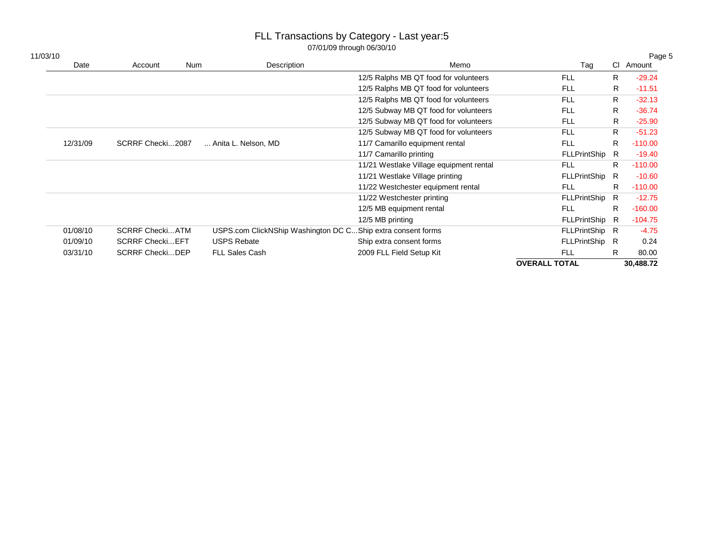| 11/03/10 |          |                         |     |                                                             |                                         |                      |    | Page 5    |
|----------|----------|-------------------------|-----|-------------------------------------------------------------|-----------------------------------------|----------------------|----|-----------|
|          | Date     | Account                 | Num | Description                                                 | Memo                                    | Tag                  |    | CI Amount |
|          |          |                         |     |                                                             | 12/5 Ralphs MB QT food for volunteers   | <b>FLL</b>           | R. | $-29.24$  |
|          |          |                         |     |                                                             | 12/5 Ralphs MB QT food for volunteers   | <b>FLL</b>           | R  | $-11.51$  |
|          |          |                         |     |                                                             | 12/5 Ralphs MB QT food for volunteers   | <b>FLL</b>           | R. | $-32.13$  |
|          |          |                         |     |                                                             | 12/5 Subway MB QT food for volunteers   | <b>FLL</b>           | R  | $-36.74$  |
|          |          |                         |     |                                                             | 12/5 Subway MB QT food for volunteers   | <b>FLL</b>           | R  | $-25.90$  |
|          |          |                         |     |                                                             | 12/5 Subway MB QT food for volunteers   | <b>FLL</b>           | R. | $-51.23$  |
|          | 12/31/09 | SCRRF Checki2087        |     | Anita L. Nelson, MD                                         | 11/7 Camarillo equipment rental         | <b>FLL</b>           | R  | $-110.00$ |
|          |          |                         |     |                                                             | 11/7 Camarillo printing                 | <b>FLLPrintShip</b>  | R  | $-19.40$  |
|          |          |                         |     |                                                             | 11/21 Westlake Village equipment rental | <b>FLL</b>           | R. | $-110.00$ |
|          |          |                         |     |                                                             | 11/21 Westlake Village printing         | FLLPrintShip         | R  | $-10.60$  |
|          |          |                         |     |                                                             | 11/22 Westchester equipment rental      | <b>FLL</b>           | R. | $-110.00$ |
|          |          |                         |     |                                                             | 11/22 Westchester printing              | FLLPrintShip R       |    | $-12.75$  |
|          |          |                         |     |                                                             | 12/5 MB equipment rental                | <b>FLL</b>           | R. | $-160.00$ |
|          |          |                         |     |                                                             | 12/5 MB printing                        | FLLPrintShip R       |    | $-104.75$ |
|          | 01/08/10 | <b>SCRRF CheckiATM</b>  |     | USPS.com ClickNShip Washington DC CShip extra consent forms |                                         | FLLPrintShip R       |    | $-4.75$   |
|          | 01/09/10 | <b>SCRRF Checki EFT</b> |     | <b>USPS Rebate</b>                                          | Ship extra consent forms                | FLLPrintShip R       |    | 0.24      |
|          | 03/31/10 | <b>SCRRF CheckiDEP</b>  |     | <b>FLL Sales Cash</b>                                       | 2009 FLL Field Setup Kit                | <b>FLL</b>           | R. | 80.00     |
|          |          |                         |     |                                                             |                                         | <b>OVERALL TOTAL</b> |    | 30,488.72 |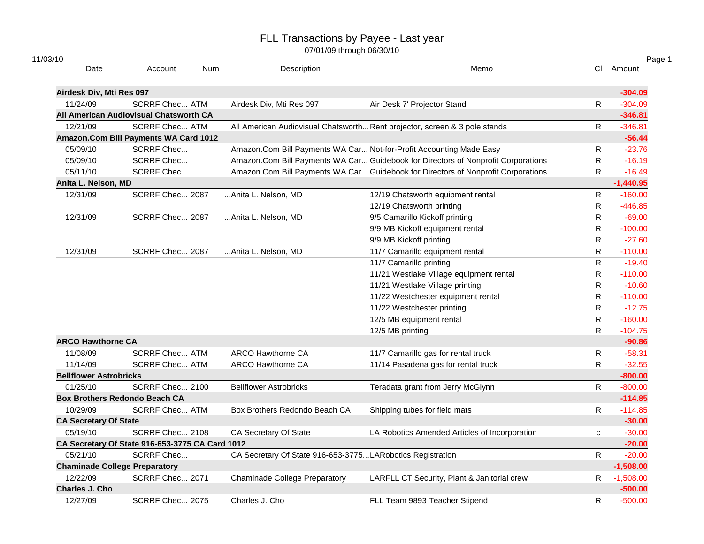| 11/03/10<br>Date              | Account                                         | <b>Num</b> | Description                                                         | Memo                                                                              |              | Page 1<br>Cl Amount |
|-------------------------------|-------------------------------------------------|------------|---------------------------------------------------------------------|-----------------------------------------------------------------------------------|--------------|---------------------|
| Airdesk Div, Mti Res 097      |                                                 |            |                                                                     |                                                                                   |              | $-304.09$           |
| 11/24/09                      | <b>SCRRF Chec ATM</b>                           |            | Airdesk Div, Mti Res 097                                            | Air Desk 7' Projector Stand                                                       | $\mathsf{R}$ | $-304.09$           |
|                               | All American Audiovisual Chatsworth CA          |            |                                                                     |                                                                                   |              | $-346.81$           |
| 12/21/09                      | <b>SCRRF Chec ATM</b>                           |            |                                                                     | All American Audiovisual Chatsworth Rent projector, screen & 3 pole stands        | $\mathsf{R}$ | $-346.81$           |
|                               | Amazon.Com Bill Payments WA Card 1012           |            |                                                                     |                                                                                   |              | $-56.44$            |
| 05/09/10                      | <b>SCRRF Chec</b>                               |            | Amazon.Com Bill Payments WA Car Not-for-Profit Accounting Made Easy |                                                                                   | R            | $-23.76$            |
| 05/09/10                      | <b>SCRRF Chec</b>                               |            |                                                                     | Amazon.Com Bill Payments WA Car Guidebook for Directors of Nonprofit Corporations | R            | $-16.19$            |
| 05/11/10                      | <b>SCRRF Chec</b>                               |            |                                                                     | Amazon.Com Bill Payments WA Car Guidebook for Directors of Nonprofit Corporations | $\mathsf{R}$ | $-16.49$            |
| Anita L. Nelson, MD           |                                                 |            |                                                                     |                                                                                   |              | $-1,440.95$         |
| 12/31/09                      | SCRRF Chec 2087                                 |            | Anita L. Nelson, MD                                                 | 12/19 Chatsworth equipment rental                                                 | $\mathsf{R}$ | $-160.00$           |
|                               |                                                 |            |                                                                     | 12/19 Chatsworth printing                                                         | R            | $-446.85$           |
| 12/31/09                      | SCRRF Chec 2087                                 |            | Anita L. Nelson, MD                                                 | 9/5 Camarillo Kickoff printing                                                    | $\mathsf{R}$ | $-69.00$            |
|                               |                                                 |            |                                                                     | 9/9 MB Kickoff equipment rental                                                   | $\mathsf{R}$ | $-100.00$           |
|                               |                                                 |            |                                                                     | 9/9 MB Kickoff printing                                                           | R            | $-27.60$            |
| 12/31/09                      | SCRRF Chec 2087                                 |            | Anita L. Nelson, MD                                                 | 11/7 Camarillo equipment rental                                                   | $\mathsf{R}$ | $-110.00$           |
|                               |                                                 |            |                                                                     | 11/7 Camarillo printing                                                           | R            | $-19.40$            |
|                               |                                                 |            |                                                                     | 11/21 Westlake Village equipment rental                                           | $\mathsf{R}$ | $-110.00$           |
|                               |                                                 |            |                                                                     | 11/21 Westlake Village printing                                                   | R.           | $-10.60$            |
|                               |                                                 |            |                                                                     | 11/22 Westchester equipment rental                                                | $\mathsf{R}$ | $-110.00$           |
|                               |                                                 |            |                                                                     | 11/22 Westchester printing                                                        | R.           | $-12.75$            |
|                               |                                                 |            |                                                                     | 12/5 MB equipment rental                                                          | $\mathsf{R}$ | $-160.00$           |
|                               |                                                 |            |                                                                     | 12/5 MB printing                                                                  | R.           | $-104.75$           |
| <b>ARCO Hawthorne CA</b>      |                                                 |            |                                                                     |                                                                                   |              | $-90.86$            |
| 11/08/09                      | <b>SCRRF Chec ATM</b>                           |            | <b>ARCO Hawthorne CA</b>                                            | 11/7 Camarillo gas for rental truck                                               | R            | $-58.31$            |
| 11/14/09                      | <b>SCRRF Chec ATM</b>                           |            | <b>ARCO Hawthorne CA</b>                                            | 11/14 Pasadena gas for rental truck                                               | R            | $-32.55$            |
| <b>Bellflower Astrobricks</b> |                                                 |            |                                                                     |                                                                                   |              | $-800.00$           |
| 01/25/10                      | SCRRF Chec 2100                                 |            | <b>Bellflower Astrobricks</b>                                       | Teradata grant from Jerry McGlynn                                                 | $\mathsf{R}$ | $-800.00$           |
|                               | <b>Box Brothers Redondo Beach CA</b>            |            |                                                                     |                                                                                   |              | $-114.85$           |
| 10/29/09                      | <b>SCRRF Chec ATM</b>                           |            | Box Brothers Redondo Beach CA                                       | Shipping tubes for field mats                                                     | $\mathsf{R}$ | $-114.85$           |
| <b>CA Secretary Of State</b>  |                                                 |            |                                                                     |                                                                                   |              | $-30.00$            |
| 05/19/10                      | SCRRF Chec 2108                                 |            | CA Secretary Of State                                               | LA Robotics Amended Articles of Incorporation                                     | $\mathbf{C}$ | $-30.00$            |
|                               | CA Secretary Of State 916-653-3775 CA Card 1012 |            |                                                                     |                                                                                   |              | $-20.00$            |
| 05/21/10                      | <b>SCRRF Chec</b>                               |            | CA Secretary Of State 916-653-3775LARobotics Registration           |                                                                                   | $\mathsf{R}$ | $-20.00$            |
|                               | <b>Chaminade College Preparatory</b>            |            |                                                                     |                                                                                   |              | $-1,508.00$         |
| 12/22/09                      | SCRRF Chec 2071                                 |            | <b>Chaminade College Preparatory</b>                                | LARFLL CT Security, Plant & Janitorial crew                                       | $\mathsf{R}$ | $-1,508.00$         |
| Charles J. Cho                |                                                 |            |                                                                     |                                                                                   |              | $-500.00$           |
| 12/27/09                      | SCRRF Chec 2075                                 |            | Charles J. Cho                                                      | FLL Team 9893 Teacher Stipend                                                     | $\mathsf{R}$ | $-500.00$           |
|                               |                                                 |            |                                                                     |                                                                                   |              |                     |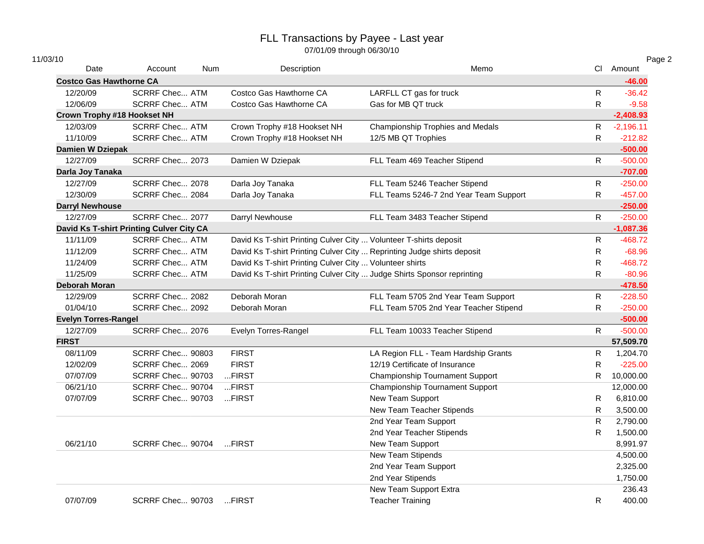| 11/03/10                           |                                          |            |                                                                        |                                        |              | Page 2      |
|------------------------------------|------------------------------------------|------------|------------------------------------------------------------------------|----------------------------------------|--------------|-------------|
| Date                               | Account                                  | <b>Num</b> | Description                                                            | Memo                                   |              | CI Amount   |
| <b>Costco Gas Hawthorne CA</b>     |                                          |            |                                                                        |                                        |              | $-46.00$    |
| 12/20/09                           | <b>SCRRF Chec ATM</b>                    |            | Costco Gas Hawthorne CA                                                | LARFLL CT gas for truck                | R            | $-36.42$    |
| 12/06/09                           | <b>SCRRF Chec ATM</b>                    |            | Costco Gas Hawthorne CA                                                | Gas for MB QT truck                    | $\mathsf{R}$ | $-9.58$     |
| <b>Crown Trophy #18 Hookset NH</b> |                                          |            |                                                                        |                                        |              | $-2,408.93$ |
| 12/03/09                           | <b>SCRRF Chec ATM</b>                    |            | Crown Trophy #18 Hookset NH                                            | Championship Trophies and Medals       | R            | $-2,196.11$ |
| 11/10/09                           | <b>SCRRF Chec ATM</b>                    |            | Crown Trophy #18 Hookset NH                                            | 12/5 MB QT Trophies                    | $\mathsf{R}$ | $-212.82$   |
| Damien W Dziepak                   |                                          |            |                                                                        |                                        |              | $-500.00$   |
| 12/27/09                           | SCRRF Chec 2073                          |            | Damien W Dziepak                                                       | FLL Team 469 Teacher Stipend           | $\mathsf{R}$ | $-500.00$   |
| Darla Joy Tanaka                   |                                          |            |                                                                        |                                        |              | $-707.00$   |
| 12/27/09                           | SCRRF Chec 2078                          |            | Darla Joy Tanaka                                                       | FLL Team 5246 Teacher Stipend          | $\mathsf{R}$ | $-250.00$   |
| 12/30/09                           | SCRRF Chec 2084                          |            | Darla Joy Tanaka                                                       | FLL Teams 5246-7 2nd Year Team Support | $\mathsf{R}$ | $-457.00$   |
| <b>Darryl Newhouse</b>             |                                          |            |                                                                        |                                        |              | $-250.00$   |
| 12/27/09                           | SCRRF Chec 2077                          |            | Darryl Newhouse                                                        | FLL Team 3483 Teacher Stipend          | $\mathsf{R}$ | $-250.00$   |
|                                    | David Ks T-shirt Printing Culver City CA |            |                                                                        |                                        |              | $-1,087.36$ |
| 11/11/09                           | <b>SCRRF Chec ATM</b>                    |            | David Ks T-shirt Printing Culver City  Volunteer T-shirts deposit      |                                        | ${\sf R}$    | $-468.72$   |
| 11/12/09                           | <b>SCRRF Chec ATM</b>                    |            | David Ks T-shirt Printing Culver City  Reprinting Judge shirts deposit |                                        | $\mathsf{R}$ | $-68.96$    |
| 11/24/09                           | <b>SCRRF Chec ATM</b>                    |            | David Ks T-shirt Printing Culver City  Volunteer shirts                |                                        | R            | $-468.72$   |
| 11/25/09                           | <b>SCRRF Chec ATM</b>                    |            | David Ks T-shirt Printing Culver City  Judge Shirts Sponsor reprinting |                                        | R            | $-80.96$    |
| <b>Deborah Moran</b>               |                                          |            |                                                                        |                                        |              | $-478.50$   |
| 12/29/09                           | SCRRF Chec 2082                          |            | Deborah Moran                                                          | FLL Team 5705 2nd Year Team Support    | $\mathsf{R}$ | $-228.50$   |
| 01/04/10                           | SCRRF Chec 2092                          |            | Deborah Moran                                                          | FLL Team 5705 2nd Year Teacher Stipend | $\mathsf{R}$ | $-250.00$   |
| <b>Evelyn Torres-Rangel</b>        |                                          |            |                                                                        |                                        |              | $-500.00$   |
| 12/27/09                           | SCRRF Chec 2076                          |            | Evelyn Torres-Rangel                                                   | FLL Team 10033 Teacher Stipend         | R.           | $-500.00$   |
| <b>FIRST</b>                       |                                          |            |                                                                        |                                        |              | 57,509.70   |
| 08/11/09                           | SCRRF Chec 90803                         |            | <b>FIRST</b>                                                           | LA Region FLL - Team Hardship Grants   | $\mathsf{R}$ | 1,204.70    |
| 12/02/09                           | SCRRF Chec 2069                          |            | <b>FIRST</b>                                                           | 12/19 Certificate of Insurance         | R            | $-225.00$   |
| 07/07/09                           | <b>SCRRF Chec 90703</b>                  |            | FIRST                                                                  | Championship Tournament Support        | R.           | 10,000.00   |
| 06/21/10                           | SCRRF Chec 90704                         |            | FIRST                                                                  | Championship Tournament Support        |              | 12,000.00   |
| 07/07/09                           | SCRRF Chec 90703                         |            | FIRST                                                                  | New Team Support                       | R            | 6,810.00    |
|                                    |                                          |            |                                                                        | New Team Teacher Stipends              | R            | 3,500.00    |
|                                    |                                          |            |                                                                        | 2nd Year Team Support                  | $\mathsf{R}$ | 2,790.00    |
|                                    |                                          |            |                                                                        | 2nd Year Teacher Stipends              | $\mathsf{R}$ | 1,500.00    |
| 06/21/10                           | SCRRF Chec 90704                         |            | FIRST                                                                  | New Team Support                       |              | 8,991.97    |
|                                    |                                          |            |                                                                        | New Team Stipends                      |              | 4,500.00    |
|                                    |                                          |            |                                                                        | 2nd Year Team Support                  |              | 2,325.00    |
|                                    |                                          |            |                                                                        | 2nd Year Stipends                      |              | 1,750.00    |
|                                    |                                          |            |                                                                        | New Team Support Extra                 |              | 236.43      |
| 07/07/09                           | SCRRF Chec 90703                         |            | $$ FIRST                                                               | <b>Teacher Training</b>                | R            | 400.00      |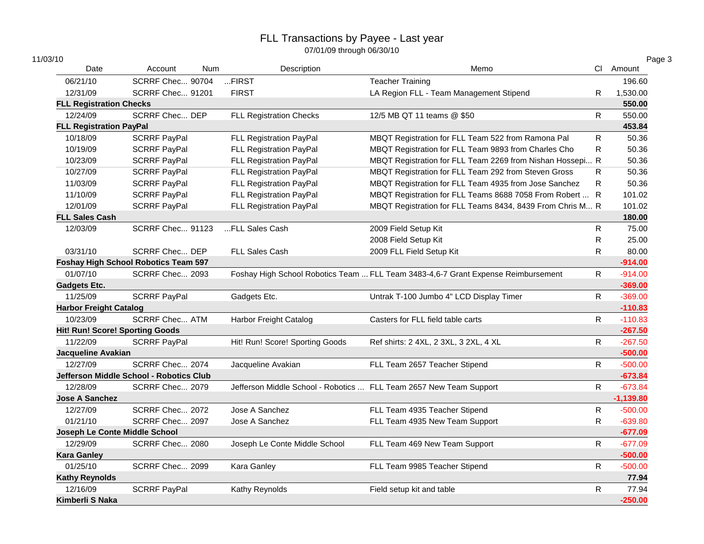| 11/03/10                       |                                             |            |                                                                    |                                                                                   |              | Page 3      |
|--------------------------------|---------------------------------------------|------------|--------------------------------------------------------------------|-----------------------------------------------------------------------------------|--------------|-------------|
| Date                           | Account                                     | <b>Num</b> | Description                                                        | Memo                                                                              |              | Cl Amount   |
| 06/21/10                       | SCRRF Chec 90704                            |            | FIRST                                                              | <b>Teacher Training</b>                                                           |              | 196.60      |
| 12/31/09                       | SCRRF Chec 91201                            |            | <b>FIRST</b>                                                       | LA Region FLL - Team Management Stipend                                           | R            | 1,530.00    |
| <b>FLL Registration Checks</b> |                                             |            |                                                                    |                                                                                   |              | 550.00      |
| 12/24/09                       | <b>SCRRF Chec DEP</b>                       |            | <b>FLL Registration Checks</b>                                     | 12/5 MB QT 11 teams @ \$50                                                        | R            | 550.00      |
| <b>FLL Registration PayPal</b> |                                             |            |                                                                    |                                                                                   |              | 453.84      |
| 10/18/09                       | <b>SCRRF PayPal</b>                         |            | FLL Registration PayPal                                            | MBQT Registration for FLL Team 522 from Ramona Pal                                | $\mathsf{R}$ | 50.36       |
| 10/19/09                       | <b>SCRRF PayPal</b>                         |            | FLL Registration PayPal                                            | MBQT Registration for FLL Team 9893 from Charles Cho                              | $\mathsf{R}$ | 50.36       |
| 10/23/09                       | <b>SCRRF PayPal</b>                         |            | FLL Registration PayPal                                            | MBQT Registration for FLL Team 2269 from Nishan Hossepi R                         |              | 50.36       |
| 10/27/09                       | <b>SCRRF PayPal</b>                         |            | FLL Registration PayPal                                            | MBQT Registration for FLL Team 292 from Steven Gross                              | R            | 50.36       |
| 11/03/09                       | <b>SCRRF PayPal</b>                         |            | FLL Registration PayPal                                            | MBQT Registration for FLL Team 4935 from Jose Sanchez                             | R            | 50.36       |
| 11/10/09                       | <b>SCRRF PayPal</b>                         |            | FLL Registration PayPal                                            | MBQT Registration for FLL Teams 8688 7058 From Robert  R                          |              | 101.02      |
| 12/01/09                       | <b>SCRRF PayPal</b>                         |            | FLL Registration PayPal                                            | MBQT Registration for FLL Teams 8434, 8439 From Chris M R                         |              | 101.02      |
| <b>FLL Sales Cash</b>          |                                             |            |                                                                    |                                                                                   |              | 180.00      |
| 12/03/09                       | SCRRF Chec 91123                            |            | FLL Sales Cash                                                     | 2009 Field Setup Kit                                                              | $\mathsf{R}$ | 75.00       |
|                                |                                             |            |                                                                    | 2008 Field Setup Kit                                                              | $\mathsf{R}$ | 25.00       |
| 03/31/10                       | <b>SCRRF Chec DEP</b>                       |            | FLL Sales Cash                                                     | 2009 FLL Field Setup Kit                                                          | R            | 80.00       |
|                                | <b>Foshay High School Robotics Team 597</b> |            |                                                                    |                                                                                   |              | $-914.00$   |
| 01/07/10                       | SCRRF Chec 2093                             |            |                                                                    | Foshay High School Robotics Team  FLL Team 3483-4,6-7 Grant Expense Reimbursement | R            | $-914.00$   |
| <b>Gadgets Etc.</b>            |                                             |            |                                                                    |                                                                                   |              | $-369.00$   |
| 11/25/09                       | <b>SCRRF PayPal</b>                         |            | Gadgets Etc.                                                       | Untrak T-100 Jumbo 4" LCD Display Timer                                           | $\mathsf{R}$ | $-369.00$   |
| <b>Harbor Freight Catalog</b>  |                                             |            |                                                                    |                                                                                   |              | $-110.83$   |
| 10/23/09                       | <b>SCRRF Chec ATM</b>                       |            | Harbor Freight Catalog                                             | Casters for FLL field table carts                                                 | $\mathsf{R}$ | $-110.83$   |
|                                | <b>Hit! Run! Score! Sporting Goods</b>      |            |                                                                    |                                                                                   |              | $-267.50$   |
| 11/22/09                       | <b>SCRRF PayPal</b>                         |            | Hit! Run! Score! Sporting Goods                                    | Ref shirts: 2 4XL, 2 3XL, 3 2XL, 4 XL                                             | R            | $-267.50$   |
| Jacqueline Avakian             |                                             |            |                                                                    |                                                                                   |              | $-500.00$   |
| 12/27/09                       | SCRRF Chec 2074                             |            | Jacqueline Avakian                                                 | FLL Team 2657 Teacher Stipend                                                     | R.           | $-500.00$   |
|                                | Jefferson Middle School - Robotics Club     |            |                                                                    |                                                                                   |              | $-673.84$   |
| 12/28/09                       | SCRRF Chec 2079                             |            | Jefferson Middle School - Robotics  FLL Team 2657 New Team Support |                                                                                   | R            | $-673.84$   |
| <b>Jose A Sanchez</b>          |                                             |            |                                                                    |                                                                                   |              | $-1,139.80$ |
| 12/27/09                       | SCRRF Chec 2072                             |            | Jose A Sanchez                                                     | FLL Team 4935 Teacher Stipend                                                     | $\mathsf{R}$ | $-500.00$   |
| 01/21/10                       | SCRRF Chec 2097                             |            | Jose A Sanchez                                                     | FLL Team 4935 New Team Support                                                    | R            | $-639.80$   |
| Joseph Le Conte Middle School  |                                             |            |                                                                    |                                                                                   |              | $-677.09$   |
| 12/29/09                       | SCRRF Chec 2080                             |            | Joseph Le Conte Middle School                                      | FLL Team 469 New Team Support                                                     | $\mathsf{R}$ | $-677.09$   |
| <b>Kara Ganley</b>             |                                             |            |                                                                    |                                                                                   |              | $-500.00$   |
| 01/25/10                       | SCRRF Chec 2099                             |            | Kara Ganley                                                        | FLL Team 9985 Teacher Stipend                                                     | R            | $-500.00$   |
| <b>Kathy Reynolds</b>          |                                             |            |                                                                    |                                                                                   |              | 77.94       |
| 12/16/09                       | <b>SCRRF PayPal</b>                         |            | Kathy Reynolds                                                     | Field setup kit and table                                                         | R            | 77.94       |
| Kimberli S Naka                |                                             |            |                                                                    |                                                                                   |              | $-250.00$   |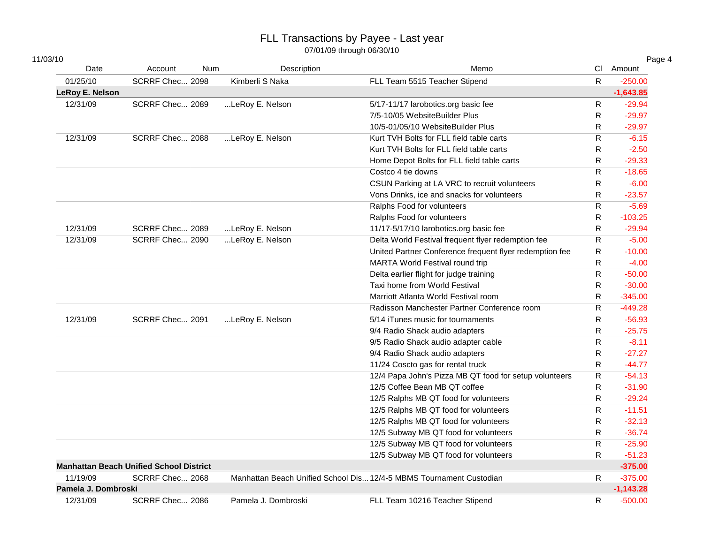| ۱۵<br>ĸ |
|---------|
|---------|

| 11/03/10            |                                                |            |                     |                                                                     |              | Page 4      |
|---------------------|------------------------------------------------|------------|---------------------|---------------------------------------------------------------------|--------------|-------------|
| Date                | Account                                        | <b>Num</b> | Description         | Memo                                                                |              | CI Amount   |
| 01/25/10            | SCRRF Chec 2098                                |            | Kimberli S Naka     | FLL Team 5515 Teacher Stipend                                       | $\mathsf{R}$ | $-250.00$   |
| LeRoy E. Nelson     |                                                |            |                     |                                                                     |              | $-1,643.85$ |
| 12/31/09            | SCRRF Chec 2089                                |            | LeRoy E. Nelson     | 5/17-11/17 larobotics.org basic fee                                 | ${\sf R}$    | $-29.94$    |
|                     |                                                |            |                     | 7/5-10/05 WebsiteBuilder Plus                                       | $\mathsf{R}$ | $-29.97$    |
|                     |                                                |            |                     | 10/5-01/05/10 WebsiteBuilder Plus                                   | $\mathsf{R}$ | $-29.97$    |
| 12/31/09            | SCRRF Chec 2088                                |            | LeRoy E. Nelson     | Kurt TVH Bolts for FLL field table carts                            | $\mathsf{R}$ | $-6.15$     |
|                     |                                                |            |                     | Kurt TVH Bolts for FLL field table carts                            | R            | $-2.50$     |
|                     |                                                |            |                     | Home Depot Bolts for FLL field table carts                          | R            | $-29.33$    |
|                     |                                                |            |                     | Costco 4 tie downs                                                  | $\mathsf{R}$ | $-18.65$    |
|                     |                                                |            |                     | CSUN Parking at LA VRC to recruit volunteers                        | $\mathsf{R}$ | $-6.00$     |
|                     |                                                |            |                     | Vons Drinks, ice and snacks for volunteers                          | R            | $-23.57$    |
|                     |                                                |            |                     | Ralphs Food for volunteers                                          | R            | $-5.69$     |
|                     |                                                |            |                     | Ralphs Food for volunteers                                          | $\mathsf{R}$ | $-103.25$   |
| 12/31/09            | SCRRF Chec 2089                                |            | LeRoy E. Nelson     | 11/17-5/17/10 larobotics.org basic fee                              | ${\sf R}$    | $-29.94$    |
| 12/31/09            | SCRRF Chec 2090                                |            | LeRoy E. Nelson     | Delta World Festival frequent flyer redemption fee                  | $\mathsf{R}$ | $-5.00$     |
|                     |                                                |            |                     | United Partner Conference frequent flyer redemption fee             | $\mathsf{R}$ | $-10.00$    |
|                     |                                                |            |                     | MARTA World Festival round trip                                     | R            | $-4.00$     |
|                     |                                                |            |                     | Delta earlier flight for judge training                             | ${\sf R}$    | $-50.00$    |
|                     |                                                |            |                     | Taxi home from World Festival                                       | R            | $-30.00$    |
|                     |                                                |            |                     | Marriott Atlanta World Festival room                                | $\mathsf{R}$ | $-345.00$   |
|                     |                                                |            |                     | Radisson Manchester Partner Conference room                         | $\mathsf{R}$ | $-449.28$   |
| 12/31/09            | SCRRF Chec 2091                                |            | LeRoy E. Nelson     | 5/14 iTunes music for tournaments                                   | $\mathsf{R}$ | $-56.93$    |
|                     |                                                |            |                     | 9/4 Radio Shack audio adapters                                      | R.           | $-25.75$    |
|                     |                                                |            |                     | 9/5 Radio Shack audio adapter cable                                 | R            | $-8.11$     |
|                     |                                                |            |                     | 9/4 Radio Shack audio adapters                                      | R            | $-27.27$    |
|                     |                                                |            |                     | 11/24 Coscto gas for rental truck                                   | $\mathsf{R}$ | $-44.77$    |
|                     |                                                |            |                     | 12/4 Papa John's Pizza MB QT food for setup volunteers              | ${\sf R}$    | $-54.13$    |
|                     |                                                |            |                     | 12/5 Coffee Bean MB QT coffee                                       | $\mathsf{R}$ | $-31.90$    |
|                     |                                                |            |                     | 12/5 Ralphs MB QT food for volunteers                               | ${\sf R}$    | $-29.24$    |
|                     |                                                |            |                     | 12/5 Ralphs MB QT food for volunteers                               | ${\sf R}$    | $-11.51$    |
|                     |                                                |            |                     | 12/5 Ralphs MB QT food for volunteers                               | $\mathsf{R}$ | $-32.13$    |
|                     |                                                |            |                     | 12/5 Subway MB QT food for volunteers                               | $\mathsf{R}$ | $-36.74$    |
|                     |                                                |            |                     | 12/5 Subway MB QT food for volunteers                               | ${\sf R}$    | $-25.90$    |
|                     |                                                |            |                     | 12/5 Subway MB QT food for volunteers                               | $\mathsf{R}$ | $-51.23$    |
|                     | <b>Manhattan Beach Unified School District</b> |            |                     |                                                                     |              | $-375.00$   |
| 11/19/09            | SCRRF Chec 2068                                |            |                     | Manhattan Beach Unified School Dis 12/4-5 MBMS Tournament Custodian | $\mathsf{R}$ | $-375.00$   |
| Pamela J. Dombroski |                                                |            |                     |                                                                     |              | $-1,143.28$ |
| 12/31/09            | SCRRF Chec 2086                                |            | Pamela J. Dombroski | FLL Team 10216 Teacher Stipend                                      | $\mathsf{R}$ | $-500.00$   |
|                     |                                                |            |                     |                                                                     |              |             |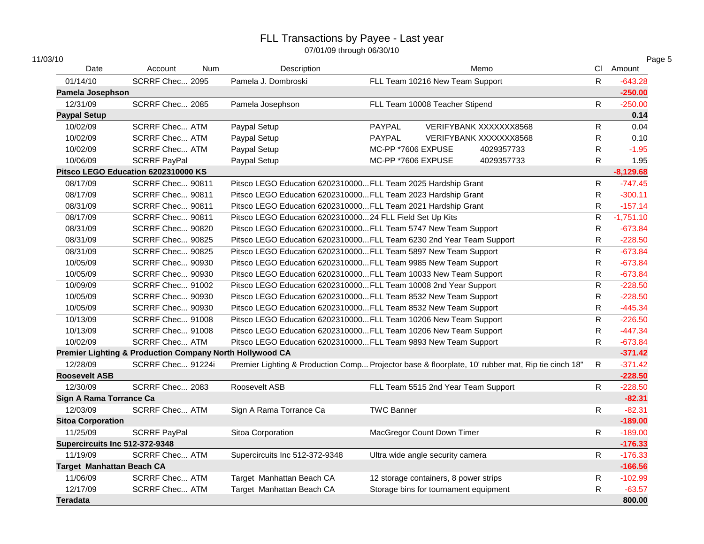| 11/03/10                         |                                                          |            |                                                                 |                                                                                                   |              | Page 5      |
|----------------------------------|----------------------------------------------------------|------------|-----------------------------------------------------------------|---------------------------------------------------------------------------------------------------|--------------|-------------|
| Date                             | Account                                                  | <b>Num</b> | Description                                                     | Memo                                                                                              |              | CI Amount   |
| 01/14/10                         | SCRRF Chec 2095                                          |            | Pamela J. Dombroski                                             | FLL Team 10216 New Team Support                                                                   | $\mathsf{R}$ | $-643.28$   |
| Pamela Josephson                 |                                                          |            |                                                                 |                                                                                                   |              | $-250.00$   |
| 12/31/09                         | SCRRF Chec 2085                                          |            | Pamela Josephson                                                | FLL Team 10008 Teacher Stipend                                                                    | $\mathsf{R}$ | $-250.00$   |
| <b>Paypal Setup</b>              |                                                          |            |                                                                 |                                                                                                   |              | 0.14        |
| 10/02/09                         | <b>SCRRF Chec ATM</b>                                    |            | Paypal Setup                                                    | PAYPAL<br>VERIFYBANK XXXXXXX8568                                                                  | R            | 0.04        |
| 10/02/09                         | <b>SCRRF Chec ATM</b>                                    |            | Paypal Setup                                                    | PAYPAL<br>VERIFYBANK XXXXXXX8568                                                                  | $\mathsf{R}$ | 0.10        |
| 10/02/09                         | <b>SCRRF Chec ATM</b>                                    |            | Paypal Setup                                                    | MC-PP *7606 EXPUSE<br>4029357733                                                                  | $\mathsf{R}$ | $-1.95$     |
| 10/06/09                         | <b>SCRRF PayPal</b>                                      |            | Paypal Setup                                                    | MC-PP *7606 EXPUSE<br>4029357733                                                                  | R            | 1.95        |
|                                  | Pitsco LEGO Education 6202310000 KS                      |            |                                                                 |                                                                                                   |              | $-8,129.68$ |
| 08/17/09                         | SCRRF Chec 90811                                         |            | Pitsco LEGO Education 6202310000 FLL Team 2025 Hardship Grant   |                                                                                                   | ${\sf R}$    | $-747.45$   |
| 08/17/09                         | SCRRF Chec 90811                                         |            | Pitsco LEGO Education 6202310000FLL Team 2023 Hardship Grant    |                                                                                                   | $\mathsf{R}$ | $-300.11$   |
| 08/31/09                         | SCRRF Chec 90811                                         |            | Pitsco LEGO Education 6202310000FLL Team 2021 Hardship Grant    |                                                                                                   | $\mathsf{R}$ | $-157.14$   |
| 08/17/09                         | SCRRF Chec 90811                                         |            | Pitsco LEGO Education 620231000024 FLL Field Set Up Kits        |                                                                                                   | $\mathsf{R}$ | $-1,751.10$ |
| 08/31/09                         | SCRRF Chec 90820                                         |            | Pitsco LEGO Education 6202310000FLL Team 5747 New Team Support  |                                                                                                   | ${\sf R}$    | $-673.84$   |
| 08/31/09                         | SCRRF Chec 90825                                         |            |                                                                 | Pitsco LEGO Education 6202310000 FLL Team 6230 2nd Year Team Support                              | $\mathsf{R}$ | $-228.50$   |
| 08/31/09                         | SCRRF Chec 90825                                         |            | Pitsco LEGO Education 6202310000FLL Team 5897 New Team Support  |                                                                                                   | $\mathsf{R}$ | $-673.84$   |
| 10/05/09                         | SCRRF Chec 90930                                         |            | Pitsco LEGO Education 6202310000FLL Team 9985 New Team Support  |                                                                                                   | R            | $-673.84$   |
| 10/05/09                         | SCRRF Chec 90930                                         |            |                                                                 | Pitsco LEGO Education 6202310000FLL Team 10033 New Team Support                                   | $\mathsf{R}$ | $-673.84$   |
| 10/09/09                         | SCRRF Chec 91002                                         |            | Pitsco LEGO Education 6202310000FLL Team 10008 2nd Year Support |                                                                                                   | $\mathsf{R}$ | $-228.50$   |
| 10/05/09                         | SCRRF Chec 90930                                         |            | Pitsco LEGO Education 6202310000FLL Team 8532 New Team Support  |                                                                                                   | $\mathsf{R}$ | $-228.50$   |
| 10/05/09                         | SCRRF Chec 90930                                         |            | Pitsco LEGO Education 6202310000 FLL Team 8532 New Team Support |                                                                                                   | R            | $-445.34$   |
| 10/13/09                         | SCRRF Chec 91008                                         |            |                                                                 | Pitsco LEGO Education 6202310000FLL Team 10206 New Team Support                                   | ${\sf R}$    | $-226.50$   |
| 10/13/09                         | SCRRF Chec 91008                                         |            |                                                                 | Pitsco LEGO Education 6202310000FLL Team 10206 New Team Support                                   | $\mathsf{R}$ | $-447.34$   |
| 10/02/09                         | <b>SCRRF Chec ATM</b>                                    |            | Pitsco LEGO Education 6202310000 FLL Team 9893 New Team Support |                                                                                                   | $\mathsf{R}$ | $-673.84$   |
|                                  | Premier Lighting & Production Company North Hollywood CA |            |                                                                 |                                                                                                   |              | $-371.42$   |
| 12/28/09                         | SCRRF Chec 91224i                                        |            |                                                                 | Premier Lighting & Production Comp Projector base & floorplate, 10' rubber mat, Rip tie cinch 18" | $\mathsf{R}$ | $-371.42$   |
| <b>Roosevelt ASB</b>             |                                                          |            |                                                                 |                                                                                                   |              | $-228.50$   |
| 12/30/09                         | SCRRF Chec 2083                                          |            | Roosevelt ASB                                                   | FLL Team 5515 2nd Year Team Support                                                               | R            | $-228.50$   |
| Sign A Rama Torrance Ca          |                                                          |            |                                                                 |                                                                                                   |              | $-82.31$    |
| 12/03/09                         | <b>SCRRF Chec ATM</b>                                    |            | Sign A Rama Torrance Ca                                         | <b>TWC Banner</b>                                                                                 | $\mathsf{R}$ | $-82.31$    |
| <b>Sitoa Corporation</b>         |                                                          |            |                                                                 |                                                                                                   |              | $-189.00$   |
| 11/25/09                         | <b>SCRRF PayPal</b>                                      |            | Sitoa Corporation                                               | MacGregor Count Down Timer                                                                        | $\mathsf{R}$ | $-189.00$   |
| Supercircuits Inc 512-372-9348   |                                                          |            |                                                                 |                                                                                                   |              | $-176.33$   |
| 11/19/09                         | <b>SCRRF Chec ATM</b>                                    |            | Supercircuits Inc 512-372-9348                                  | Ultra wide angle security camera                                                                  | $\mathsf{R}$ | $-176.33$   |
| <b>Target Manhattan Beach CA</b> |                                                          |            |                                                                 |                                                                                                   |              | $-166.56$   |
| 11/06/09                         | <b>SCRRF Chec ATM</b>                                    |            | Target Manhattan Beach CA                                       | 12 storage containers, 8 power strips                                                             | $\mathsf{R}$ | $-102.99$   |
| 12/17/09                         | <b>SCRRF Chec ATM</b>                                    |            | Target Manhattan Beach CA                                       | Storage bins for tournament equipment                                                             | $\mathsf{R}$ | $-63.57$    |
| <b>Teradata</b>                  |                                                          |            |                                                                 |                                                                                                   |              | 800.00      |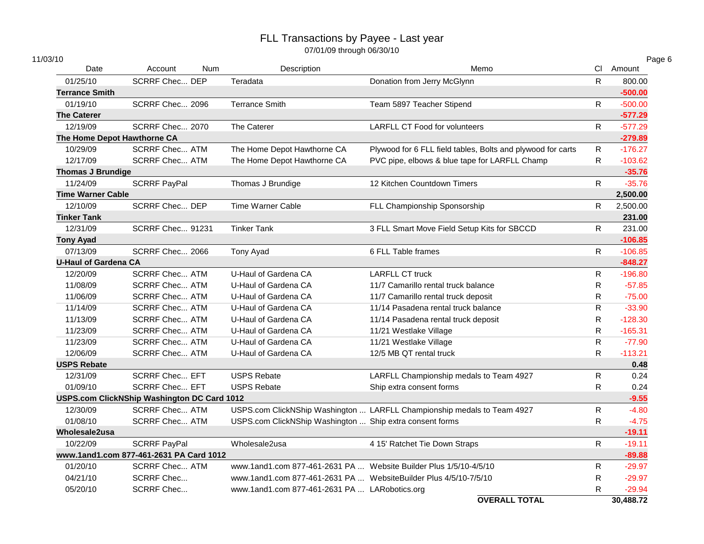| 11/03/10                    |                                             |            |                                                                   |                                                                         |              | Page 6    |
|-----------------------------|---------------------------------------------|------------|-------------------------------------------------------------------|-------------------------------------------------------------------------|--------------|-----------|
| Date                        | Account                                     | <b>Num</b> | Description                                                       | Memo                                                                    |              | CI Amount |
| 01/25/10                    | <b>SCRRF Chec DEP</b>                       |            | Teradata                                                          | Donation from Jerry McGlynn                                             | $\mathsf{R}$ | 800.00    |
| <b>Terrance Smith</b>       |                                             |            |                                                                   |                                                                         |              | $-500.00$ |
| 01/19/10                    | SCRRF Chec 2096                             |            | <b>Terrance Smith</b>                                             | Team 5897 Teacher Stipend                                               | R            | $-500.00$ |
| <b>The Caterer</b>          |                                             |            |                                                                   |                                                                         |              | $-577.29$ |
| 12/19/09                    | SCRRF Chec 2070                             |            | The Caterer                                                       | <b>LARFLL CT Food for volunteers</b>                                    | $\mathsf{R}$ | $-577.29$ |
| The Home Depot Hawthorne CA |                                             |            |                                                                   |                                                                         |              | $-279.89$ |
| 10/29/09                    | <b>SCRRF Chec ATM</b>                       |            | The Home Depot Hawthorne CA                                       | Plywood for 6 FLL field tables, Bolts and plywood for carts             | $\mathsf{R}$ | $-176.27$ |
| 12/17/09                    | <b>SCRRF Chec ATM</b>                       |            | The Home Depot Hawthorne CA                                       | PVC pipe, elbows & blue tape for LARFLL Champ                           | R            | $-103.62$ |
| <b>Thomas J Brundige</b>    |                                             |            |                                                                   |                                                                         |              | $-35.76$  |
| 11/24/09                    | <b>SCRRF PayPal</b>                         |            | Thomas J Brundige                                                 | 12 Kitchen Countdown Timers                                             | $\mathsf{R}$ | $-35.76$  |
| <b>Time Warner Cable</b>    |                                             |            |                                                                   |                                                                         |              | 2,500.00  |
| 12/10/09                    | <b>SCRRF Chec DEP</b>                       |            | <b>Time Warner Cable</b>                                          | FLL Championship Sponsorship                                            | R            | 2,500.00  |
| <b>Tinker Tank</b>          |                                             |            |                                                                   |                                                                         |              | 231.00    |
| 12/31/09                    | <b>SCRRF Chec 91231</b>                     |            | <b>Tinker Tank</b>                                                | 3 FLL Smart Move Field Setup Kits for SBCCD                             | R.           | 231.00    |
| <b>Tony Ayad</b>            |                                             |            |                                                                   |                                                                         |              | $-106.85$ |
| 07/13/09                    | SCRRF Chec 2066                             |            | Tony Ayad                                                         | 6 FLL Table frames                                                      | $\mathsf{R}$ | $-106.85$ |
| <b>U-Haul of Gardena CA</b> |                                             |            |                                                                   |                                                                         |              | $-848.27$ |
| 12/20/09                    | <b>SCRRF Chec ATM</b>                       |            | U-Haul of Gardena CA                                              | <b>LARFLL CT truck</b>                                                  | $\mathsf{R}$ | $-196.80$ |
| 11/08/09                    | <b>SCRRF Chec ATM</b>                       |            | U-Haul of Gardena CA                                              | 11/7 Camarillo rental truck balance                                     | R            | $-57.85$  |
| 11/06/09                    | <b>SCRRF Chec ATM</b>                       |            | U-Haul of Gardena CA                                              | 11/7 Camarillo rental truck deposit                                     | R            | $-75.00$  |
| 11/14/09                    | <b>SCRRF Chec ATM</b>                       |            | U-Haul of Gardena CA                                              | 11/14 Pasadena rental truck balance                                     | $\mathsf{R}$ | $-33.90$  |
| 11/13/09                    | <b>SCRRF Chec ATM</b>                       |            | U-Haul of Gardena CA                                              | 11/14 Pasadena rental truck deposit                                     | ${\sf R}$    | $-128.30$ |
| 11/23/09                    | <b>SCRRF Chec ATM</b>                       |            | U-Haul of Gardena CA                                              | 11/21 Westlake Village                                                  | $\mathsf{R}$ | $-165.31$ |
| 11/23/09                    | <b>SCRRF Chec ATM</b>                       |            | U-Haul of Gardena CA                                              | 11/21 Westlake Village                                                  | $\mathsf{R}$ | $-77.90$  |
| 12/06/09                    | <b>SCRRF Chec ATM</b>                       |            | U-Haul of Gardena CA                                              | 12/5 MB QT rental truck                                                 | $\mathsf{R}$ | $-113.21$ |
| <b>USPS Rebate</b>          |                                             |            |                                                                   |                                                                         |              | 0.48      |
| 12/31/09                    | <b>SCRRF Chec EFT</b>                       |            | <b>USPS Rebate</b>                                                | LARFLL Championship medals to Team 4927                                 | $\mathsf{R}$ | 0.24      |
| 01/09/10                    | <b>SCRRF Chec EFT</b>                       |            | <b>USPS Rebate</b>                                                | Ship extra consent forms                                                | $\mathsf{R}$ | 0.24      |
|                             | USPS.com ClickNShip Washington DC Card 1012 |            |                                                                   |                                                                         |              | $-9.55$   |
| 12/30/09                    | <b>SCRRF Chec ATM</b>                       |            |                                                                   | USPS.com ClickNShip Washington  LARFLL Championship medals to Team 4927 | R            | $-4.80$   |
| 01/08/10                    | <b>SCRRF Chec ATM</b>                       |            | USPS.com ClickNShip Washington  Ship extra consent forms          |                                                                         | $\mathsf{R}$ | $-4.75$   |
| Wholesale2usa               |                                             |            |                                                                   |                                                                         |              | $-19.11$  |
| 10/22/09                    | <b>SCRRF PayPal</b>                         |            | Wholesale2usa                                                     | 4 15' Ratchet Tie Down Straps                                           | $\mathsf{R}$ | $-19.11$  |
|                             | www.1and1.com 877-461-2631 PA Card 1012     |            |                                                                   |                                                                         |              | $-89.88$  |
| 01/20/10                    | <b>SCRRF Chec ATM</b>                       |            | www.1and1.com 877-461-2631 PA  Website Builder Plus 1/5/10-4/5/10 |                                                                         | R            | $-29.97$  |
| 04/21/10                    | <b>SCRRF Chec</b>                           |            | www.1and1.com 877-461-2631 PA  WebsiteBuilder Plus 4/5/10-7/5/10  |                                                                         | $\mathsf{R}$ | $-29.97$  |
| 05/20/10                    | <b>SCRRF Chec</b>                           |            | www.1and1.com 877-461-2631 PA  LARobotics.org                     |                                                                         | R.           | $-29.94$  |
|                             |                                             |            |                                                                   | <b>OVERALL TOTAL</b>                                                    |              | 30,488.72 |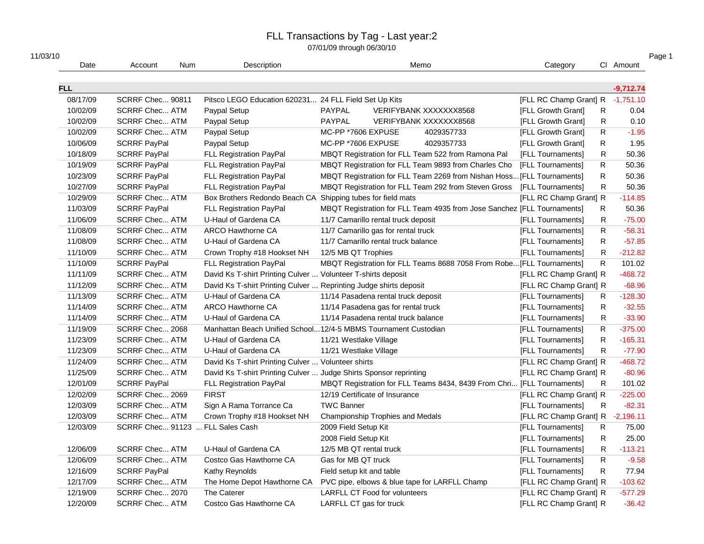| Date       | Account<br><b>Num</b>            | Description                                                       | Memo                                                                    | Category                         | CI Amount                 |
|------------|----------------------------------|-------------------------------------------------------------------|-------------------------------------------------------------------------|----------------------------------|---------------------------|
| <b>FLL</b> |                                  |                                                                   |                                                                         |                                  | $-9,712.74$               |
| 08/17/09   | SCRRF Chec 90811                 | Pitsco LEGO Education 620231 24 FLL Field Set Up Kits             |                                                                         | [FLL RC Champ Grant] R -1,751.10 |                           |
| 10/02/09   | <b>SCRRF Chec ATM</b>            | Paypal Setup                                                      | PAYPAL<br>VERIFYBANK XXXXXXX8568                                        | [FLL Growth Grant]               | 0.04<br>R                 |
| 10/02/09   | <b>SCRRF Chec ATM</b>            | Paypal Setup                                                      | PAYPAL<br>VERIFYBANK XXXXXXX8568                                        | [FLL Growth Grant]               | 0.10<br>R                 |
| 10/02/09   | <b>SCRRF Chec ATM</b>            | Paypal Setup                                                      | MC-PP *7606 EXPUSE<br>4029357733                                        | [FLL Growth Grant]               | $\mathsf{R}$<br>$-1.95$   |
| 10/06/09   | <b>SCRRF PayPal</b>              | Paypal Setup                                                      | MC-PP *7606 EXPUSE<br>4029357733                                        | [FLL Growth Grant]               | R<br>1.95                 |
| 10/18/09   | <b>SCRRF PayPal</b>              | FLL Registration PayPal                                           | MBQT Registration for FLL Team 522 from Ramona Pal                      | [FLL Tournaments]                | R<br>50.36                |
| 10/19/09   | <b>SCRRF PayPal</b>              | FLL Registration PayPal                                           | MBQT Registration for FLL Team 9893 from Charles Cho                    | [FLL Tournaments]                | R<br>50.36                |
| 10/23/09   | <b>SCRRF PayPal</b>              | FLL Registration PayPal                                           | MBQT Registration for FLL Team 2269 from Nishan Hoss [FLL Tournaments]  |                                  | $\mathsf{R}$<br>50.36     |
| 10/27/09   | <b>SCRRF PayPal</b>              | FLL Registration PayPal                                           | MBQT Registration for FLL Team 292 from Steven Gross                    | [FLL Tournaments]                | $\mathsf{R}$<br>50.36     |
| 10/29/09   | <b>SCRRF Chec ATM</b>            | Box Brothers Redondo Beach CA Shipping tubes for field mats       |                                                                         | [FLL RC Champ Grant] R           | $-114.85$                 |
| 11/03/09   | <b>SCRRF PayPal</b>              | FLL Registration PayPal                                           | MBQT Registration for FLL Team 4935 from Jose Sanchez [FLL Tournaments] |                                  | 50.36<br>R                |
| 11/06/09   | <b>SCRRF Chec ATM</b>            | U-Haul of Gardena CA                                              | 11/7 Camarillo rental truck deposit                                     | [FLL Tournaments]                | R<br>$-75.00$             |
| 11/08/09   | <b>SCRRF Chec ATM</b>            | ARCO Hawthorne CA                                                 | 11/7 Camarillo gas for rental truck                                     | [FLL Tournaments]                | R.<br>$-58.31$            |
| 11/08/09   | <b>SCRRF Chec ATM</b>            | U-Haul of Gardena CA                                              | 11/7 Camarillo rental truck balance                                     | [FLL Tournaments]                | R<br>$-57.85$             |
| 11/10/09   | <b>SCRRF Chec ATM</b>            | Crown Trophy #18 Hookset NH                                       | 12/5 MB QT Trophies                                                     | [FLL Tournaments]                | R<br>$-212.82$            |
| 11/10/09   | <b>SCRRF PayPal</b>              | FLL Registration PayPal                                           | MBQT Registration for FLL Teams 8688 7058 From Robe [FLL Tournaments]   |                                  | R.<br>101.02              |
| 11/11/09   | <b>SCRRF Chec ATM</b>            | David Ks T-shirt Printing Culver  Volunteer T-shirts deposit      |                                                                         | [FLL RC Champ Grant] R           | $-468.72$                 |
| 11/12/09   | <b>SCRRF Chec ATM</b>            | David Ks T-shirt Printing Culver  Reprinting Judge shirts deposit |                                                                         | [FLL RC Champ Grant] R           | $-68.96$                  |
| 11/13/09   | <b>SCRRF Chec ATM</b>            | U-Haul of Gardena CA                                              | 11/14 Pasadena rental truck deposit                                     | [FLL Tournaments]                | $-128.30$<br>R            |
| 11/14/09   | <b>SCRRF Chec ATM</b>            | ARCO Hawthorne CA                                                 | 11/14 Pasadena gas for rental truck                                     | [FLL Tournaments]                | R<br>$-32.55$             |
| 11/14/09   | <b>SCRRF Chec ATM</b>            | U-Haul of Gardena CA                                              | 11/14 Pasadena rental truck balance                                     | [FLL Tournaments]                | R<br>$-33.90$             |
| 11/19/09   | SCRRF Chec 2068                  |                                                                   | Manhattan Beach Unified School12/4-5 MBMS Tournament Custodian          | [FLL Tournaments]                | $\mathsf{R}$<br>$-375.00$ |
| 11/23/09   | <b>SCRRF Chec ATM</b>            | U-Haul of Gardena CA                                              | 11/21 Westlake Village                                                  | [FLL Tournaments]                | R.<br>$-165.31$           |
| 11/23/09   | <b>SCRRF Chec ATM</b>            | U-Haul of Gardena CA                                              | 11/21 Westlake Village                                                  | [FLL Tournaments]                | R<br>$-77.90$             |
| 11/24/09   | <b>SCRRF Chec ATM</b>            | David Ks T-shirt Printing Culver  Volunteer shirts                |                                                                         | [FLL RC Champ Grant] R           | $-468.72$                 |
| 11/25/09   | <b>SCRRF Chec ATM</b>            | David Ks T-shirt Printing Culver  Judge Shirts Sponsor reprinting |                                                                         | [FLL RC Champ Grant] R           | $-80.96$                  |
| 12/01/09   | <b>SCRRF PayPal</b>              | <b>FLL Registration PayPal</b>                                    | MBQT Registration for FLL Teams 8434, 8439 From Chri [FLL Tournaments]  |                                  | 101.02<br>R               |
| 12/02/09   | SCRRF Chec 2069                  | <b>FIRST</b>                                                      | 12/19 Certificate of Insurance                                          | [FLL RC Champ Grant] R           | $-225.00$                 |
| 12/03/09   | <b>SCRRF Chec ATM</b>            | Sign A Rama Torrance Ca                                           | <b>TWC Banner</b>                                                       | [FLL Tournaments]                | $-82.31$<br>R             |
| 12/03/09   | <b>SCRRF Chec ATM</b>            | Crown Trophy #18 Hookset NH                                       | Championship Trophies and Medals                                        | [FLL RC Champ Grant] R -2,196.11 |                           |
| 12/03/09   | SCRRF Chec 91123  FLL Sales Cash |                                                                   | 2009 Field Setup Kit                                                    | [FLL Tournaments]                | R<br>75.00                |
|            |                                  |                                                                   | 2008 Field Setup Kit                                                    | [FLL Tournaments]                | R<br>25.00                |
| 12/06/09   | <b>SCRRF Chec ATM</b>            | U-Haul of Gardena CA                                              | 12/5 MB QT rental truck                                                 | [FLL Tournaments]                | R<br>$-113.21$            |
| 12/06/09   | <b>SCRRF Chec ATM</b>            | Costco Gas Hawthorne CA                                           | Gas for MB QT truck                                                     | [FLL Tournaments]                | R.<br>$-9.58$             |
| 12/16/09   | <b>SCRRF PayPal</b>              | Kathy Reynolds                                                    | Field setup kit and table                                               | [FLL Tournaments]                | R.<br>77.94               |
| 12/17/09   | <b>SCRRF Chec ATM</b>            | The Home Depot Hawthorne CA                                       | PVC pipe, elbows & blue tape for LARFLL Champ                           | [FLL RC Champ Grant] R           | $-103.62$                 |
| 12/19/09   | SCRRF Chec 2070                  | The Caterer                                                       | <b>LARFLL CT Food for volunteers</b>                                    | [FLL RC Champ Grant] R           | $-577.29$                 |
| 12/20/09   | <b>SCRRF Chec ATM</b>            | Costco Gas Hawthorne CA                                           | LARFLL CT gas for truck                                                 | [FLL RC Champ Grant] R           | $-36.42$                  |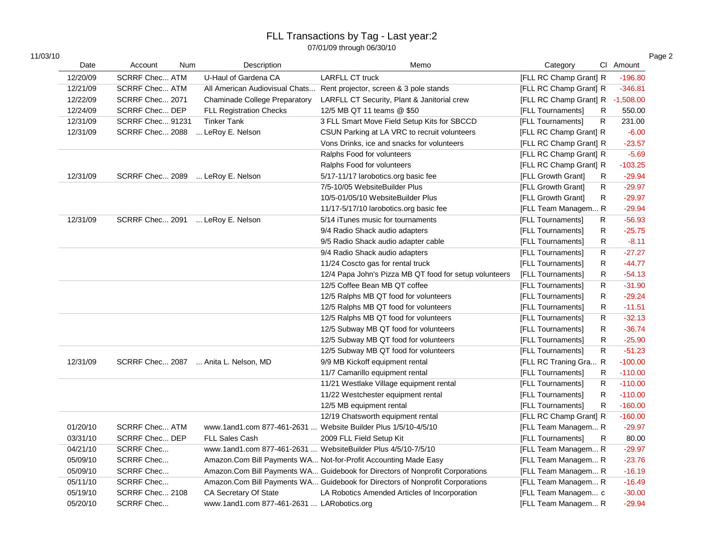| 11/03/10 |  |  |
|----------|--|--|
|          |  |  |

| 11/03/10 |          |                       |            |                                            |                                                                               |                        |              |             | Page 2 |
|----------|----------|-----------------------|------------|--------------------------------------------|-------------------------------------------------------------------------------|------------------------|--------------|-------------|--------|
|          | Date     | Account               | <b>Num</b> | Description                                | Memo                                                                          | Category               |              | Cl Amount   |        |
|          | 12/20/09 | <b>SCRRF Chec ATM</b> |            | U-Haul of Gardena CA                       | <b>LARFLL CT truck</b>                                                        | [FLL RC Champ Grant] R |              | $-196.80$   |        |
|          | 12/21/09 | <b>SCRRF Chec ATM</b> |            |                                            | All American Audiovisual Chats Rent projector, screen & 3 pole stands         | [FLL RC Champ Grant] R |              | $-346.81$   |        |
|          | 12/22/09 | SCRRF Chec 2071       |            | <b>Chaminade College Preparatory</b>       | LARFLL CT Security, Plant & Janitorial crew                                   | [FLL RC Champ Grant] R |              | $-1,508.00$ |        |
|          | 12/24/09 | SCRRF Chec DEP        |            | <b>FLL Registration Checks</b>             | 12/5 MB QT 11 teams @ \$50                                                    | [FLL Tournaments]      | R            | 550.00      |        |
|          | 12/31/09 | SCRRF Chec 91231      |            | <b>Tinker Tank</b>                         | 3 FLL Smart Move Field Setup Kits for SBCCD                                   | [FLL Tournaments]      | $\mathsf R$  | 231.00      |        |
|          | 12/31/09 | SCRRF Chec 2088       |            | LeRoy E. Nelson                            | CSUN Parking at LA VRC to recruit volunteers                                  | [FLL RC Champ Grant] R |              | $-6.00$     |        |
|          |          |                       |            |                                            | Vons Drinks, ice and snacks for volunteers                                    | [FLL RC Champ Grant] R |              | $-23.57$    |        |
|          |          |                       |            |                                            | Ralphs Food for volunteers                                                    | [FLL RC Champ Grant] R |              | $-5.69$     |        |
|          |          |                       |            |                                            | Ralphs Food for volunteers                                                    | [FLL RC Champ Grant] R |              | $-103.25$   |        |
|          | 12/31/09 |                       |            | SCRRF Chec 2089  LeRoy E. Nelson           | 5/17-11/17 larobotics.org basic fee                                           | [FLL Growth Grant]     | R            | $-29.94$    |        |
|          |          |                       |            |                                            | 7/5-10/05 WebsiteBuilder Plus                                                 | [FLL Growth Grant]     | R            | $-29.97$    |        |
|          |          |                       |            |                                            | 10/5-01/05/10 WebsiteBuilder Plus                                             | [FLL Growth Grant]     | R            | $-29.97$    |        |
|          |          |                       |            |                                            | 11/17-5/17/10 larobotics.org basic fee                                        | [FLL Team Managem R    |              | $-29.94$    |        |
|          | 12/31/09 | SCRRF Chec 2091       |            | LeRoy E. Nelson                            | 5/14 iTunes music for tournaments                                             | [FLL Tournaments]      | R            | $-56.93$    |        |
|          |          |                       |            |                                            | 9/4 Radio Shack audio adapters                                                | [FLL Tournaments]      | ${\sf R}$    | $-25.75$    |        |
|          |          |                       |            |                                            | 9/5 Radio Shack audio adapter cable                                           | [FLL Tournaments]      | R            | $-8.11$     |        |
|          |          |                       |            |                                            | 9/4 Radio Shack audio adapters                                                | [FLL Tournaments]      | R            | $-27.27$    |        |
|          |          |                       |            |                                            | 11/24 Coscto gas for rental truck                                             | [FLL Tournaments]      | R            | $-44.77$    |        |
|          |          |                       |            |                                            | 12/4 Papa John's Pizza MB QT food for setup volunteers                        | [FLL Tournaments]      | R            | $-54.13$    |        |
|          |          |                       |            |                                            | 12/5 Coffee Bean MB QT coffee                                                 | [FLL Tournaments]      | R            | $-31.90$    |        |
|          |          |                       |            |                                            | 12/5 Ralphs MB QT food for volunteers                                         | [FLL Tournaments]      | R            | $-29.24$    |        |
|          |          |                       |            |                                            | 12/5 Ralphs MB QT food for volunteers                                         | [FLL Tournaments]      | R            | $-11.51$    |        |
|          |          |                       |            |                                            | 12/5 Ralphs MB QT food for volunteers                                         | [FLL Tournaments]      | R            | $-32.13$    |        |
|          |          |                       |            |                                            | 12/5 Subway MB QT food for volunteers                                         | [FLL Tournaments]      | R            | $-36.74$    |        |
|          |          |                       |            |                                            | 12/5 Subway MB QT food for volunteers                                         | [FLL Tournaments]      | $\mathsf R$  | $-25.90$    |        |
|          |          |                       |            |                                            | 12/5 Subway MB QT food for volunteers                                         | [FLL Tournaments]      | $\mathsf{R}$ | $-51.23$    |        |
|          | 12/31/09 |                       |            | SCRRF Chec 2087  Anita L. Nelson, MD       | 9/9 MB Kickoff equipment rental                                               | [FLL RC Traning Gra R  |              | $-100.00$   |        |
|          |          |                       |            |                                            | 11/7 Camarillo equipment rental                                               | [FLL Tournaments]      | R            | $-110.00$   |        |
|          |          |                       |            |                                            | 11/21 Westlake Village equipment rental                                       | [FLL Tournaments]      | R            | $-110.00$   |        |
|          |          |                       |            |                                            | 11/22 Westchester equipment rental                                            | [FLL Tournaments]      | R            | $-110.00$   |        |
|          |          |                       |            |                                            | 12/5 MB equipment rental                                                      | [FLL Tournaments]      | R            | $-160.00$   |        |
|          |          |                       |            |                                            | 12/19 Chatsworth equipment rental                                             | [FLL RC Champ Grant] R |              | $-160.00$   |        |
|          | 01/20/10 | <b>SCRRF Chec ATM</b> |            |                                            | www.1and1.com 877-461-2631  Website Builder Plus 1/5/10-4/5/10                | [FLL Team Managem R    |              | $-29.97$    |        |
|          | 03/31/10 | <b>SCRRF Chec DEP</b> |            | <b>FLL Sales Cash</b>                      | 2009 FLL Field Setup Kit                                                      | [FLL Tournaments]      | R            | 80.00       |        |
|          | 04/21/10 | SCRRF Chec            |            |                                            | www.1and1.com 877-461-2631  WebsiteBuilder Plus 4/5/10-7/5/10                 | [FLL Team Managem R    |              | $-29.97$    |        |
|          | 05/09/10 | <b>SCRRF Chec</b>     |            |                                            | Amazon.Com Bill Payments WA Not-for-Profit Accounting Made Easy               | [FLL Team Managem R    |              | $-23.76$    |        |
|          | 05/09/10 | <b>SCRRF Chec</b>     |            |                                            | Amazon.Com Bill Payments WA Guidebook for Directors of Nonprofit Corporations | [FLL Team Managem R    |              | $-16.19$    |        |
|          | 05/11/10 | <b>SCRRF Chec</b>     |            |                                            | Amazon.Com Bill Payments WA Guidebook for Directors of Nonprofit Corporations | [FLL Team Managem R    |              | $-16.49$    |        |
|          | 05/19/10 | SCRRF Chec 2108       |            | CA Secretary Of State                      | LA Robotics Amended Articles of Incorporation                                 | [FLL Team Managem c    |              | $-30.00$    |        |
|          | 05/20/10 | SCRRF Chec            |            | www.1and1.com 877-461-2631  LARobotics.org |                                                                               | [FLL Team Managem R    |              | $-29.94$    |        |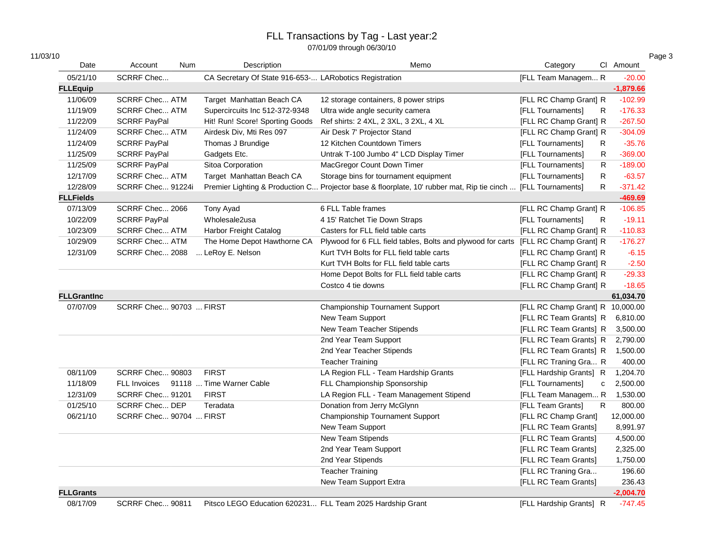| 11/03/10           |                                       |                                                        |                                                                                                               |                                   |             |
|--------------------|---------------------------------------|--------------------------------------------------------|---------------------------------------------------------------------------------------------------------------|-----------------------------------|-------------|
| Date               | Account<br><b>Num</b>                 | Description                                            | Memo                                                                                                          | Category                          | Cl Amount   |
| 05/21/10           | SCRRF Chec                            | CA Secretary Of State 916-653- LARobotics Registration |                                                                                                               | [FLL Team Managem R               | $-20.00$    |
| <b>FLLEquip</b>    |                                       |                                                        |                                                                                                               |                                   | $-1,879.66$ |
| 11/06/09           | <b>SCRRF Chec ATM</b>                 | Target Manhattan Beach CA                              | 12 storage containers, 8 power strips                                                                         | [FLL RC Champ Grant] R            | $-102.99$   |
| 11/19/09           | <b>SCRRF Chec ATM</b>                 | Supercircuits Inc 512-372-9348                         | Ultra wide angle security camera                                                                              | [FLL Tournaments]<br>R            | $-176.33$   |
| 11/22/09           | <b>SCRRF PayPal</b>                   | Hit! Run! Score! Sporting Goods                        | Ref shirts: 2 4XL, 2 3XL, 3 2XL, 4 XL                                                                         | [FLL RC Champ Grant] R            | $-267.50$   |
| 11/24/09           | <b>SCRRF Chec ATM</b>                 | Airdesk Div, Mti Res 097                               | Air Desk 7' Projector Stand                                                                                   | [FLL RC Champ Grant] R            | $-304.09$   |
| 11/24/09           | <b>SCRRF PayPal</b>                   | Thomas J Brundige                                      | 12 Kitchen Countdown Timers                                                                                   | [FLL Tournaments]<br>R            | $-35.76$    |
| 11/25/09           | <b>SCRRF PayPal</b>                   | Gadgets Etc.                                           | Untrak T-100 Jumbo 4" LCD Display Timer                                                                       | [FLL Tournaments]<br>R            | $-369.00$   |
| 11/25/09           | <b>SCRRF PayPal</b>                   | Sitoa Corporation                                      | MacGregor Count Down Timer                                                                                    | [FLL Tournaments]<br>R            | $-189.00$   |
| 12/17/09           | <b>SCRRF Chec ATM</b>                 | Target Manhattan Beach CA                              | Storage bins for tournament equipment                                                                         | [FLL Tournaments]<br>R            | $-63.57$    |
| 12/28/09           | SCRRF Chec 91224i                     |                                                        | Premier Lighting & Production C Projector base & floorplate, 10' rubber mat, Rip tie cinch  [FLL Tournaments] | R                                 | $-371.42$   |
| <b>FLLFields</b>   |                                       |                                                        |                                                                                                               |                                   | $-469.69$   |
| 07/13/09           | SCRRF Chec 2066                       | Tony Ayad                                              | 6 FLL Table frames                                                                                            | [FLL RC Champ Grant] R            | $-106.85$   |
| 10/22/09           | <b>SCRRF PayPal</b>                   | Wholesale2usa                                          | 4 15' Ratchet Tie Down Straps                                                                                 | [FLL Tournaments]<br>R            | $-19.11$    |
| 10/23/09           | <b>SCRRF Chec ATM</b>                 | Harbor Freight Catalog                                 | Casters for FLL field table carts                                                                             | [FLL RC Champ Grant] R            | $-110.83$   |
| 10/29/09           | <b>SCRRF Chec ATM</b>                 | The Home Depot Hawthorne CA                            | Plywood for 6 FLL field tables, Bolts and plywood for carts [FLL RC Champ Grant] R                            |                                   | $-176.27$   |
| 12/31/09           | SCRRF Chec 2088                       | LeRoy E. Nelson                                        | Kurt TVH Bolts for FLL field table carts                                                                      | [FLL RC Champ Grant] R            | $-6.15$     |
|                    |                                       |                                                        | Kurt TVH Bolts for FLL field table carts                                                                      | [FLL RC Champ Grant] R            | $-2.50$     |
|                    |                                       |                                                        | Home Depot Bolts for FLL field table carts                                                                    | [FLL RC Champ Grant] R            | $-29.33$    |
|                    |                                       |                                                        | Costco 4 tie downs                                                                                            | [FLL RC Champ Grant] R            | $-18.65$    |
| <b>FLLGrantInc</b> |                                       |                                                        |                                                                                                               |                                   | 61,034.70   |
| 07/07/09           | SCRRF Chec 90703  FIRST               |                                                        | Championship Tournament Support                                                                               | [FLL RC Champ Grant] R 10,000.00  |             |
|                    |                                       |                                                        | New Team Support                                                                                              | [FLL RC Team Grants] R            | 6,810.00    |
|                    |                                       |                                                        | New Team Teacher Stipends                                                                                     | [FLL RC Team Grants] R            | 3,500.00    |
|                    |                                       |                                                        | 2nd Year Team Support                                                                                         | [FLL RC Team Grants] R            | 2,790.00    |
|                    |                                       |                                                        | 2nd Year Teacher Stipends                                                                                     | [FLL RC Team Grants] R            | 1,500.00    |
|                    |                                       |                                                        | <b>Teacher Training</b>                                                                                       | [FLL RC Traning Gra R             | 400.00      |
| 08/11/09           | SCRRF Chec 90803                      | <b>FIRST</b>                                           | LA Region FLL - Team Hardship Grants                                                                          | [FLL Hardship Grants] R           | 1,204.70    |
| 11/18/09           | FLL Invoices 91118  Time Warner Cable |                                                        | FLL Championship Sponsorship                                                                                  | [FLL Tournaments]<br>$\mathtt{C}$ | 2,500.00    |
| 12/31/09           | SCRRF Chec 91201                      | <b>FIRST</b>                                           | LA Region FLL - Team Management Stipend                                                                       | [FLL Team Managem R               | 1,530.00    |
| 01/25/10           | SCRRF Chec DEP                        | Teradata                                               | Donation from Jerry McGlynn                                                                                   | [FLL Team Grants]<br>R            | 800.00      |
| 06/21/10           | SCRRF Chec 90704  FIRST               |                                                        | Championship Tournament Support                                                                               | [FLL RC Champ Grant]              | 12,000.00   |
|                    |                                       |                                                        | New Team Support                                                                                              | [FLL RC Team Grants]              | 8,991.97    |
|                    |                                       |                                                        | New Team Stipends                                                                                             | [FLL RC Team Grants]              | 4,500.00    |
|                    |                                       |                                                        | 2nd Year Team Support                                                                                         | [FLL RC Team Grants]              | 2,325.00    |
|                    |                                       |                                                        | 2nd Year Stipends                                                                                             | [FLL RC Team Grants]              | 1,750.00    |
|                    |                                       |                                                        | <b>Teacher Training</b>                                                                                       | [FLL RC Traning Gra               | 196.60      |
|                    |                                       |                                                        | New Team Support Extra                                                                                        | [FLL RC Team Grants]              | 236.43      |
| <b>FLLGrants</b>   |                                       |                                                        |                                                                                                               |                                   | $-2,004.70$ |
| 08/17/09           | SCRRF Chec 90811                      | Pitsco LEGO Education 620231                           | FLL Team 2025 Hardship Grant                                                                                  | [FLL Hardship Grants] R           | $-747.45$   |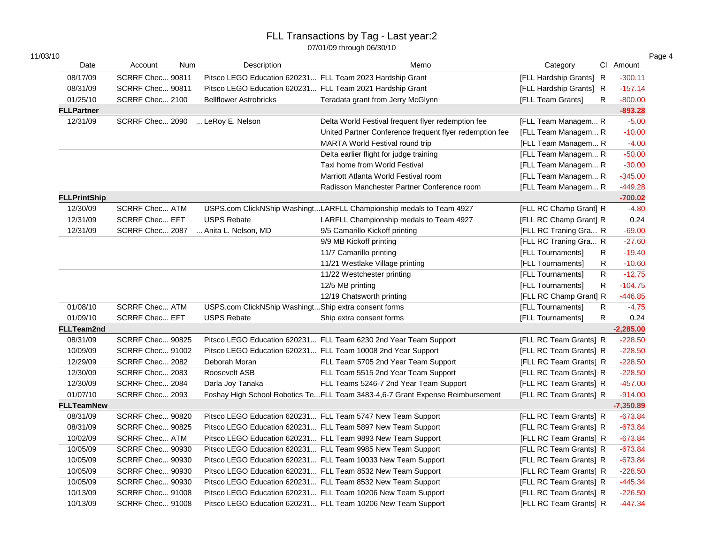|  | 11/03/10 |  |
|--|----------|--|
|  |          |  |

| 11/03/10            |                       |     |                                                           |                                                                               |                              |             |             |
|---------------------|-----------------------|-----|-----------------------------------------------------------|-------------------------------------------------------------------------------|------------------------------|-------------|-------------|
| Date                | Account               | Num | Description                                               | Memo                                                                          | Category                     |             | Cl Amount   |
| 08/17/09            | SCRRF Chec 90811      |     | Pitsco LEGO Education 620231 FLL Team 2023 Hardship Grant |                                                                               | [FLL Hardship Grants] R      |             | $-300.11$   |
| 08/31/09            | SCRRF Chec 90811      |     | Pitsco LEGO Education 620231 FLL Team 2021 Hardship Grant |                                                                               | [FLL Hardship Grants] R      |             | $-157.14$   |
| 01/25/10            | SCRRF Chec 2100       |     | <b>Bellflower Astrobricks</b>                             | Teradata grant from Jerry McGlynn                                             | [FLL Team Grants]            | R           | $-800.00$   |
| <b>FLLPartner</b>   |                       |     |                                                           |                                                                               |                              |             | $-893.28$   |
| 12/31/09            | SCRRF Chec 2090       |     | LeRoy E. Nelson                                           | Delta World Festival frequent flyer redemption fee                            | [FLL Team Managem R          |             | $-5.00$     |
|                     |                       |     |                                                           | United Partner Conference frequent flyer redemption fee                       | [FLL Team Managem R          |             | $-10.00$    |
|                     |                       |     |                                                           | <b>MARTA World Festival round trip</b>                                        | [FLL Team Managem R          |             | $-4.00$     |
|                     |                       |     |                                                           | Delta earlier flight for judge training                                       | [FLL Team Managem R          |             | $-50.00$    |
|                     |                       |     |                                                           | Taxi home from World Festival                                                 | [FLL Team Managem R          |             | $-30.00$    |
|                     |                       |     |                                                           | Marriott Atlanta World Festival room                                          | [FLL Team Managem R          |             | $-345.00$   |
|                     |                       |     |                                                           | Radisson Manchester Partner Conference room                                   | [FLL Team Managem R          |             | $-449.28$   |
| <b>FLLPrintShip</b> |                       |     |                                                           |                                                                               |                              |             | $-700.02$   |
| 12/30/09            | <b>SCRRF Chec ATM</b> |     |                                                           | USPS.com ClickNShip WashingtLARFLL Championship medals to Team 4927           | [FLL RC Champ Grant] R       |             | $-4.80$     |
| 12/31/09            | <b>SCRRF Chec EFT</b> |     | <b>USPS Rebate</b>                                        | LARFLL Championship medals to Team 4927                                       | [FLL RC Champ Grant] R       |             | 0.24        |
| 12/31/09            | SCRRF Chec 2087       |     | Anita L. Nelson, MD                                       | 9/5 Camarillo Kickoff printing                                                | [FLL RC Traning Gra R        |             | $-69.00$    |
|                     |                       |     |                                                           | 9/9 MB Kickoff printing                                                       | <b>IFLL RC Traning Gra R</b> |             | $-27.60$    |
|                     |                       |     |                                                           | 11/7 Camarillo printing                                                       | [FLL Tournaments]            | R           | $-19.40$    |
|                     |                       |     |                                                           | 11/21 Westlake Village printing                                               | [FLL Tournaments]            | $\mathsf R$ | $-10.60$    |
|                     |                       |     |                                                           | 11/22 Westchester printing                                                    | [FLL Tournaments]            | R           | $-12.75$    |
|                     |                       |     |                                                           | 12/5 MB printing                                                              | [FLL Tournaments]            | R           | $-104.75$   |
|                     |                       |     |                                                           | 12/19 Chatsworth printing                                                     | [FLL RC Champ Grant] R       |             | $-446.85$   |
| 01/08/10            | <b>SCRRF Chec ATM</b> |     | USPS.com ClickNShip WashingtShip extra consent forms      |                                                                               | [FLL Tournaments]            | R           | $-4.75$     |
| 01/09/10            | <b>SCRRF Chec EFT</b> |     | <b>USPS Rebate</b>                                        | Ship extra consent forms                                                      | [FLL Tournaments]            | R           | 0.24        |
| <b>FLLTeam2nd</b>   |                       |     |                                                           |                                                                               |                              |             | $-2,285.00$ |
| 08/31/09            | SCRRF Chec 90825      |     |                                                           | Pitsco LEGO Education 620231 FLL Team 6230 2nd Year Team Support              | [FLL RC Team Grants] R       |             | $-228.50$   |
| 10/09/09            | SCRRF Chec 91002      |     |                                                           | Pitsco LEGO Education 620231 FLL Team 10008 2nd Year Support                  | [FLL RC Team Grants] R       |             | $-228.50$   |
| 12/29/09            | SCRRF Chec 2082       |     | Deborah Moran                                             | FLL Team 5705 2nd Year Team Support                                           | [FLL RC Team Grants] R       |             | $-228.50$   |
| 12/30/09            | SCRRF Chec 2083       |     | Roosevelt ASB                                             | FLL Team 5515 2nd Year Team Support                                           | [FLL RC Team Grants] R       |             | $-228.50$   |
| 12/30/09            | SCRRF Chec 2084       |     | Darla Joy Tanaka                                          | FLL Teams 5246-7 2nd Year Team Support                                        | [FLL RC Team Grants] R       |             | $-457.00$   |
| 01/07/10            | SCRRF Chec 2093       |     |                                                           | Foshay High School Robotics TeFLL Team 3483-4,6-7 Grant Expense Reimbursement | [FLL RC Team Grants] R       |             | $-914.00$   |
| <b>FLLTeamNew</b>   |                       |     |                                                           |                                                                               |                              |             | $-7,350.89$ |
| 08/31/09            | SCRRF Chec 90820      |     |                                                           | Pitsco LEGO Education 620231 FLL Team 5747 New Team Support                   | [FLL RC Team Grants] R       |             | $-673.84$   |
| 08/31/09            | SCRRF Chec 90825      |     |                                                           | Pitsco LEGO Education 620231 FLL Team 5897 New Team Support                   | [FLL RC Team Grants] R       |             | $-673.84$   |
| 10/02/09            | <b>SCRRF Chec ATM</b> |     |                                                           | Pitsco LEGO Education 620231 FLL Team 9893 New Team Support                   | [FLL RC Team Grants] R       |             | $-673.84$   |
| 10/05/09            | SCRRF Chec 90930      |     |                                                           | Pitsco LEGO Education 620231 FLL Team 9985 New Team Support                   | [FLL RC Team Grants] R       |             | $-673.84$   |
| 10/05/09            | SCRRF Chec 90930      |     |                                                           | Pitsco LEGO Education 620231 FLL Team 10033 New Team Support                  | [FLL RC Team Grants] R       |             | $-673.84$   |
| 10/05/09            | SCRRF Chec 90930      |     |                                                           | Pitsco LEGO Education 620231 FLL Team 8532 New Team Support                   | [FLL RC Team Grants] R       |             | $-228.50$   |
| 10/05/09            | SCRRF Chec 90930      |     |                                                           | Pitsco LEGO Education 620231 FLL Team 8532 New Team Support                   | [FLL RC Team Grants] R       |             | $-445.34$   |
| 10/13/09            | SCRRF Chec 91008      |     |                                                           | Pitsco LEGO Education 620231 FLL Team 10206 New Team Support                  | [FLL RC Team Grants] R       |             | $-226.50$   |
| 10/13/09            | SCRRF Chec 91008      |     |                                                           | Pitsco LEGO Education 620231 FLL Team 10206 New Team Support                  | [FLL RC Team Grants] R       |             | $-447.34$   |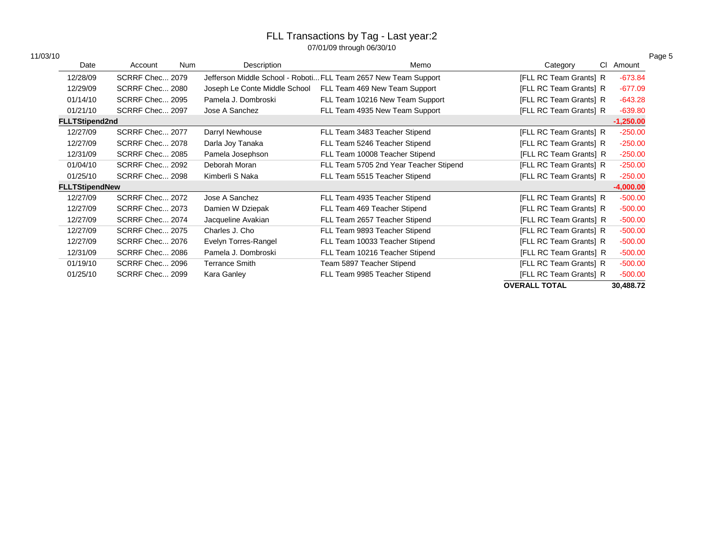| 11/03/10 |  |
|----------|--|
|----------|--|

| 11/03/10 |                       |                 |            |                               |                                                                 |                        |             | Page 5 |
|----------|-----------------------|-----------------|------------|-------------------------------|-----------------------------------------------------------------|------------------------|-------------|--------|
|          | Date                  | Account         | <b>Num</b> | Description                   | Memo                                                            | CI.<br>Category        | Amount      |        |
|          | 12/28/09              | SCRRF Chec 2079 |            |                               | Jefferson Middle School - Roboti FLL Team 2657 New Team Support | [FLL RC Team Grants] R | $-673.84$   |        |
|          | 12/29/09              | SCRRF Chec 2080 |            | Joseph Le Conte Middle School | FLL Team 469 New Team Support                                   | [FLL RC Team Grants] R | $-677.09$   |        |
|          | 01/14/10              | SCRRF Chec 2095 |            | Pamela J. Dombroski           | FLL Team 10216 New Team Support                                 | [FLL RC Team Grants] R | $-643.28$   |        |
|          | 01/21/10              | SCRRF Chec 2097 |            | Jose A Sanchez                | FLL Team 4935 New Team Support                                  | [FLL RC Team Grants] R | $-639.80$   |        |
|          | <b>FLLTStipend2nd</b> |                 |            |                               |                                                                 |                        | $-1,250.00$ |        |
|          | 12/27/09              | SCRRF Chec 2077 |            | Darryl Newhouse               | FLL Team 3483 Teacher Stipend                                   | [FLL RC Team Grants] R | $-250.00$   |        |
|          | 12/27/09              | SCRRF Chec 2078 |            | Darla Joy Tanaka              | FLL Team 5246 Teacher Stipend                                   | [FLL RC Team Grants] R | $-250.00$   |        |
|          | 12/31/09              | SCRRF Chec 2085 |            | Pamela Josephson              | FLL Team 10008 Teacher Stipend                                  | [FLL RC Team Grants] R | $-250.00$   |        |
|          | 01/04/10              | SCRRF Chec 2092 |            | Deborah Moran                 | FLL Team 5705 2nd Year Teacher Stipend                          | [FLL RC Team Grants] R | $-250.00$   |        |
|          | 01/25/10              | SCRRF Chec 2098 |            | Kimberli S Naka               | FLL Team 5515 Teacher Stipend                                   | [FLL RC Team Grants] R | $-250.00$   |        |
|          | <b>FLLTStipendNew</b> |                 |            |                               |                                                                 |                        | $-4,000.00$ |        |
|          | 12/27/09              | SCRRF Chec 2072 |            | Jose A Sanchez                | FLL Team 4935 Teacher Stipend                                   | [FLL RC Team Grants] R | $-500.00$   |        |
|          | 12/27/09              | SCRRF Chec 2073 |            | Damien W Dziepak              | FLL Team 469 Teacher Stipend                                    | [FLL RC Team Grants] R | $-500.00$   |        |
|          | 12/27/09              | SCRRF Chec 2074 |            | Jacqueline Avakian            | FLL Team 2657 Teacher Stipend                                   | [FLL RC Team Grants] R | $-500.00$   |        |
|          | 12/27/09              | SCRRF Chec 2075 |            | Charles J. Cho                | FLL Team 9893 Teacher Stipend                                   | [FLL RC Team Grants] R | $-500.00$   |        |
|          | 12/27/09              | SCRRF Chec 2076 |            | Evelyn Torres-Rangel          | FLL Team 10033 Teacher Stipend                                  | [FLL RC Team Grants] R | $-500.00$   |        |
|          | 12/31/09              | SCRRF Chec 2086 |            | Pamela J. Dombroski           | FLL Team 10216 Teacher Stipend                                  | [FLL RC Team Grants] R | $-500.00$   |        |
|          | 01/19/10              | SCRRF Chec 2096 |            | <b>Terrance Smith</b>         | Team 5897 Teacher Stipend                                       | [FLL RC Team Grants] R | $-500.00$   |        |
|          | 01/25/10              | SCRRF Chec 2099 |            | Kara Ganley                   | FLL Team 9985 Teacher Stipend                                   | [FLL RC Team Grants] R | $-500.00$   |        |
|          |                       |                 |            |                               |                                                                 | <b>OVERALL TOTAL</b>   | 30,488.72   |        |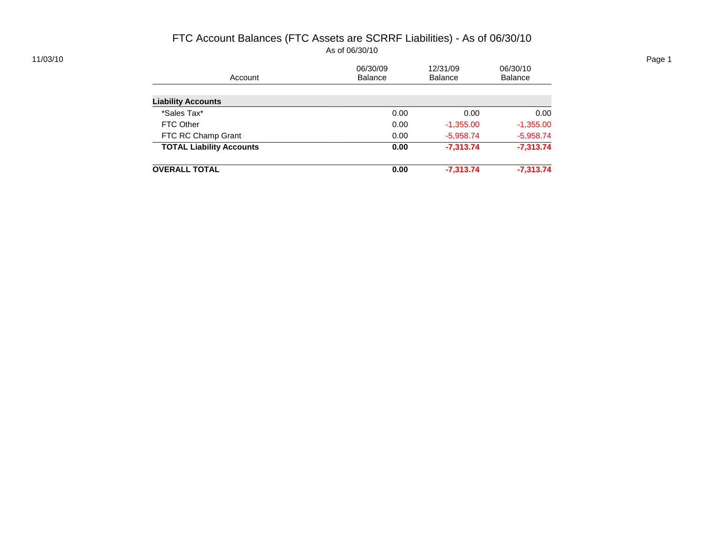## FTC Account Balances (FTC Assets are SCRRF Liabilities) - As of 06/30/10 As of 06/30/10

| 11/03/10 |                                 |          |             |             | Page 1 |
|----------|---------------------------------|----------|-------------|-------------|--------|
|          |                                 | 06/30/09 | 12/31/09    | 06/30/10    |        |
|          | Account                         | Balance  | Balance     | Balance     |        |
|          |                                 |          |             |             |        |
|          | <b>Liability Accounts</b>       |          |             |             |        |
|          | *Sales Tax*                     | 0.00     | 0.00        | 0.00        |        |
|          | FTC Other                       | 0.00     | $-1,355.00$ | $-1,355.00$ |        |
|          | FTC RC Champ Grant              | 0.00     | $-5,958.74$ | $-5,958.74$ |        |
|          | <b>TOTAL Liability Accounts</b> | 0.00     | $-7,313.74$ | $-7,313.74$ |        |
|          | <b>OVERALL TOTAL</b>            | 0.00     | $-7,313.74$ | $-7,313.74$ |        |
|          |                                 |          |             |             |        |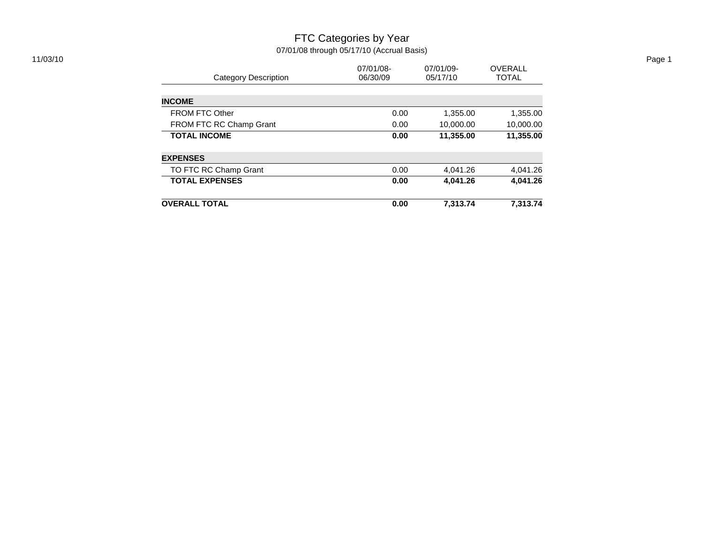#### FTC Categories by Year 07/01/08 through 05/17/10 (Accrual Basis) 11/03/10 Page 1

|                              | 07/01/08- | 07/01/09- | <b>OVERALL</b> |
|------------------------------|-----------|-----------|----------------|
| <b>Category Description</b>  | 06/30/09  | 05/17/10  | <b>TOTAL</b>   |
| <b>INCOME</b>                |           |           |                |
| <b>FROM FTC Other</b>        | 0.00      | 1,355.00  | 1,355.00       |
| FROM FTC RC Champ Grant      | 0.00      | 10,000.00 | 10,000.00      |
| <b>TOTAL INCOME</b>          | 0.00      | 11,355.00 | 11,355.00      |
| <b>EXPENSES</b>              |           |           |                |
| <b>TO FTC RC Champ Grant</b> | 0.00      | 4,041.26  | 4,041.26       |
| <b>TOTAL EXPENSES</b>        | 0.00      | 4,041.26  | 4.041.26       |
| <b>OVERALL TOTAL</b>         | 0.00      | 7,313.74  | 7,313.74       |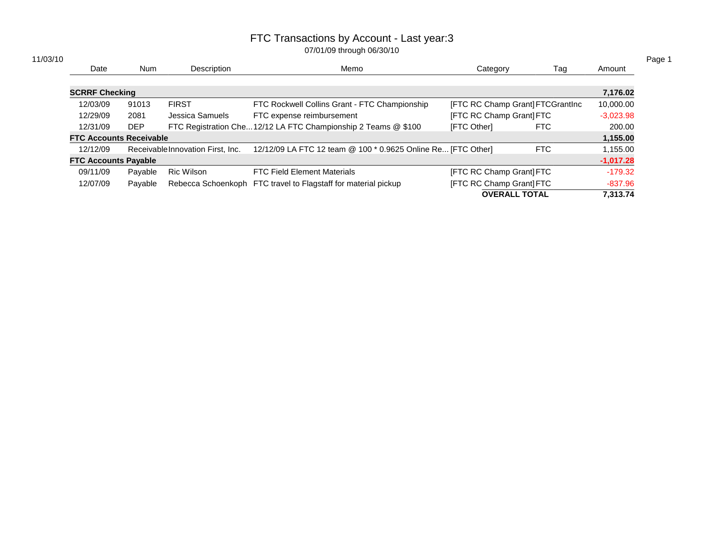| 11/03/10 |                                |            |                                   |                                                                |                                  |     |             |
|----------|--------------------------------|------------|-----------------------------------|----------------------------------------------------------------|----------------------------------|-----|-------------|
|          | Date                           | <b>Num</b> | Description                       | Memo                                                           | Category                         | Tag | Amount      |
|          |                                |            |                                   |                                                                |                                  |     |             |
|          | <b>SCRRF Checking</b>          |            |                                   |                                                                |                                  |     | 7,176.02    |
|          | 12/03/09                       | 91013      | <b>FIRST</b>                      | FTC Rockwell Collins Grant - FTC Championship                  | [FTC RC Champ Grant] FTCGrantlnc |     | 10,000.00   |
|          | 12/29/09                       | 2081       | Jessica Samuels                   | FTC expense reimbursement                                      | [FTC RC Champ Grant] FTC         |     | $-3,023.98$ |
|          | 12/31/09                       | <b>DEP</b> |                                   | FTC Registration Che 12/12 LA FTC Championship 2 Teams @ \$100 | [FTC Other]                      | FTC | 200.00      |
|          | <b>FTC Accounts Receivable</b> |            |                                   |                                                                |                                  |     | 1,155.00    |
|          | 12/12/09                       |            | Receivable Innovation First, Inc. | 12/12/09 LA FTC 12 team @ 100 * 0.9625 Online Re [FTC Other]   |                                  | FTC | 1,155.00    |
|          | <b>FTC Accounts Payable</b>    |            |                                   |                                                                |                                  |     | $-1,017.28$ |
|          | 09/11/09                       | Payable    | <b>Ric Wilson</b>                 | <b>FTC Field Element Materials</b>                             | [FTC RC Champ Grant] FTC         |     | $-179.32$   |
|          | 12/07/09                       | Payable    |                                   | Rebecca Schoenkoph FTC travel to Flagstaff for material pickup | [FTC RC Champ Grant] FTC         |     | $-837.96$   |
|          |                                |            |                                   |                                                                | <b>OVERALL TOTAL</b>             |     | 7.313.74    |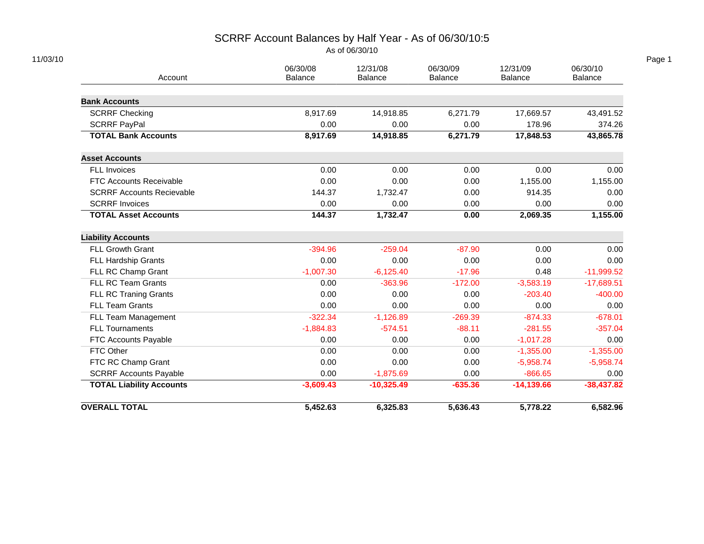# SCRRF Account Balances by Half Year - As of 06/30/10:5

As of 06/30/10

| Account                          | 06/30/08<br><b>Balance</b> | 12/31/08<br>Balance | 06/30/09<br>Balance | 12/31/09<br>Balance | 06/30/10<br>Balance |
|----------------------------------|----------------------------|---------------------|---------------------|---------------------|---------------------|
| <b>Bank Accounts</b>             |                            |                     |                     |                     |                     |
| <b>SCRRF Checking</b>            | 8,917.69                   | 14,918.85           | 6,271.79            | 17,669.57           | 43,491.52           |
| <b>SCRRF PayPal</b>              | 0.00                       | 0.00                | 0.00                | 178.96              | 374.26              |
| <b>TOTAL Bank Accounts</b>       | 8,917.69                   | 14,918.85           | 6,271.79            | 17,848.53           | 43,865.78           |
| <b>Asset Accounts</b>            |                            |                     |                     |                     |                     |
| FLL Invoices                     | 0.00                       | 0.00                | 0.00                | 0.00                | 0.00                |
| FTC Accounts Receivable          | 0.00                       | 0.00                | 0.00                | 1,155.00            | 1,155.00            |
| <b>SCRRF Accounts Recievable</b> | 144.37                     | 1,732.47            | 0.00                | 914.35              | 0.00                |
| <b>SCRRF Invoices</b>            | 0.00                       | 0.00                | 0.00                | 0.00                | 0.00                |
| <b>TOTAL Asset Accounts</b>      | 144.37                     | 1,732.47            | 0.00                | 2,069.35            | 1,155.00            |
| <b>Liability Accounts</b>        |                            |                     |                     |                     |                     |
| FLL Growth Grant                 | $-394.96$                  | $-259.04$           | $-87.90$            | 0.00                | 0.00                |
| FLL Hardship Grants              | 0.00                       | 0.00                | 0.00                | 0.00                | 0.00                |
| FLL RC Champ Grant               | $-1,007.30$                | $-6,125.40$         | $-17.96$            | 0.48                | $-11,999.52$        |
| FLL RC Team Grants               | 0.00                       | $-363.96$           | $-172.00$           | $-3,583.19$         | $-17,689.51$        |
| FLL RC Traning Grants            | 0.00                       | 0.00                | 0.00                | $-203.40$           | $-400.00$           |
| <b>FLL Team Grants</b>           | 0.00                       | 0.00                | 0.00                | 0.00                | 0.00                |
| FLL Team Management              | $-322.34$                  | $-1,126.89$         | $-269.39$           | $-874.33$           | $-678.01$           |
| <b>FLL Tournaments</b>           | $-1,884.83$                | $-574.51$           | $-88.11$            | $-281.55$           | $-357.04$           |
| FTC Accounts Payable             | 0.00                       | 0.00                | 0.00                | $-1,017.28$         | 0.00                |
| FTC Other                        | 0.00                       | 0.00                | 0.00                | $-1,355.00$         | $-1,355.00$         |
| FTC RC Champ Grant               | 0.00                       | 0.00                | 0.00                | $-5,958.74$         | $-5,958.74$         |
| <b>SCRRF Accounts Payable</b>    | 0.00                       | $-1,875.69$         | 0.00                | $-866.65$           | 0.00                |
| <b>TOTAL Liability Accounts</b>  | $-3,609.43$                | $-10,325.49$        | $-635.36$           | $-14,139.66$        | $-38,437.82$        |
|                                  |                            |                     |                     |                     |                     |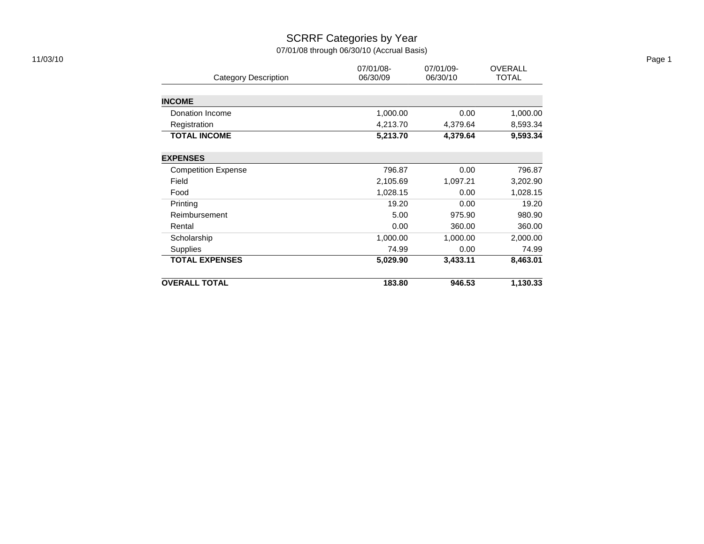## SCRRF Categories by Year 07/01/08 through 06/30/10 (Accrual Basis)

| 11/03/10 |                             |                       |                       |                                |
|----------|-----------------------------|-----------------------|-----------------------|--------------------------------|
|          | <b>Category Description</b> | 07/01/08-<br>06/30/09 | 07/01/09-<br>06/30/10 | <b>OVERALL</b><br><b>TOTAL</b> |
|          |                             |                       |                       |                                |
|          | <b>INCOME</b>               |                       |                       |                                |
|          | Donation Income             | 1,000.00              | 0.00                  | 1,000.00                       |
|          | Registration                | 4,213.70              | 4,379.64              | 8,593.34                       |
|          | <b>TOTAL INCOME</b>         | 5,213.70              | 4,379.64              | 9,593.34                       |
|          | <b>EXPENSES</b>             |                       |                       |                                |
|          | <b>Competition Expense</b>  | 796.87                | 0.00                  | 796.87                         |
|          | Field                       | 2,105.69              | 1,097.21              | 3,202.90                       |
|          | Food                        | 1,028.15              | 0.00                  | 1,028.15                       |
|          | Printing                    | 19.20                 | 0.00                  | 19.20                          |
|          | Reimbursement               | 5.00                  | 975.90                | 980.90                         |
|          | Rental                      | 0.00                  | 360.00                | 360.00                         |
|          | Scholarship                 | 1,000.00              | 1,000.00              | 2,000.00                       |
|          | Supplies                    | 74.99                 | 0.00                  | 74.99                          |
|          | <b>TOTAL EXPENSES</b>       | 5,029.90              | 3,433.11              | 8,463.01                       |
|          | <b>OVERALL TOTAL</b>        | 183.80                | 946.53                | 1,130.33                       |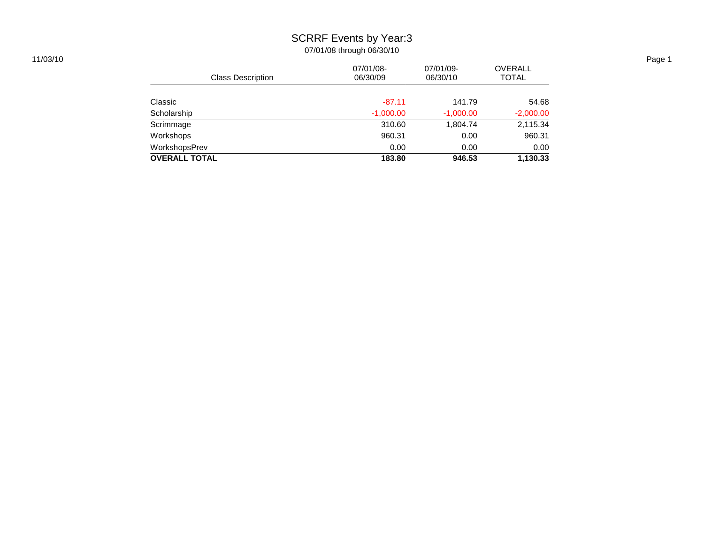# SCRRF Events by Year:3

|                          |             |             |                | Page 1 |
|--------------------------|-------------|-------------|----------------|--------|
|                          | 07/01/08-   | 07/01/09-   | <b>OVERALL</b> |        |
| <b>Class Description</b> | 06/30/09    | 06/30/10    | <b>TOTAL</b>   |        |
|                          |             |             |                |        |
| Classic                  | $-87.11$    | 141.79      | 54.68          |        |
| Scholarship              | $-1,000.00$ | $-1,000.00$ | $-2,000.00$    |        |
| Scrimmage                | 310.60      | 1,804.74    | 2,115.34       |        |
| Workshops                | 960.31      | 0.00        | 960.31         |        |
| WorkshopsPrev            | 0.00        | 0.00        | 0.00           |        |
| <b>OVERALL TOTAL</b>     | 183.80      | 946.53      | 1,130.33       |        |
|                          |             |             |                |        |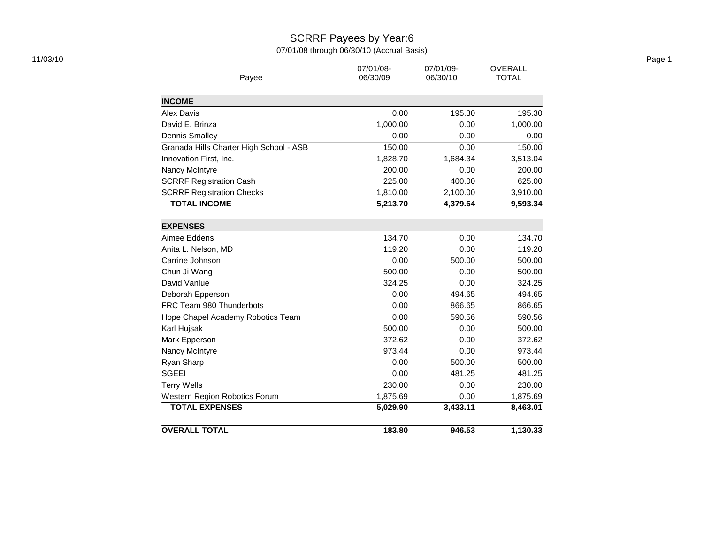# SCRRF Payees by Year:6

07/01/08 through 06/30/10 (Accrual Basis)

| 11/03/10 |                                         | 07/01/08-<br>06/30/09 | 07/01/09-<br>06/30/10 | OVERALL<br><b>TOTAL</b> |
|----------|-----------------------------------------|-----------------------|-----------------------|-------------------------|
|          | Payee                                   |                       |                       |                         |
|          | <b>INCOME</b>                           |                       |                       |                         |
|          | Alex Davis                              | 0.00                  | 195.30                | 195.30                  |
|          | David E. Brinza                         | 1,000.00              | 0.00                  | 1,000.00                |
|          | <b>Dennis Smalley</b>                   | 0.00                  | 0.00                  | 0.00                    |
|          | Granada Hills Charter High School - ASB | 150.00                | 0.00                  | 150.00                  |
|          | Innovation First, Inc.                  | 1,828.70              | 1,684.34              | 3,513.04                |
|          | Nancy McIntyre                          | 200.00                | 0.00                  | 200.00                  |
|          | <b>SCRRF Registration Cash</b>          | 225.00                | 400.00                | 625.00                  |
|          | <b>SCRRF Registration Checks</b>        | 1,810.00              | 2,100.00              | 3,910.00                |
|          | <b>TOTAL INCOME</b>                     | 5,213.70              | 4,379.64              | 9,593.34                |
|          | <b>EXPENSES</b>                         |                       |                       |                         |
|          | Aimee Eddens                            | 134.70                | 0.00                  | 134.70                  |
|          | Anita L. Nelson, MD                     | 119.20                | 0.00                  | 119.20                  |
|          | Carrine Johnson                         | 0.00                  | 500.00                | 500.00                  |
|          | Chun Ji Wang                            | 500.00                | 0.00                  | 500.00                  |
|          | David Vanlue                            | 324.25                | 0.00                  | 324.25                  |
|          | Deborah Epperson                        | 0.00                  | 494.65                | 494.65                  |
|          | FRC Team 980 Thunderbots                | 0.00                  | 866.65                | 866.65                  |
|          | Hope Chapel Academy Robotics Team       | 0.00                  | 590.56                | 590.56                  |
|          | Karl Hujsak                             | 500.00                | 0.00                  | 500.00                  |
|          | Mark Epperson                           | 372.62                | 0.00                  | 372.62                  |
|          | Nancy McIntyre                          | 973.44                | 0.00                  | 973.44                  |
|          | Ryan Sharp                              | 0.00                  | 500.00                | 500.00                  |
|          | <b>SGEEI</b>                            | 0.00                  | 481.25                | 481.25                  |
|          | <b>Terry Wells</b>                      | 230.00                | 0.00                  | 230.00                  |
|          | Western Region Robotics Forum           | 1,875.69              | 0.00                  | 1,875.69                |
|          | <b>TOTAL EXPENSES</b>                   | 5,029.90              | 3,433.11              | 8,463.01                |
|          | <b>OVERALL TOTAL</b>                    | 183.80                | 946.53                | 1,130.33                |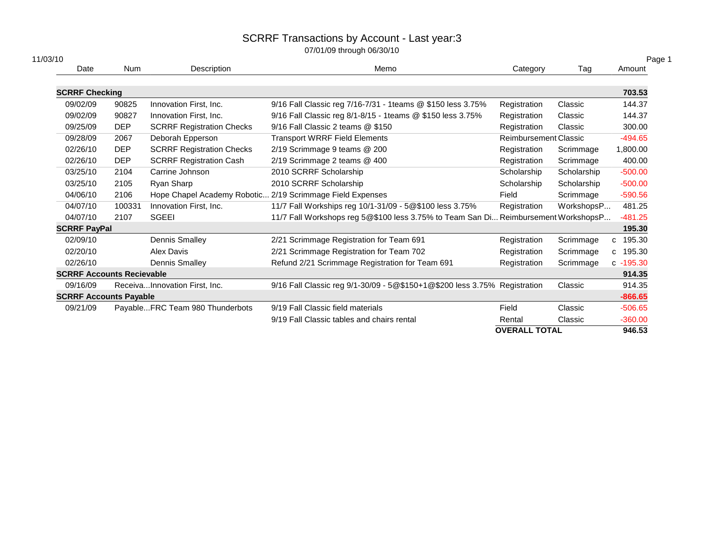| 11/03/10              |                                  |                                  |                                                                                    |                       |             | Page 1       |
|-----------------------|----------------------------------|----------------------------------|------------------------------------------------------------------------------------|-----------------------|-------------|--------------|
| Date                  | Num                              | Description                      | Memo                                                                               | Category              | Tag         | Amount       |
| <b>SCRRF Checking</b> |                                  |                                  |                                                                                    |                       |             | 703.53       |
| 09/02/09              | 90825                            | Innovation First, Inc.           | 9/16 Fall Classic reg 7/16-7/31 - 1teams @ \$150 less 3.75%                        | Registration          | Classic     | 144.37       |
| 09/02/09              | 90827                            | Innovation First, Inc.           | 9/16 Fall Classic reg 8/1-8/15 - 1teams @ \$150 less 3.75%                         | Registration          | Classic     | 144.37       |
| 09/25/09              | <b>DEP</b>                       | <b>SCRRF Registration Checks</b> | 9/16 Fall Classic 2 teams @ \$150                                                  | Registration          | Classic     | 300.00       |
| 09/28/09              | 2067                             | Deborah Epperson                 | <b>Transport WRRF Field Elements</b>                                               | Reimbursement Classic |             | $-494.65$    |
| 02/26/10              | <b>DEP</b>                       | <b>SCRRF Registration Checks</b> | 2/19 Scrimmage 9 teams @ 200                                                       | Registration          | Scrimmage   | 1,800.00     |
| 02/26/10              | <b>DEP</b>                       | <b>SCRRF Registration Cash</b>   | 2/19 Scrimmage 2 teams @ 400                                                       | Registration          | Scrimmage   | 400.00       |
| 03/25/10              | 2104                             | Carrine Johnson                  | 2010 SCRRF Scholarship                                                             | Scholarship           | Scholarship | $-500.00$    |
| 03/25/10              | 2105                             | Ryan Sharp                       | 2010 SCRRF Scholarship                                                             | Scholarship           | Scholarship | $-500.00$    |
| 04/06/10              | 2106                             |                                  | Hope Chapel Academy Robotic 2/19 Scrimmage Field Expenses                          | Field                 | Scrimmage   | $-590.56$    |
| 04/07/10              | 100331                           | Innovation First, Inc.           | 11/7 Fall Workships reg 10/1-31/09 - 5@\$100 less 3.75%                            | Registration          | WorkshopsP  | 481.25       |
| 04/07/10              | 2107                             | <b>SGEEI</b>                     | 11/7 Fall Workshops reg 5@\$100 less 3.75% to Team San Di Reimbursement WorkshopsP |                       |             | $-481.25$    |
| <b>SCRRF PayPal</b>   |                                  |                                  |                                                                                    |                       |             | 195.30       |
| 02/09/10              |                                  | Dennis Smalley                   | 2/21 Scrimmage Registration for Team 691                                           | Registration          | Scrimmage   | c 195.30     |
| 02/20/10              |                                  | Alex Davis                       | 2/21 Scrimmage Registration for Team 702                                           | Registration          | Scrimmage   | c 195.30     |
| 02/26/10              |                                  | Dennis Smalley                   | Refund 2/21 Scrimmage Registration for Team 691                                    | Registration          | Scrimmage   | $c - 195.30$ |
|                       | <b>SCRRF Accounts Recievable</b> |                                  |                                                                                    |                       |             | 914.35       |
| 09/16/09              |                                  | ReceivaInnovation First, Inc.    | 9/16 Fall Classic reg 9/1-30/09 - 5@\$150+1@\$200 less 3.75% Registration          |                       | Classic     | 914.35       |
|                       | <b>SCRRF Accounts Payable</b>    |                                  |                                                                                    |                       |             | $-866.65$    |
| 09/21/09              |                                  | PayableFRC Team 980 Thunderbots  | 9/19 Fall Classic field materials                                                  | Field                 | Classic     | $-506.65$    |
|                       |                                  |                                  | 9/19 Fall Classic tables and chairs rental                                         | Rental                | Classic     | $-360.00$    |
|                       |                                  |                                  |                                                                                    | <b>OVERALL TOTAL</b>  |             | 946.53       |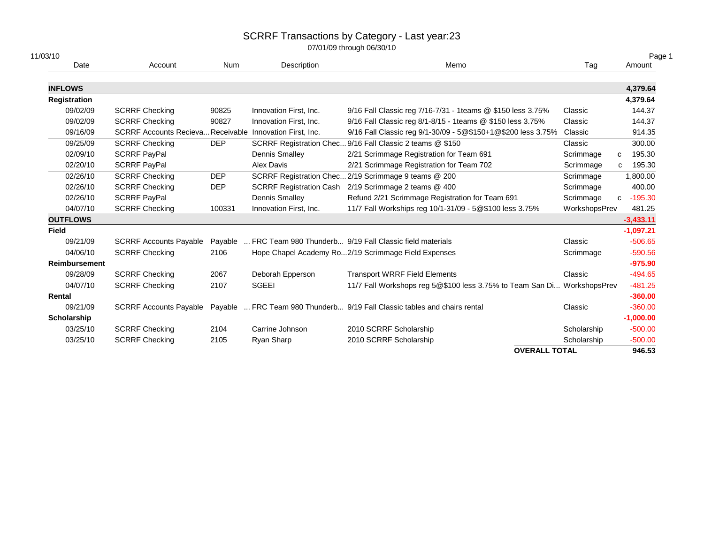| 11/03/10             |                                                          |            |                                |                                                                                                  |                      | Page 1       |
|----------------------|----------------------------------------------------------|------------|--------------------------------|--------------------------------------------------------------------------------------------------|----------------------|--------------|
| Date                 | Account                                                  | Num        | Description                    | Memo                                                                                             | Tag                  | Amount       |
| <b>INFLOWS</b>       |                                                          |            |                                |                                                                                                  |                      | 4,379.64     |
| <b>Registration</b>  |                                                          |            |                                |                                                                                                  |                      | 4,379.64     |
| 09/02/09             | <b>SCRRF Checking</b>                                    | 90825      | Innovation First, Inc.         | 9/16 Fall Classic reg 7/16-7/31 - 1teams @ \$150 less 3.75%                                      | Classic              | 144.37       |
| 09/02/09             | <b>SCRRF Checking</b>                                    | 90827      | Innovation First, Inc.         | 9/16 Fall Classic reg 8/1-8/15 - 1teams @ \$150 less 3.75%                                       | Classic              | 144.37       |
| 09/16/09             | SCRRF Accounts Recieva Receivable Innovation First, Inc. |            |                                | 9/16 Fall Classic reg 9/1-30/09 - 5@\$150+1@\$200 less 3.75%                                     | Classic              | 914.35       |
| 09/25/09             | <b>SCRRF Checking</b>                                    | <b>DEP</b> |                                | SCRRF Registration Chec 9/16 Fall Classic 2 teams @ \$150                                        | Classic              | 300.00       |
| 02/09/10             | <b>SCRRF PayPal</b>                                      |            | Dennis Smalley                 | 2/21 Scrimmage Registration for Team 691                                                         | Scrimmage            | 195.30<br>C  |
| 02/20/10             | <b>SCRRF PayPal</b>                                      |            | Alex Davis                     | 2/21 Scrimmage Registration for Team 702                                                         | Scrimmage            | 195.30<br>c  |
| 02/26/10             | <b>SCRRF Checking</b>                                    | <b>DEP</b> |                                | SCRRF Registration Chec 2/19 Scrimmage 9 teams @ 200                                             | Scrimmage            | 1,800.00     |
| 02/26/10             | <b>SCRRF Checking</b>                                    | <b>DEP</b> | <b>SCRRF Registration Cash</b> | 2/19 Scrimmage 2 teams @ 400                                                                     | Scrimmage            | 400.00       |
| 02/26/10             | <b>SCRRF PayPal</b>                                      |            | Dennis Smalley                 | Refund 2/21 Scrimmage Registration for Team 691                                                  | Scrimmage            | $c - 195.30$ |
| 04/07/10             | <b>SCRRF Checking</b>                                    | 100331     | Innovation First, Inc.         | 11/7 Fall Workships reg 10/1-31/09 - 5@\$100 less 3.75%                                          | WorkshopsPrev        | 481.25       |
| <b>OUTFLOWS</b>      |                                                          |            |                                |                                                                                                  |                      | $-3,433.11$  |
| Field                |                                                          |            |                                |                                                                                                  |                      | $-1,097.21$  |
| 09/21/09             | <b>SCRRF Accounts Payable</b>                            |            |                                | Payable  FRC Team 980 Thunderb 9/19 Fall Classic field materials                                 | Classic              | $-506.65$    |
| 04/06/10             | <b>SCRRF Checking</b>                                    | 2106       |                                | Hope Chapel Academy Ro2/19 Scrimmage Field Expenses                                              | Scrimmage            | $-590.56$    |
| <b>Reimbursement</b> |                                                          |            |                                |                                                                                                  |                      | $-975.90$    |
| 09/28/09             | <b>SCRRF Checking</b>                                    | 2067       | Deborah Epperson               | <b>Transport WRRF Field Elements</b>                                                             | Classic              | $-494.65$    |
| 04/07/10             | <b>SCRRF Checking</b>                                    | 2107       | <b>SGEEI</b>                   | 11/7 Fall Workshops reg 5@\$100 less 3.75% to Team San Di WorkshopsPrev                          |                      | $-481.25$    |
| Rental               |                                                          |            |                                |                                                                                                  |                      | $-360.00$    |
| 09/21/09             |                                                          |            |                                | SCRRF Accounts Payable Payable  FRC Team 980 Thunderb 9/19 Fall Classic tables and chairs rental | Classic              | $-360.00$    |
| Scholarship          |                                                          |            |                                |                                                                                                  |                      | $-1,000.00$  |
| 03/25/10             | <b>SCRRF Checking</b>                                    | 2104       | Carrine Johnson                | 2010 SCRRF Scholarship                                                                           | Scholarship          | $-500.00$    |
| 03/25/10             | <b>SCRRF Checking</b>                                    | 2105       | Ryan Sharp                     | 2010 SCRRF Scholarship                                                                           | Scholarship          | $-500.00$    |
|                      |                                                          |            |                                |                                                                                                  | <b>OVERALL TOTAL</b> |              |